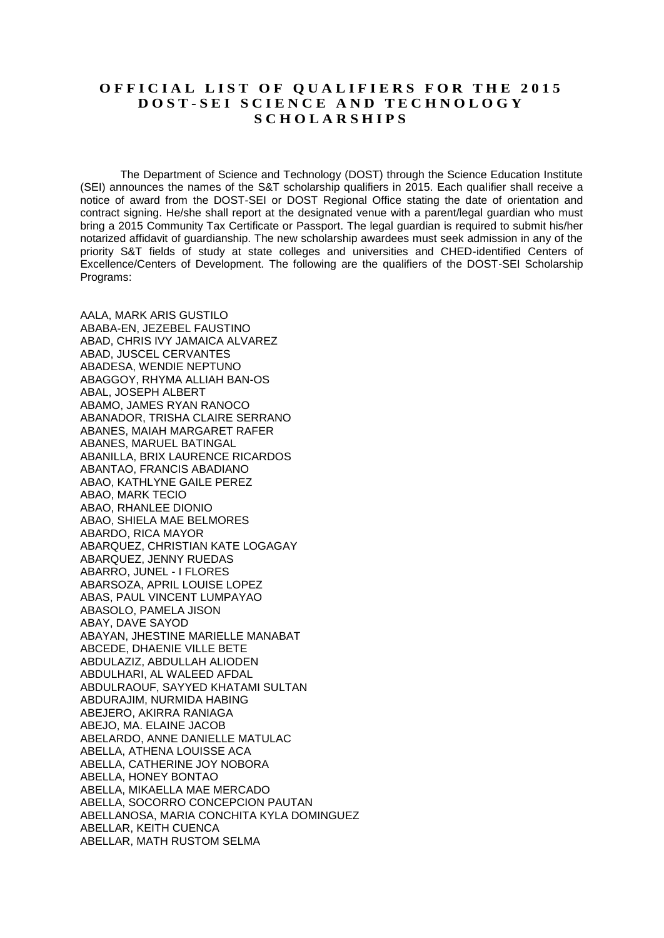## **OFFICIAL LIST OF QUALIFIERS FOR THE 2015 D O S T - S E I S C I E N C E A N D T E C H N O L O G Y S C H O L A R S H I P S**

The Department of Science and Technology (DOST) through the Science Education Institute (SEI) announces the names of the S&T scholarship qualifiers in 2015. Each qualifier shall receive a notice of award from the DOST-SEI or DOST Regional Office stating the date of orientation and contract signing. He/she shall report at the designated venue with a parent/legal guardian who must bring a 2015 Community Tax Certificate or Passport. The legal guardian is required to submit his/her notarized affidavit of guardianship. The new scholarship awardees must seek admission in any of the priority S&T fields of study at state colleges and universities and CHED-identified Centers of Excellence/Centers of Development. The following are the qualifiers of the DOST-SEI Scholarship Programs:

AALA, MARK ARIS GUSTILO ABABA-EN, JEZEBEL FAUSTINO ABAD, CHRIS IVY JAMAICA ALVAREZ ABAD, JUSCEL CERVANTES ABADESA, WENDIE NEPTUNO ABAGGOY, RHYMA ALLIAH BAN-OS ABAL, JOSEPH ALBERT ABAMO, JAMES RYAN RANOCO ABANADOR, TRISHA CLAIRE SERRANO ABANES, MAIAH MARGARET RAFER ABANES, MARUEL BATINGAL ABANILLA, BRIX LAURENCE RICARDOS ABANTAO, FRANCIS ABADIANO ABAO, KATHLYNE GAILE PEREZ ABAO, MARK TECIO ABAO, RHANLEE DIONIO ABAO, SHIELA MAE BELMORES ABARDO, RICA MAYOR ABARQUEZ, CHRISTIAN KATE LOGAGAY ABARQUEZ, JENNY RUEDAS ABARRO, JUNEL - I FLORES ABARSOZA, APRIL LOUISE LOPEZ ABAS, PAUL VINCENT LUMPAYAO ABASOLO, PAMELA JISON ABAY, DAVE SAYOD ABAYAN, JHESTINE MARIELLE MANABAT ABCEDE, DHAENIE VILLE BETE ABDULAZIZ, ABDULLAH ALIODEN ABDULHARI, AL WALEED AFDAL ABDULRAOUF, SAYYED KHATAMI SULTAN ABDURAJIM, NURMIDA HABING ABEJERO, AKIRRA RANIAGA ABEJO, MA. ELAINE JACOB ABELARDO, ANNE DANIELLE MATULAC ABELLA, ATHENA LOUISSE ACA ABELLA, CATHERINE JOY NOBORA ABELLA, HONEY BONTAO ABELLA, MIKAELLA MAE MERCADO ABELLA, SOCORRO CONCEPCION PAUTAN ABELLANOSA, MARIA CONCHITA KYLA DOMINGUEZ ABELLAR, KEITH CUENCA ABELLAR, MATH RUSTOM SELMA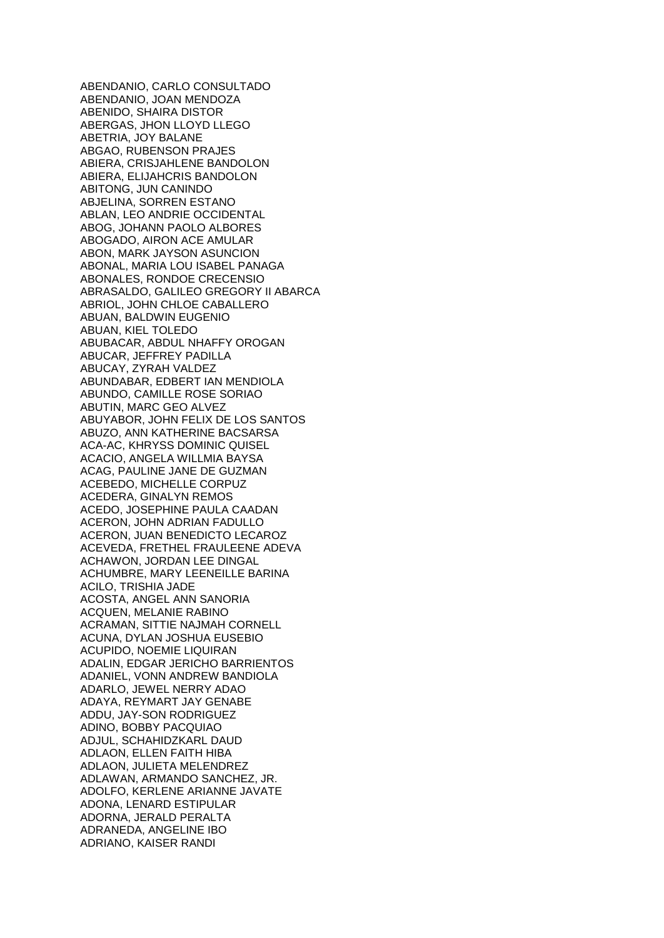ABENDANIO, CARLO CONSULTADO ABENDANIO, JOAN MENDOZA ABENIDO, SHAIRA DISTOR ABERGAS, JHON LLOYD LLEGO ABETRIA, JOY BALANE ABGAO, RUBENSON PRAJES ABIERA, CRISJAHLENE BANDOLON ABIERA, ELIJAHCRIS BANDOLON ABITONG, JUN CANINDO ABJELINA, SORREN ESTANO ABLAN, LEO ANDRIE OCCIDENTAL ABOG, JOHANN PAOLO ALBORES ABOGADO, AIRON ACE AMULAR ABON, MARK JAYSON ASUNCION ABONAL, MARIA LOU ISABEL PANAGA ABONALES, RONDOE CRECENSIO ABRASALDO, GALILEO GREGORY II ABARCA ABRIOL, JOHN CHLOE CABALLERO ABUAN, BALDWIN EUGENIO ABUAN, KIEL TOLEDO ABUBACAR, ABDUL NHAFFY OROGAN ABUCAR, JEFFREY PADILLA ABUCAY, ZYRAH VALDEZ ABUNDABAR, EDBERT IAN MENDIOLA ABUNDO, CAMILLE ROSE SORIAO ABUTIN, MARC GEO ALVEZ ABUYABOR, JOHN FELIX DE LOS SANTOS ABUZO, ANN KATHERINE BACSARSA ACA-AC, KHRYSS DOMINIC QUISEL ACACIO, ANGELA WILLMIA BAYSA ACAG, PAULINE JANE DE GUZMAN ACEBEDO, MICHELLE CORPUZ ACEDERA, GINALYN REMOS ACEDO, JOSEPHINE PAULA CAADAN ACERON, JOHN ADRIAN FADULLO ACERON, JUAN BENEDICTO LECAROZ ACEVEDA, FRETHEL FRAULEENE ADEVA ACHAWON, JORDAN LEE DINGAL ACHUMBRE, MARY LEENEILLE BARINA ACILO, TRISHIA JADE ACOSTA, ANGEL ANN SANORIA ACQUEN, MELANIE RABINO ACRAMAN, SITTIE NAJMAH CORNELL ACUNA, DYLAN JOSHUA EUSEBIO ACUPIDO, NOEMIE LIQUIRAN ADALIN, EDGAR JERICHO BARRIENTOS ADANIEL, VONN ANDREW BANDIOLA ADARLO, JEWEL NERRY ADAO ADAYA, REYMART JAY GENABE ADDU, JAY-SON RODRIGUEZ ADINO, BOBBY PACQUIAO ADJUL, SCHAHIDZKARL DAUD ADLAON, ELLEN FAITH HIBA ADLAON, JULIETA MELENDREZ ADLAWAN, ARMANDO SANCHEZ, JR. ADOLFO, KERLENE ARIANNE JAVATE ADONA, LENARD ESTIPULAR ADORNA, JERALD PERALTA ADRANEDA, ANGELINE IBO ADRIANO, KAISER RANDI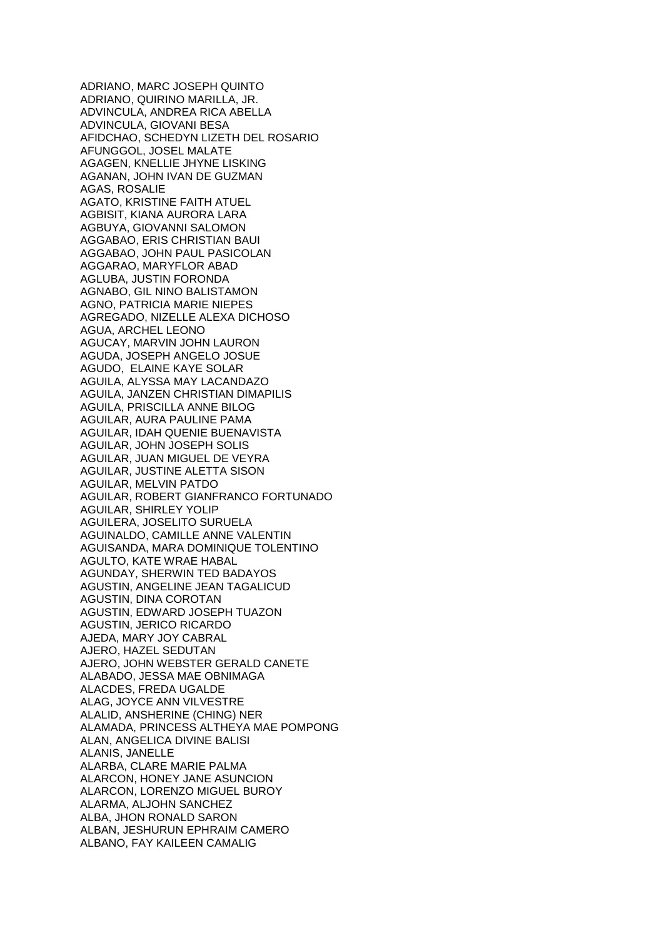ADRIANO, MARC JOSEPH QUINTO ADRIANO, QUIRINO MARILLA, JR. ADVINCULA, ANDREA RICA ABELLA ADVINCULA, GIOVANI BESA AFIDCHAO, SCHEDYN LIZETH DEL ROSARIO AFUNGGOL, JOSEL MALATE AGAGEN, KNELLIE JHYNE LISKING AGANAN, JOHN IVAN DE GUZMAN AGAS, ROSALIE AGATO, KRISTINE FAITH ATUEL AGBISIT, KIANA AURORA LARA AGBUYA, GIOVANNI SALOMON AGGABAO, ERIS CHRISTIAN BAUI AGGABAO, JOHN PAUL PASICOLAN AGGARAO, MARYFLOR ABAD AGLUBA, JUSTIN FORONDA AGNABO, GIL NINO BALISTAMON AGNO, PATRICIA MARIE NIEPES AGREGADO, NIZELLE ALEXA DICHOSO AGUA, ARCHEL LEONO AGUCAY, MARVIN JOHN LAURON AGUDA, JOSEPH ANGELO JOSUE AGUDO, ELAINE KAYE SOLAR AGUILA, ALYSSA MAY LACANDAZO AGUILA, JANZEN CHRISTIAN DIMAPILIS AGUILA, PRISCILLA ANNE BILOG AGUILAR, AURA PAULINE PAMA AGUILAR, IDAH QUENIE BUENAVISTA AGUILAR, JOHN JOSEPH SOLIS AGUILAR, JUAN MIGUEL DE VEYRA AGUILAR, JUSTINE ALETTA SISON AGUILAR, MELVIN PATDO AGUILAR, ROBERT GIANFRANCO FORTUNADO AGUILAR, SHIRLEY YOLIP AGUILERA, JOSELITO SURUELA AGUINALDO, CAMILLE ANNE VALENTIN AGUISANDA, MARA DOMINIQUE TOLENTINO AGULTO, KATE WRAE HABAL AGUNDAY, SHERWIN TED BADAYOS AGUSTIN, ANGELINE JEAN TAGALICUD AGUSTIN, DINA COROTAN AGUSTIN, EDWARD JOSEPH TUAZON AGUSTIN, JERICO RICARDO AJEDA, MARY JOY CABRAL AJERO, HAZEL SEDUTAN AJERO, JOHN WEBSTER GERALD CANETE ALABADO, JESSA MAE OBNIMAGA ALACDES, FREDA UGALDE ALAG, JOYCE ANN VILVESTRE ALALID, ANSHERINE (CHING) NER ALAMADA, PRINCESS ALTHEYA MAE POMPONG ALAN, ANGELICA DIVINE BALISI ALANIS, JANELLE ALARBA, CLARE MARIE PALMA ALARCON, HONEY JANE ASUNCION ALARCON, LORENZO MIGUEL BUROY ALARMA, ALJOHN SANCHEZ ALBA, JHON RONALD SARON ALBAN, JESHURUN EPHRAIM CAMERO ALBANO, FAY KAILEEN CAMALIG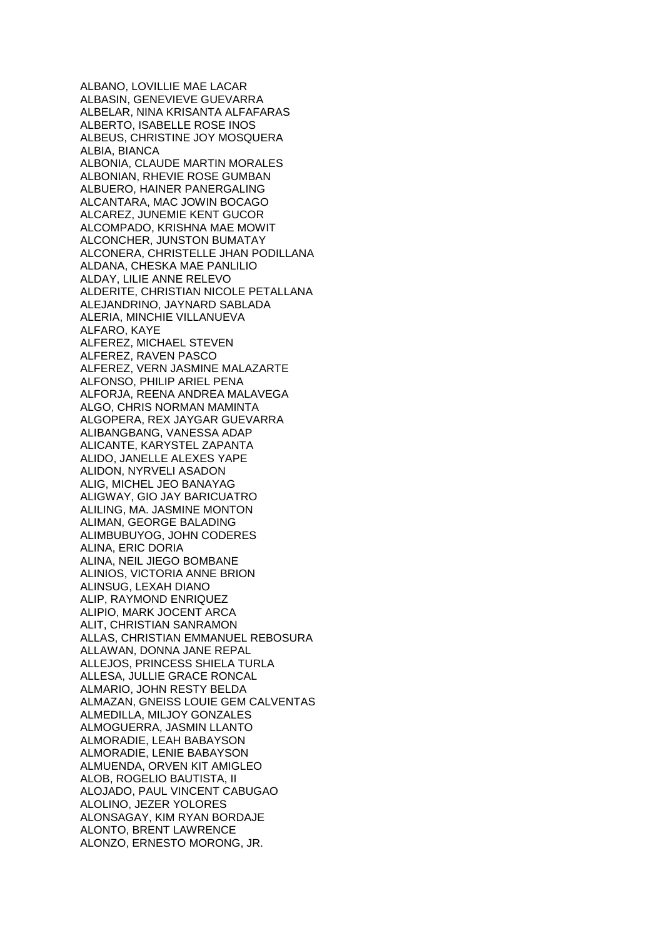ALBANO, LOVILLIE MAE LACAR ALBASIN, GENEVIEVE GUEVARRA ALBELAR, NINA KRISANTA ALFAFARAS ALBERTO, ISABELLE ROSE INOS ALBEUS, CHRISTINE JOY MOSQUERA ALBIA, BIANCA ALBONIA, CLAUDE MARTIN MORALES ALBONIAN, RHEVIE ROSE GUMBAN ALBUERO, HAINER PANERGALING ALCANTARA, MAC JOWIN BOCAGO ALCAREZ, JUNEMIE KENT GUCOR ALCOMPADO, KRISHNA MAE MOWIT ALCONCHER, JUNSTON BUMATAY ALCONERA, CHRISTELLE JHAN PODILLANA ALDANA, CHESKA MAE PANLILIO ALDAY, LILIE ANNE RELEVO ALDERITE, CHRISTIAN NICOLE PETALLANA ALEJANDRINO, JAYNARD SABLADA ALERIA, MINCHIE VILLANUEVA ALFARO, KAYE ALFEREZ, MICHAEL STEVEN ALFEREZ, RAVEN PASCO ALFEREZ, VERN JASMINE MALAZARTE ALFONSO, PHILIP ARIEL PENA ALFORJA, REENA ANDREA MALAVEGA ALGO, CHRIS NORMAN MAMINTA ALGOPERA, REX JAYGAR GUEVARRA ALIBANGBANG, VANESSA ADAP ALICANTE, KARYSTEL ZAPANTA ALIDO, JANELLE ALEXES YAPE ALIDON, NYRVELI ASADON ALIG, MICHEL JEO BANAYAG ALIGWAY, GIO JAY BARICUATRO ALILING, MA. JASMINE MONTON ALIMAN, GEORGE BALADING ALIMBUBUYOG, JOHN CODERES ALINA, ERIC DORIA ALINA, NEIL JIEGO BOMBANE ALINIOS, VICTORIA ANNE BRION ALINSUG, LEXAH DIANO ALIP, RAYMOND ENRIQUEZ ALIPIO, MARK JOCENT ARCA ALIT, CHRISTIAN SANRAMON ALLAS, CHRISTIAN EMMANUEL REBOSURA ALLAWAN, DONNA JANE REPAL ALLEJOS, PRINCESS SHIELA TURLA ALLESA, JULLIE GRACE RONCAL ALMARIO, JOHN RESTY BELDA ALMAZAN, GNEISS LOUIE GEM CALVENTAS ALMEDILLA, MILJOY GONZALES ALMOGUERRA, JASMIN LLANTO ALMORADIE, LEAH BABAYSON ALMORADIE, LENIE BABAYSON ALMUENDA, ORVEN KIT AMIGLEO ALOB, ROGELIO BAUTISTA, II ALOJADO, PAUL VINCENT CABUGAO ALOLINO, JEZER YOLORES ALONSAGAY, KIM RYAN BORDAJE ALONTO, BRENT LAWRENCE ALONZO, ERNESTO MORONG, JR.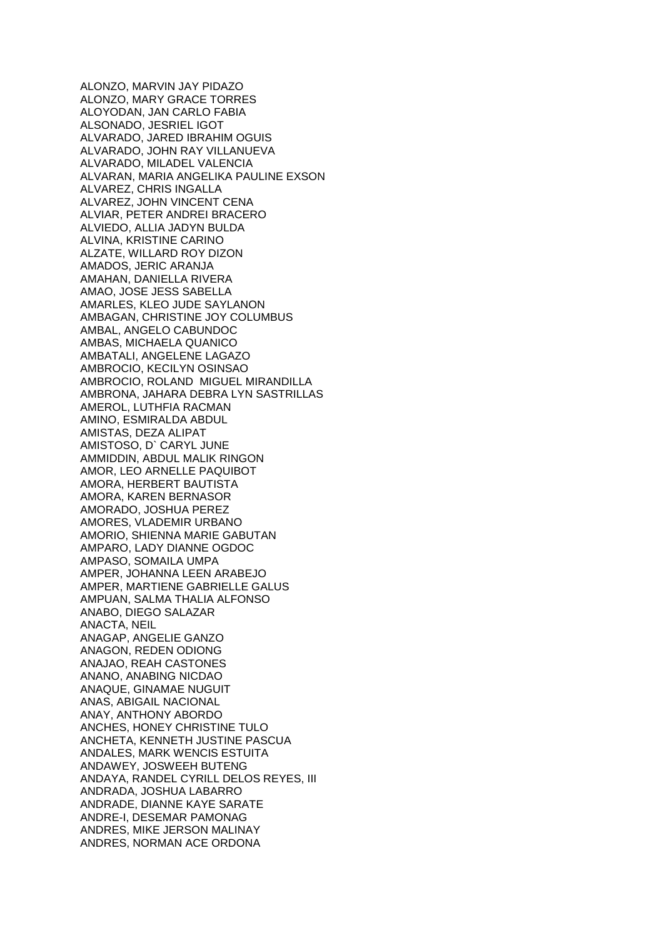ALONZO, MARVIN JAY PIDAZO ALONZO, MARY GRACE TORRES ALOYODAN, JAN CARLO FABIA ALSONADO, JESRIEL IGOT ALVARADO, JARED IBRAHIM OGUIS ALVARADO, JOHN RAY VILLANUEVA ALVARADO, MILADEL VALENCIA ALVARAN, MARIA ANGELIKA PAULINE EXSON ALVAREZ, CHRIS INGALLA ALVAREZ, JOHN VINCENT CENA ALVIAR, PETER ANDREI BRACERO ALVIEDO, ALLIA JADYN BULDA ALVINA, KRISTINE CARINO ALZATE, WILLARD ROY DIZON AMADOS, JERIC ARANJA AMAHAN, DANIELLA RIVERA AMAO, JOSE JESS SABELLA AMARLES, KLEO JUDE SAYLANON AMBAGAN, CHRISTINE JOY COLUMBUS AMBAL, ANGELO CABUNDOC AMBAS, MICHAELA QUANICO AMBATALI, ANGELENE LAGAZO AMBROCIO, KECILYN OSINSAO AMBROCIO, ROLAND MIGUEL MIRANDILLA AMBRONA, JAHARA DEBRA LYN SASTRILLAS AMEROL, LUTHFIA RACMAN AMINO, ESMIRALDA ABDUL AMISTAS, DEZA ALIPAT AMISTOSO, D` CARYL JUNE AMMIDDIN, ABDUL MALIK RINGON AMOR, LEO ARNELLE PAQUIBOT AMORA, HERBERT BAUTISTA AMORA, KAREN BERNASOR AMORADO, JOSHUA PEREZ AMORES, VLADEMIR URBANO AMORIO, SHIENNA MARIE GABUTAN AMPARO, LADY DIANNE OGDOC AMPASO, SOMAILA UMPA AMPER, JOHANNA LEEN ARABEJO AMPER, MARTIENE GABRIELLE GALUS AMPUAN, SALMA THALIA ALFONSO ANABO, DIEGO SALAZAR ANACTA, NEIL ANAGAP, ANGELIE GANZO ANAGON, REDEN ODIONG ANAJAO, REAH CASTONES ANANO, ANABING NICDAO ANAQUE, GINAMAE NUGUIT ANAS, ABIGAIL NACIONAL ANAY, ANTHONY ABORDO ANCHES, HONEY CHRISTINE TULO ANCHETA, KENNETH JUSTINE PASCUA ANDALES, MARK WENCIS ESTUITA ANDAWEY, JOSWEEH BUTENG ANDAYA, RANDEL CYRILL DELOS REYES, III ANDRADA, JOSHUA LABARRO ANDRADE, DIANNE KAYE SARATE ANDRE-I, DESEMAR PAMONAG ANDRES, MIKE JERSON MALINAY ANDRES, NORMAN ACE ORDONA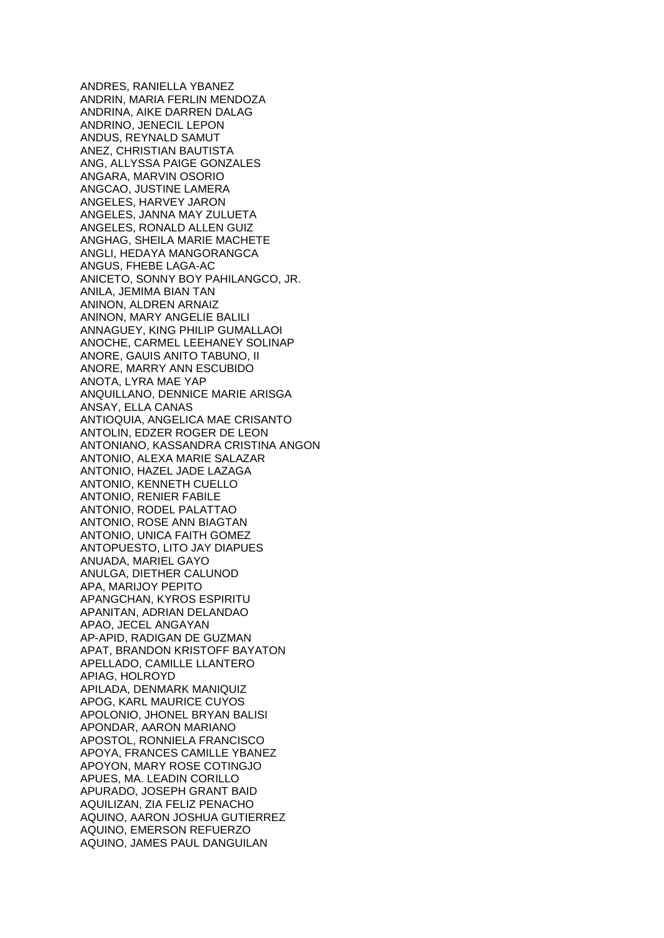ANDRES, RANIELLA YBANEZ ANDRIN, MARIA FERLIN MENDOZA ANDRINA, AIKE DARREN DALAG ANDRINO, JENECIL LEPON ANDUS, REYNALD SAMUT ANEZ, CHRISTIAN BAUTISTA ANG, ALLYSSA PAIGE GONZALES ANGARA, MARVIN OSORIO ANGCAO, JUSTINE LAMERA ANGELES, HARVEY JARON ANGELES, JANNA MAY ZULUETA ANGELES, RONALD ALLEN GUIZ ANGHAG, SHEILA MARIE MACHETE ANGLI, HEDAYA MANGORANGCA ANGUS, FHEBE LAGA-AC ANICETO, SONNY BOY PAHILANGCO, JR. ANILA, JEMIMA BIAN TAN ANINON, ALDREN ARNAIZ ANINON, MARY ANGELIE BALILI ANNAGUEY, KING PHILIP GUMALLAOI ANOCHE, CARMEL LEEHANEY SOLINAP ANORE, GAUIS ANITO TABUNO, II ANORE, MARRY ANN ESCUBIDO ANOTA, LYRA MAE YAP ANQUILLANO, DENNICE MARIE ARISGA ANSAY, ELLA CANAS ANTIOQUIA, ANGELICA MAE CRISANTO ANTOLIN, EDZER ROGER DE LEON ANTONIANO, KASSANDRA CRISTINA ANGON ANTONIO, ALEXA MARIE SALAZAR ANTONIO, HAZEL JADE LAZAGA ANTONIO, KENNETH CUELLO ANTONIO, RENIER FABILE ANTONIO, RODEL PALATTAO ANTONIO, ROSE ANN BIAGTAN ANTONIO, UNICA FAITH GOMEZ ANTOPUESTO, LITO JAY DIAPUES ANUADA, MARIEL GAYO ANULGA, DIETHER CALUNOD APA, MARIJOY PEPITO APANGCHAN, KYROS ESPIRITU APANITAN, ADRIAN DELANDAO APAO, JECEL ANGAYAN AP-APID, RADIGAN DE GUZMAN APAT, BRANDON KRISTOFF BAYATON APELLADO, CAMILLE LLANTERO APIAG, HOLROYD APILADA, DENMARK MANIQUIZ APOG, KARL MAURICE CUYOS APOLONIO, JHONEL BRYAN BALISI APONDAR, AARON MARIANO APOSTOL, RONNIELA FRANCISCO APOYA, FRANCES CAMILLE YBANEZ APOYON, MARY ROSE COTINGJO APUES, MA. LEADIN CORILLO APURADO, JOSEPH GRANT BAID AQUILIZAN, ZIA FELIZ PENACHO AQUINO, AARON JOSHUA GUTIERREZ AQUINO, EMERSON REFUERZO AQUINO, JAMES PAUL DANGUILAN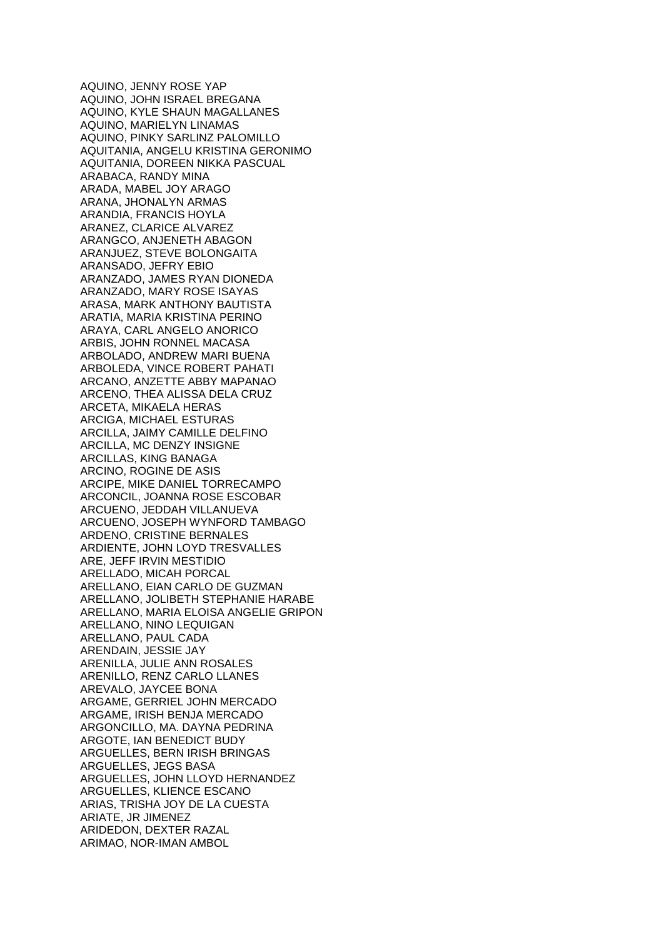AQUINO, JENNY ROSE YAP AQUINO, JOHN ISRAEL BREGANA AQUINO, KYLE SHAUN MAGALLANES AQUINO, MARIELYN LINAMAS AQUINO, PINKY SARLINZ PALOMILLO AQUITANIA, ANGELU KRISTINA GERONIMO AQUITANIA, DOREEN NIKKA PASCUAL ARABACA, RANDY MINA ARADA, MABEL JOY ARAGO ARANA, JHONALYN ARMAS ARANDIA, FRANCIS HOYLA ARANEZ, CLARICE ALVAREZ ARANGCO, ANJENETH ABAGON ARANJUEZ, STEVE BOLONGAITA ARANSADO, JEFRY EBIO ARANZADO, JAMES RYAN DIONEDA ARANZADO, MARY ROSE ISAYAS ARASA, MARK ANTHONY BAUTISTA ARATIA, MARIA KRISTINA PERINO ARAYA, CARL ANGELO ANORICO ARBIS, JOHN RONNEL MACASA ARBOLADO, ANDREW MARI BUENA ARBOLEDA, VINCE ROBERT PAHATI ARCANO, ANZETTE ABBY MAPANAO ARCENO, THEA ALISSA DELA CRUZ ARCETA, MIKAELA HERAS ARCIGA, MICHAEL ESTURAS ARCILLA, JAIMY CAMILLE DELFINO ARCILLA, MC DENZY INSIGNE ARCILLAS, KING BANAGA ARCINO, ROGINE DE ASIS ARCIPE, MIKE DANIEL TORRECAMPO ARCONCIL, JOANNA ROSE ESCOBAR ARCUENO, JEDDAH VILLANUEVA ARCUENO, JOSEPH WYNFORD TAMBAGO ARDENO, CRISTINE BERNALES ARDIENTE, JOHN LOYD TRESVALLES ARE, JEFF IRVIN MESTIDIO ARELLADO, MICAH PORCAL ARELLANO, EIAN CARLO DE GUZMAN ARELLANO, JOLIBETH STEPHANIE HARABE ARELLANO, MARIA ELOISA ANGELIE GRIPON ARELLANO, NINO LEQUIGAN ARELLANO, PAUL CADA ARENDAIN, JESSIE JAY ARENILLA, JULIE ANN ROSALES ARENILLO, RENZ CARLO LLANES AREVALO, JAYCEE BONA ARGAME, GERRIEL JOHN MERCADO ARGAME, IRISH BENJA MERCADO ARGONCILLO, MA. DAYNA PEDRINA ARGOTE, IAN BENEDICT BUDY ARGUELLES, BERN IRISH BRINGAS ARGUELLES, JEGS BASA ARGUELLES, JOHN LLOYD HERNANDEZ ARGUELLES, KLIENCE ESCANO ARIAS, TRISHA JOY DE LA CUESTA ARIATE, JR JIMENEZ ARIDEDON, DEXTER RAZAL ARIMAO, NOR-IMAN AMBOL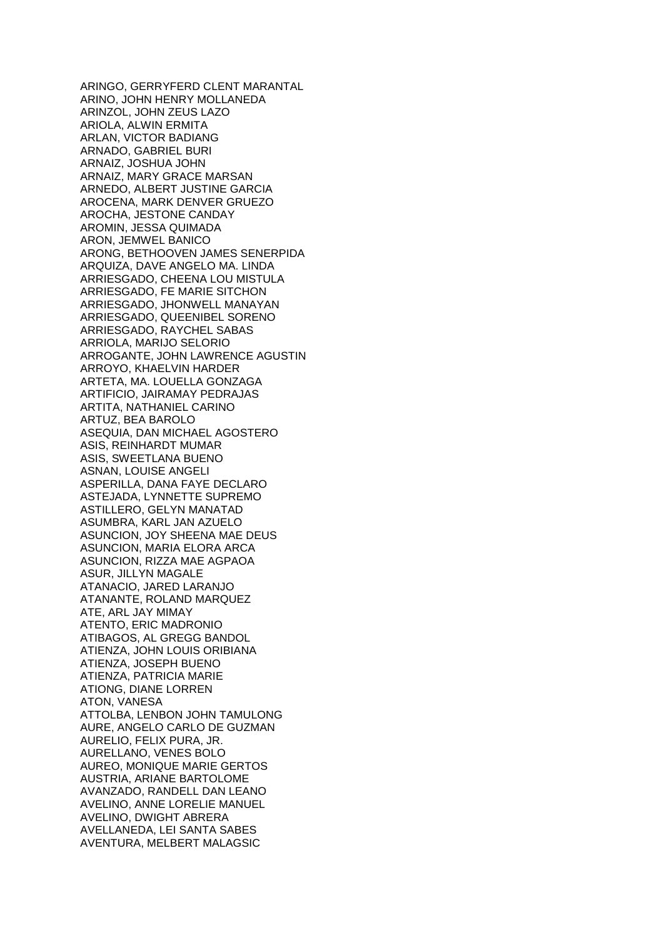ARINGO, GERRYFERD CLENT MARANTAL ARINO, JOHN HENRY MOLLANEDA ARINZOL, JOHN ZEUS LAZO ARIOLA, ALWIN ERMITA ARLAN, VICTOR BADIANG ARNADO, GABRIEL BURI ARNAIZ, JOSHUA JOHN ARNAIZ, MARY GRACE MARSAN ARNEDO, ALBERT JUSTINE GARCIA AROCENA, MARK DENVER GRUEZO AROCHA, JESTONE CANDAY AROMIN, JESSA QUIMADA ARON, JEMWEL BANICO ARONG, BETHOOVEN JAMES SENERPIDA ARQUIZA, DAVE ANGELO MA. LINDA ARRIESGADO, CHEENA LOU MISTULA ARRIESGADO, FE MARIE SITCHON ARRIESGADO, JHONWELL MANAYAN ARRIESGADO, QUEENIBEL SORENO ARRIESGADO, RAYCHEL SABAS ARRIOLA, MARIJO SELORIO ARROGANTE, JOHN LAWRENCE AGUSTIN ARROYO, KHAELVIN HARDER ARTETA, MA. LOUELLA GONZAGA ARTIFICIO, JAIRAMAY PEDRAJAS ARTITA, NATHANIEL CARINO ARTUZ, BEA BAROLO ASEQUIA, DAN MICHAEL AGOSTERO ASIS, REINHARDT MUMAR ASIS, SWEETLANA BUENO ASNAN, LOUISE ANGELI ASPERILLA, DANA FAYE DECLARO ASTEJADA, LYNNETTE SUPREMO ASTILLERO, GELYN MANATAD ASUMBRA, KARL JAN AZUELO ASUNCION, JOY SHEENA MAE DEUS ASUNCION, MARIA ELORA ARCA ASUNCION, RIZZA MAE AGPAOA ASUR, JILLYN MAGALE ATANACIO, JARED LARANJO ATANANTE, ROLAND MARQUEZ ATE, ARL JAY MIMAY ATENTO, ERIC MADRONIO ATIBAGOS, AL GREGG BANDOL ATIENZA, JOHN LOUIS ORIBIANA ATIENZA, JOSEPH BUENO ATIENZA, PATRICIA MARIE ATIONG, DIANE LORREN ATON, VANESA ATTOLBA, LENBON JOHN TAMULONG AURE, ANGELO CARLO DE GUZMAN AURELIO, FELIX PURA, JR. AURELLANO, VENES BOLO AUREO, MONIQUE MARIE GERTOS AUSTRIA, ARIANE BARTOLOME AVANZADO, RANDELL DAN LEANO AVELINO, ANNE LORELIE MANUEL AVELINO, DWIGHT ABRERA AVELLANEDA, LEI SANTA SABES AVENTURA, MELBERT MALAGSIC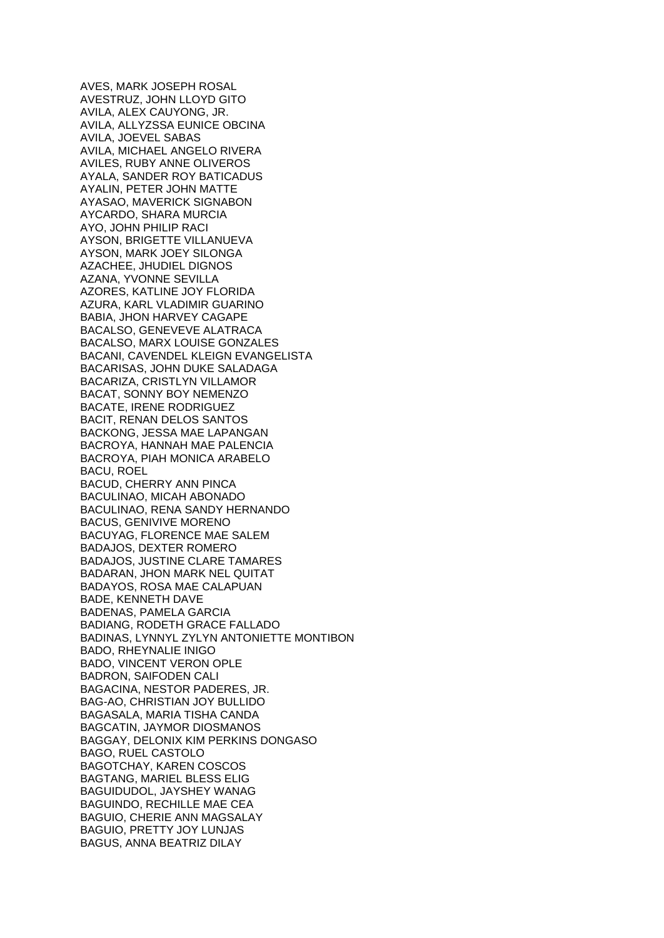AVES, MARK JOSEPH ROSAL AVESTRUZ, JOHN LLOYD GITO AVILA, ALEX CAUYONG, JR. AVILA, ALLYZSSA EUNICE OBCINA AVILA, JOEVEL SABAS AVILA, MICHAEL ANGELO RIVERA AVILES, RUBY ANNE OLIVEROS AYALA, SANDER ROY BATICADUS AYALIN, PETER JOHN MATTE AYASAO, MAVERICK SIGNABON AYCARDO, SHARA MURCIA AYO, JOHN PHILIP RACI AYSON, BRIGETTE VILLANUEVA AYSON, MARK JOEY SILONGA AZACHEE, JHUDIEL DIGNOS AZANA, YVONNE SEVILLA AZORES, KATLINE JOY FLORIDA AZURA, KARL VLADIMIR GUARINO BABIA, JHON HARVEY CAGAPE BACALSO, GENEVEVE ALATRACA BACALSO, MARX LOUISE GONZALES BACANI, CAVENDEL KLEIGN EVANGELISTA BACARISAS, JOHN DUKE SALADAGA BACARIZA, CRISTLYN VILLAMOR BACAT, SONNY BOY NEMENZO BACATE, IRENE RODRIGUEZ BACIT, RENAN DELOS SANTOS BACKONG, JESSA MAE LAPANGAN BACROYA, HANNAH MAE PALENCIA BACROYA, PIAH MONICA ARABELO BACU, ROEL BACUD, CHERRY ANN PINCA BACULINAO, MICAH ABONADO BACULINAO, RENA SANDY HERNANDO BACUS, GENIVIVE MORENO BACUYAG, FLORENCE MAE SALEM BADAJOS, DEXTER ROMERO BADAJOS, JUSTINE CLARE TAMARES BADARAN, JHON MARK NEL QUITAT BADAYOS, ROSA MAE CALAPUAN BADE, KENNETH DAVE BADENAS, PAMELA GARCIA BADIANG, RODETH GRACE FALLADO BADINAS, LYNNYL ZYLYN ANTONIETTE MONTIBON BADO, RHEYNALIE INIGO BADO, VINCENT VERON OPLE BADRON, SAIFODEN CALI BAGACINA, NESTOR PADERES, JR. BAG-AO, CHRISTIAN JOY BULLIDO BAGASALA, MARIA TISHA CANDA BAGCATIN, JAYMOR DIOSMANOS BAGGAY, DELONIX KIM PERKINS DONGASO BAGO, RUEL CASTOLO BAGOTCHAY, KAREN COSCOS BAGTANG, MARIEL BLESS ELIG BAGUIDUDOL, JAYSHEY WANAG BAGUINDO, RECHILLE MAE CEA BAGUIO, CHERIE ANN MAGSALAY BAGUIO, PRETTY JOY LUNJAS BAGUS, ANNA BEATRIZ DILAY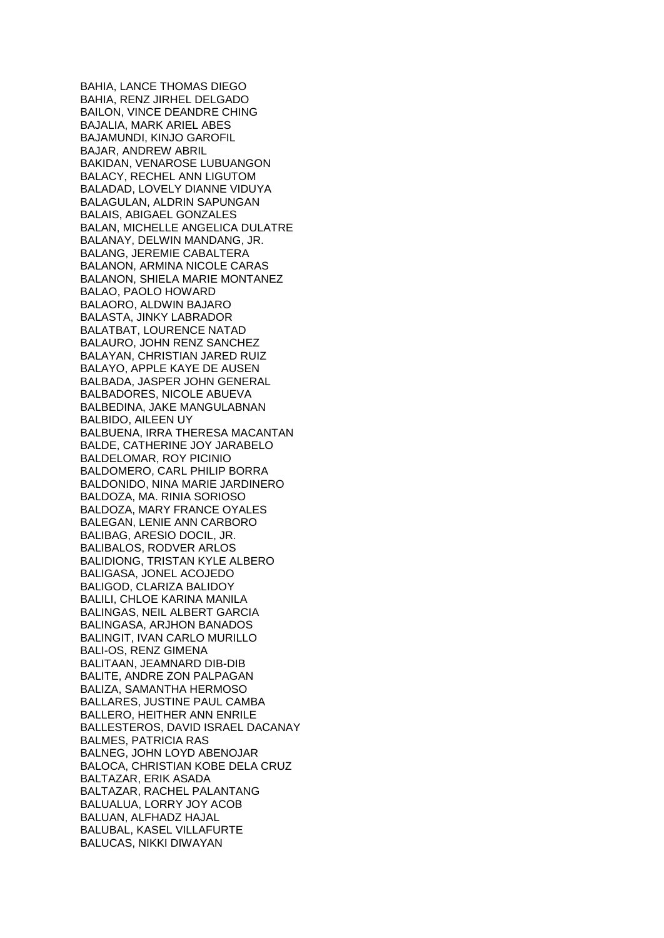BAHIA, LANCE THOMAS DIEGO BAHIA, RENZ JIRHEL DELGADO BAILON, VINCE DEANDRE CHING BAJALIA, MARK ARIEL ABES BAJAMUNDI, KINJO GAROFIL BAJAR, ANDREW ABRIL BAKIDAN, VENAROSE LUBUANGON BALACY, RECHEL ANN LIGUTOM BALADAD, LOVELY DIANNE VIDUYA BALAGULAN, ALDRIN SAPUNGAN BALAIS, ABIGAEL GONZALES BALAN, MICHELLE ANGELICA DULATRE BALANAY, DELWIN MANDANG, JR. BALANG, JEREMIE CABALTERA BALANON, ARMINA NICOLE CARAS BALANON, SHIELA MARIE MONTANEZ BALAO, PAOLO HOWARD BALAORO, ALDWIN BAJARO BALASTA, JINKY LABRADOR BALATBAT, LOURENCE NATAD BALAURO, JOHN RENZ SANCHEZ BALAYAN, CHRISTIAN JARED RUIZ BALAYO, APPLE KAYE DE AUSEN BALBADA, JASPER JOHN GENERAL BALBADORES, NICOLE ABUEVA BALBEDINA, JAKE MANGULABNAN BALBIDO, AILEEN UY BALBUENA, IRRA THERESA MACANTAN BALDE, CATHERINE JOY JARABELO BALDELOMAR, ROY PICINIO BALDOMERO, CARL PHILIP BORRA BALDONIDO, NINA MARIE JARDINERO BALDOZA, MA. RINIA SORIOSO BALDOZA, MARY FRANCE OYALES BALEGAN, LENIE ANN CARBORO BALIBAG, ARESIO DOCIL, JR. BALIBALOS, RODVER ARLOS BALIDIONG, TRISTAN KYLE ALBERO BALIGASA, JONEL ACOJEDO BALIGOD, CLARIZA BALIDOY BALILI, CHLOE KARINA MANILA BALINGAS, NEIL ALBERT GARCIA BALINGASA, ARJHON BANADOS BALINGIT, IVAN CARLO MURILLO BALI-OS, RENZ GIMENA BALITAAN, JEAMNARD DIB-DIB BALITE, ANDRE ZON PALPAGAN BALIZA, SAMANTHA HERMOSO BALLARES, JUSTINE PAUL CAMBA BALLERO, HEITHER ANN ENRILE BALLESTEROS, DAVID ISRAEL DACANAY BALMES, PATRICIA RAS BALNEG, JOHN LOYD ABENOJAR BALOCA, CHRISTIAN KOBE DELA CRUZ BALTAZAR, ERIK ASADA BALTAZAR, RACHEL PALANTANG BALUALUA, LORRY JOY ACOB BALUAN, ALFHADZ HAJAL BALUBAL, KASEL VILLAFURTE BALUCAS, NIKKI DIWAYAN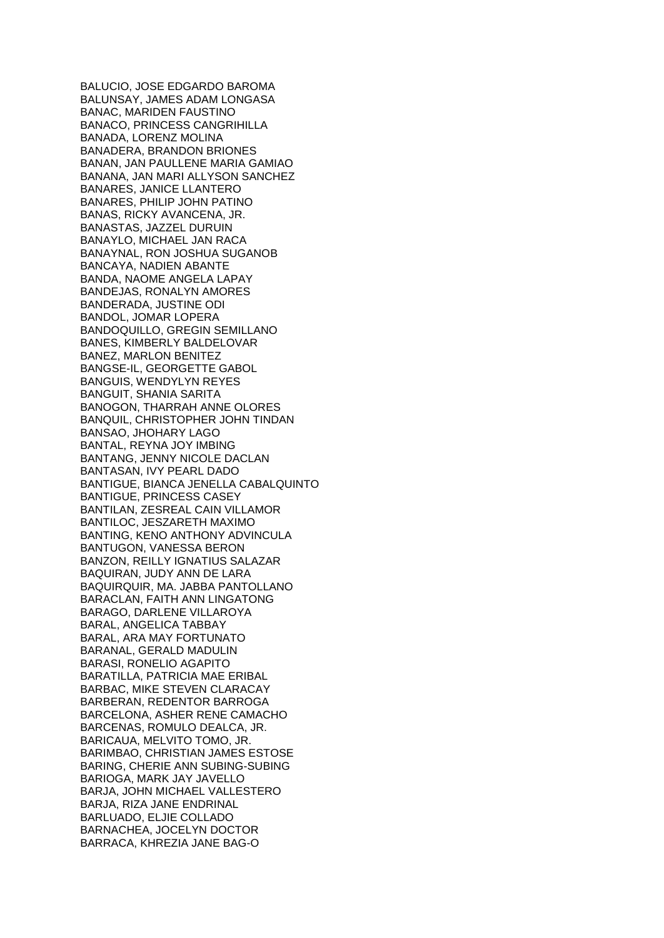BALUCIO, JOSE EDGARDO BAROMA BALUNSAY, JAMES ADAM LONGASA BANAC, MARIDEN FAUSTINO BANACO, PRINCESS CANGRIHILLA BANADA, LORENZ MOLINA BANADERA, BRANDON BRIONES BANAN, JAN PAULLENE MARIA GAMIAO BANANA, JAN MARI ALLYSON SANCHEZ BANARES, JANICE LLANTERO BANARES, PHILIP JOHN PATINO BANAS, RICKY AVANCENA, JR. BANASTAS, JAZZEL DURUIN BANAYLO, MICHAEL JAN RACA BANAYNAL, RON JOSHUA SUGANOB BANCAYA, NADIEN ABANTE BANDA, NAOME ANGELA LAPAY BANDEJAS, RONALYN AMORES BANDERADA, JUSTINE ODI BANDOL, JOMAR LOPERA BANDOQUILLO, GREGIN SEMILLANO BANES, KIMBERLY BALDELOVAR BANEZ, MARLON BENITEZ BANGSE-IL, GEORGETTE GABOL BANGUIS, WENDYLYN REYES BANGUIT, SHANIA SARITA BANOGON, THARRAH ANNE OLORES BANQUIL, CHRISTOPHER JOHN TINDAN BANSAO, JHOHARY LAGO BANTAL, REYNA JOY IMBING BANTANG, JENNY NICOLE DACLAN BANTASAN, IVY PEARL DADO BANTIGUE, BIANCA JENELLA CABALQUINTO BANTIGUE, PRINCESS CASEY BANTILAN, ZESREAL CAIN VILLAMOR BANTILOC, JESZARETH MAXIMO BANTING, KENO ANTHONY ADVINCULA BANTUGON, VANESSA BERON BANZON, REILLY IGNATIUS SALAZAR BAQUIRAN, JUDY ANN DE LARA BAQUIRQUIR, MA. JABBA PANTOLLANO BARACLAN, FAITH ANN LINGATONG BARAGO, DARLENE VILLAROYA BARAL, ANGELICA TABBAY BARAL, ARA MAY FORTUNATO BARANAL, GERALD MADULIN BARASI, RONELIO AGAPITO BARATILLA, PATRICIA MAE ERIBAL BARBAC, MIKE STEVEN CLARACAY BARBERAN, REDENTOR BARROGA BARCELONA, ASHER RENE CAMACHO BARCENAS, ROMULO DEALCA, JR. BARICAUA, MELVITO TOMO, JR. BARIMBAO, CHRISTIAN JAMES ESTOSE BARING, CHERIE ANN SUBING-SUBING BARIOGA, MARK JAY JAVELLO BARJA, JOHN MICHAEL VALLESTERO BARJA, RIZA JANE ENDRINAL BARLUADO, ELJIE COLLADO BARNACHEA, JOCELYN DOCTOR BARRACA, KHREZIA JANE BAG-O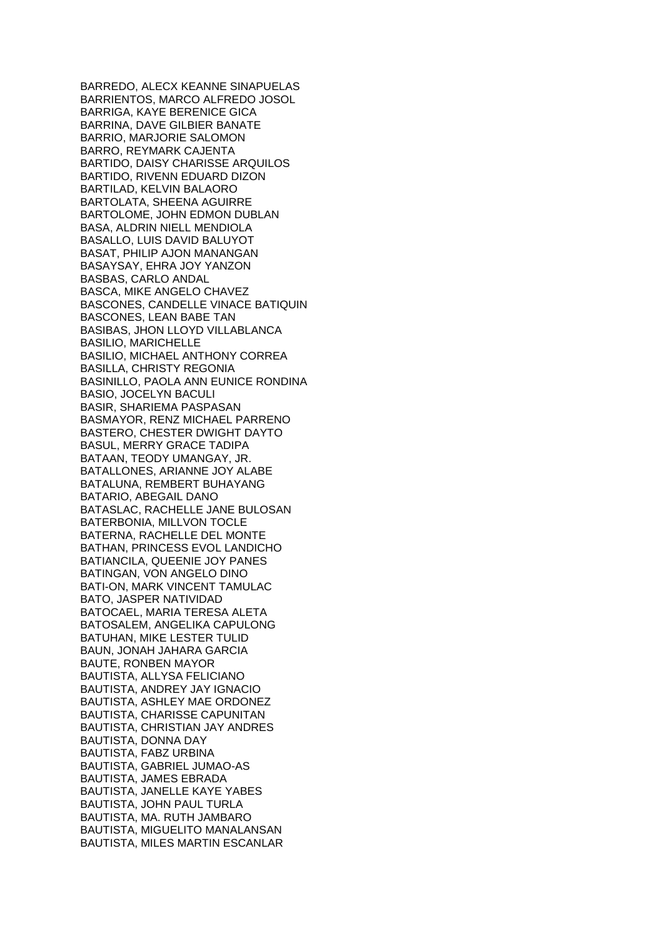BARREDO, ALECX KEANNE SINAPUELAS BARRIENTOS, MARCO ALFREDO JOSOL BARRIGA, KAYE BERENICE GICA BARRINA, DAVE GILBIER BANATE BARRIO, MARJORIE SALOMON BARRO, REYMARK CAJENTA BARTIDO, DAISY CHARISSE ARQUILOS BARTIDO, RIVENN EDUARD DIZON BARTILAD, KELVIN BALAORO BARTOLATA, SHEENA AGUIRRE BARTOLOME, JOHN EDMON DUBLAN BASA, ALDRIN NIELL MENDIOLA BASALLO, LUIS DAVID BALUYOT BASAT, PHILIP AJON MANANGAN BASAYSAY, EHRA JOY YANZON BASBAS, CARLO ANDAL BASCA, MIKE ANGELO CHAVEZ BASCONES, CANDELLE VINACE BATIQUIN BASCONES, LEAN BABE TAN BASIBAS, JHON LLOYD VILLABLANCA BASILIO, MARICHELLE BASILIO, MICHAEL ANTHONY CORREA BASILLA, CHRISTY REGONIA BASINILLO, PAOLA ANN EUNICE RONDINA BASIO, JOCELYN BACULI BASIR, SHARIEMA PASPASAN BASMAYOR, RENZ MICHAEL PARRENO BASTERO, CHESTER DWIGHT DAYTO BASUL, MERRY GRACE TADIPA BATAAN, TEODY UMANGAY, JR. BATALLONES, ARIANNE JOY ALABE BATALUNA, REMBERT BUHAYANG BATARIO, ABEGAIL DANO BATASLAC, RACHELLE JANE BULOSAN BATERBONIA, MILLVON TOCLE BATERNA, RACHELLE DEL MONTE BATHAN, PRINCESS EVOL LANDICHO BATIANCILA, QUEENIE JOY PANES BATINGAN, VON ANGELO DINO BATI-ON, MARK VINCENT TAMULAC BATO, JASPER NATIVIDAD BATOCAEL, MARIA TERESA ALETA BATOSALEM, ANGELIKA CAPULONG BATUHAN, MIKE LESTER TULID BAUN, JONAH JAHARA GARCIA BAUTE, RONBEN MAYOR BAUTISTA, ALLYSA FELICIANO BAUTISTA, ANDREY JAY IGNACIO BAUTISTA, ASHLEY MAE ORDONEZ BAUTISTA, CHARISSE CAPUNITAN BAUTISTA, CHRISTIAN JAY ANDRES BAUTISTA, DONNA DAY BAUTISTA, FABZ URBINA BAUTISTA, GABRIEL JUMAO-AS BAUTISTA, JAMES EBRADA BAUTISTA, JANELLE KAYE YABES BAUTISTA, JOHN PAUL TURLA BAUTISTA, MA. RUTH JAMBARO BAUTISTA, MIGUELITO MANALANSAN BAUTISTA, MILES MARTIN ESCANLAR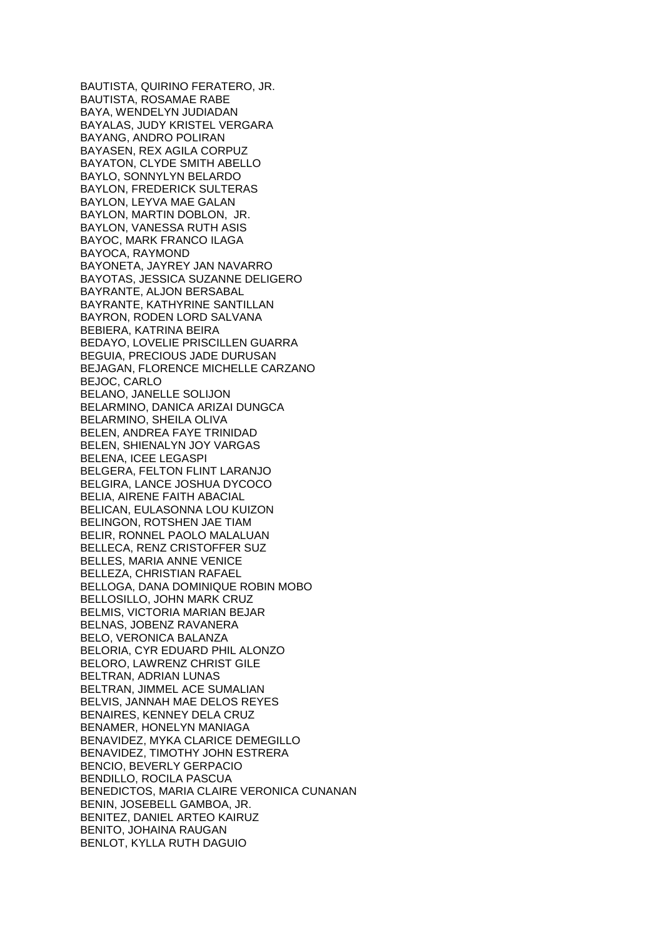BAUTISTA, QUIRINO FERATERO, JR. BAUTISTA, ROSAMAE RABE BAYA, WENDELYN JUDIADAN BAYALAS, JUDY KRISTEL VERGARA BAYANG, ANDRO POLIRAN BAYASEN, REX AGILA CORPUZ BAYATON, CLYDE SMITH ABELLO BAYLO, SONNYLYN BELARDO BAYLON, FREDERICK SULTERAS BAYLON, LEYVA MAE GALAN BAYLON, MARTIN DOBLON, JR. BAYLON, VANESSA RUTH ASIS BAYOC, MARK FRANCO ILAGA BAYOCA, RAYMOND BAYONETA, JAYREY JAN NAVARRO BAYOTAS, JESSICA SUZANNE DELIGERO BAYRANTE, ALJON BERSABAL BAYRANTE, KATHYRINE SANTILLAN BAYRON, RODEN LORD SALVANA BEBIERA, KATRINA BEIRA BEDAYO, LOVELIE PRISCILLEN GUARRA BEGUIA, PRECIOUS JADE DURUSAN BEJAGAN, FLORENCE MICHELLE CARZANO BEJOC, CARLO BELANO, JANELLE SOLIJON BELARMINO, DANICA ARIZAI DUNGCA BELARMINO, SHEILA OLIVA BELEN, ANDREA FAYE TRINIDAD BELEN, SHIENALYN JOY VARGAS BELENA, ICEE LEGASPI BELGERA, FELTON FLINT LARANJO BELGIRA, LANCE JOSHUA DYCOCO BELIA, AIRENE FAITH ABACIAL BELICAN, EULASONNA LOU KUIZON BELINGON, ROTSHEN JAE TIAM BELIR, RONNEL PAOLO MALALUAN BELLECA, RENZ CRISTOFFER SUZ BELLES, MARIA ANNE VENICE BELLEZA, CHRISTIAN RAFAEL BELLOGA, DANA DOMINIQUE ROBIN MOBO BELLOSILLO, JOHN MARK CRUZ BELMIS, VICTORIA MARIAN BEJAR BELNAS, JOBENZ RAVANERA BELO, VERONICA BALANZA BELORIA, CYR EDUARD PHIL ALONZO BELORO, LAWRENZ CHRIST GILE BELTRAN, ADRIAN LUNAS BELTRAN, JIMMEL ACE SUMALIAN BELVIS, JANNAH MAE DELOS REYES BENAIRES, KENNEY DELA CRUZ BENAMER, HONELYN MANIAGA BENAVIDEZ, MYKA CLARICE DEMEGILLO BENAVIDEZ, TIMOTHY JOHN ESTRERA BENCIO, BEVERLY GERPACIO BENDILLO, ROCILA PASCUA BENEDICTOS, MARIA CLAIRE VERONICA CUNANAN BENIN, JOSEBELL GAMBOA, JR. BENITEZ, DANIEL ARTEO KAIRUZ BENITO, JOHAINA RAUGAN BENLOT, KYLLA RUTH DAGUIO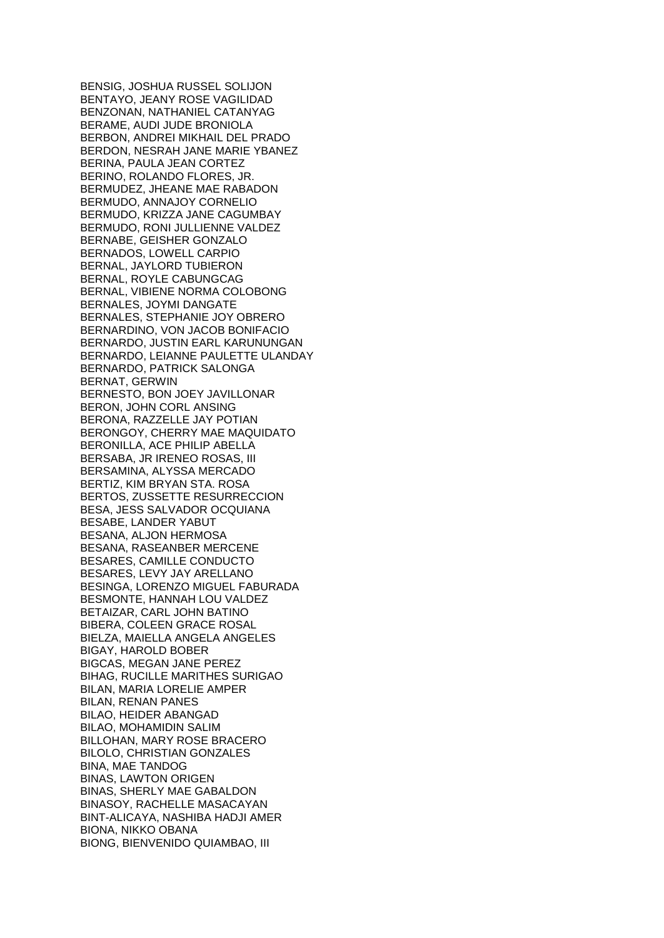BENSIG, JOSHUA RUSSEL SOLIJON BENTAYO, JEANY ROSE VAGILIDAD BENZONAN, NATHANIEL CATANYAG BERAME, AUDI JUDE BRONIOLA BERBON, ANDREI MIKHAIL DEL PRADO BERDON, NESRAH JANE MARIE YBANEZ BERINA, PAULA JEAN CORTEZ BERINO, ROLANDO FLORES, JR. BERMUDEZ, JHEANE MAE RABADON BERMUDO, ANNAJOY CORNELIO BERMUDO, KRIZZA JANE CAGUMBAY BERMUDO, RONI JULLIENNE VALDEZ BERNABE, GEISHER GONZALO BERNADOS, LOWELL CARPIO BERNAL, JAYLORD TUBIERON BERNAL, ROYLE CABUNGCAG BERNAL, VIBIENE NORMA COLOBONG BERNALES, JOYMI DANGATE BERNALES, STEPHANIE JOY OBRERO BERNARDINO, VON JACOB BONIFACIO BERNARDO, JUSTIN EARL KARUNUNGAN BERNARDO, LEIANNE PAULETTE ULANDAY BERNARDO, PATRICK SALONGA BERNAT, GERWIN BERNESTO, BON JOEY JAVILLONAR BERON, JOHN CORL ANSING BERONA, RAZZELLE JAY POTIAN BERONGOY, CHERRY MAE MAQUIDATO BERONILLA, ACE PHILIP ABELLA BERSABA, JR IRENEO ROSAS, III BERSAMINA, ALYSSA MERCADO BERTIZ, KIM BRYAN STA. ROSA BERTOS, ZUSSETTE RESURRECCION BESA, JESS SALVADOR OCQUIANA BESABE, LANDER YABUT BESANA, ALJON HERMOSA BESANA, RASEANBER MERCENE BESARES, CAMILLE CONDUCTO BESARES, LEVY JAY ARELLANO BESINGA, LORENZO MIGUEL FABURADA BESMONTE, HANNAH LOU VALDEZ BETAIZAR, CARL JOHN BATINO BIBERA, COLEEN GRACE ROSAL BIELZA, MAIELLA ANGELA ANGELES BIGAY, HAROLD BOBER BIGCAS, MEGAN JANE PEREZ BIHAG, RUCILLE MARITHES SURIGAO BILAN, MARIA LORELIE AMPER BILAN, RENAN PANES BILAO, HEIDER ABANGAD BILAO, MOHAMIDIN SALIM BILLOHAN, MARY ROSE BRACERO BILOLO, CHRISTIAN GONZALES BINA, MAE TANDOG BINAS, LAWTON ORIGEN BINAS, SHERLY MAE GABALDON BINASOY, RACHELLE MASACAYAN BINT-ALICAYA, NASHIBA HADJI AMER BIONA, NIKKO OBANA BIONG, BIENVENIDO QUIAMBAO, III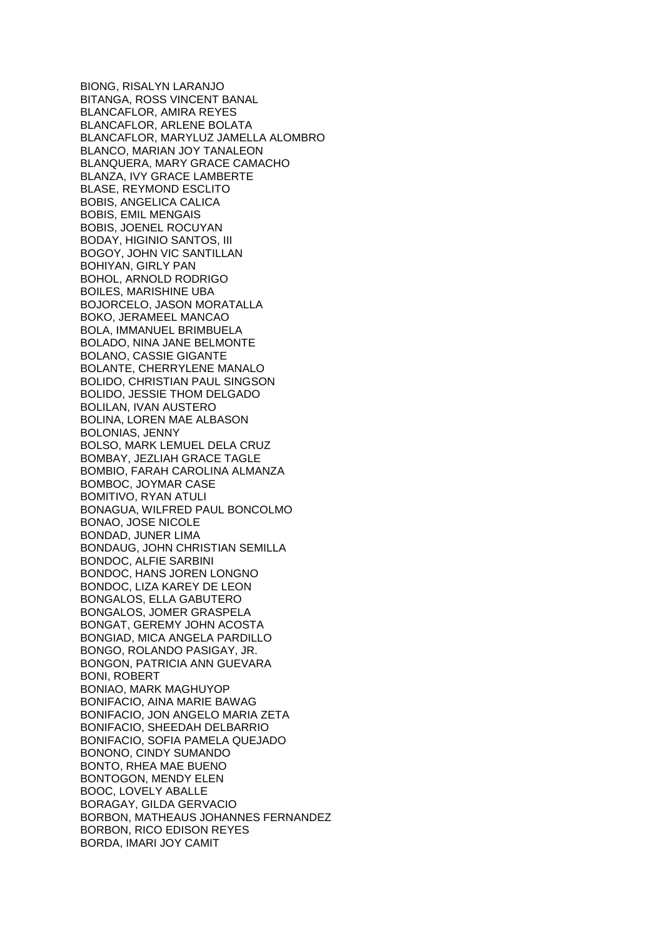BIONG, RISALYN LARANJO BITANGA, ROSS VINCENT BANAL BLANCAFLOR, AMIRA REYES BLANCAFLOR, ARLENE BOLATA BLANCAFLOR, MARYLUZ JAMELLA ALOMBRO BLANCO, MARIAN JOY TANALEON BLANQUERA, MARY GRACE CAMACHO BLANZA, IVY GRACE LAMBERTE BLASE, REYMOND ESCLITO BOBIS, ANGELICA CALICA BOBIS, EMIL MENGAIS BOBIS, JOENEL ROCUYAN BODAY, HIGINIO SANTOS, III BOGOY, JOHN VIC SANTILLAN BOHIYAN, GIRLY PAN BOHOL, ARNOLD RODRIGO BOILES, MARISHINE UBA BOJORCELO, JASON MORATALLA BOKO, JERAMEEL MANCAO BOLA, IMMANUEL BRIMBUELA BOLADO, NINA JANE BELMONTE BOLANO, CASSIE GIGANTE BOLANTE, CHERRYLENE MANALO BOLIDO, CHRISTIAN PAUL SINGSON BOLIDO, JESSIE THOM DELGADO BOLILAN, IVAN AUSTERO BOLINA, LOREN MAE ALBASON BOLONIAS, JENNY BOLSO, MARK LEMUEL DELA CRUZ BOMBAY, JEZLIAH GRACE TAGLE BOMBIO, FARAH CAROLINA ALMANZA BOMBOC, JOYMAR CASE BOMITIVO, RYAN ATULI BONAGUA, WILFRED PAUL BONCOLMO BONAO, JOSE NICOLE BONDAD, JUNER LIMA BONDAUG, JOHN CHRISTIAN SEMILLA BONDOC, ALFIE SARBINI BONDOC, HANS JOREN LONGNO BONDOC, LIZA KAREY DE LEON BONGALOS, ELLA GABUTERO BONGALOS, JOMER GRASPELA BONGAT, GEREMY JOHN ACOSTA BONGIAD, MICA ANGELA PARDILLO BONGO, ROLANDO PASIGAY, JR. BONGON, PATRICIA ANN GUEVARA BONI, ROBERT BONIAO, MARK MAGHUYOP BONIFACIO, AINA MARIE BAWAG BONIFACIO, JON ANGELO MARIA ZETA BONIFACIO, SHEEDAH DELBARRIO BONIFACIO, SOFIA PAMELA QUEJADO BONONO, CINDY SUMANDO BONTO, RHEA MAE BUENO BONTOGON, MENDY ELEN BOOC, LOVELY ABALLE BORAGAY, GILDA GERVACIO BORBON, MATHEAUS JOHANNES FERNANDEZ BORBON, RICO EDISON REYES BORDA, IMARI JOY CAMIT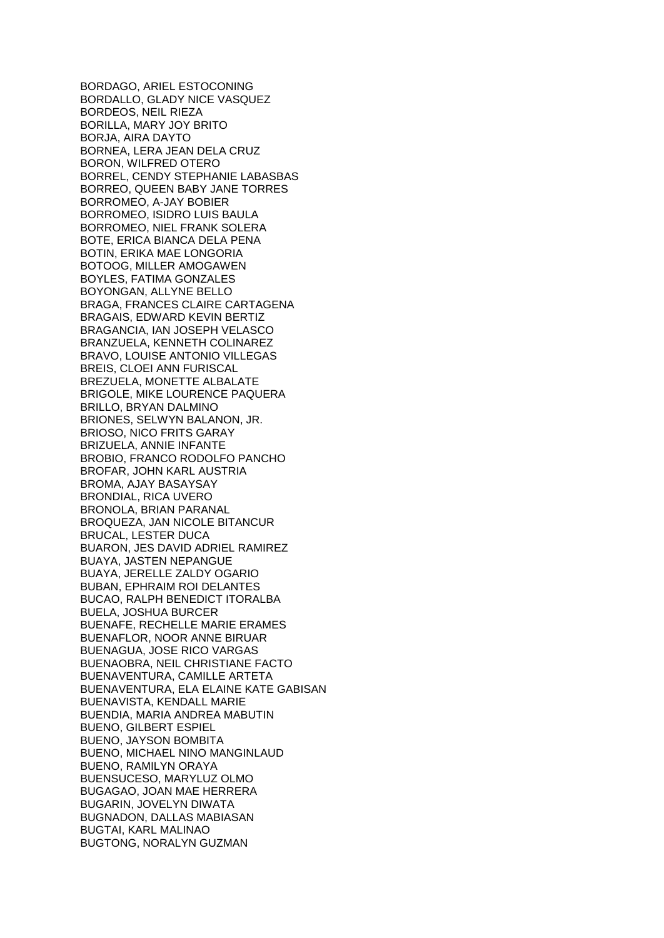BORDAGO, ARIEL ESTOCONING BORDALLO, GLADY NICE VASQUEZ BORDEOS, NEIL RIEZA BORILLA, MARY JOY BRITO BORJA, AIRA DAYTO BORNEA, LERA JEAN DELA CRUZ BORON, WILFRED OTERO BORREL, CENDY STEPHANIE LABASBAS BORREO, QUEEN BABY JANE TORRES BORROMEO, A-JAY BOBIER BORROMEO, ISIDRO LUIS BAULA BORROMEO, NIEL FRANK SOLERA BOTE, ERICA BIANCA DELA PENA BOTIN, ERIKA MAE LONGORIA BOTOOG, MILLER AMOGAWEN BOYLES, FATIMA GONZALES BOYONGAN, ALLYNE BELLO BRAGA, FRANCES CLAIRE CARTAGENA BRAGAIS, EDWARD KEVIN BERTIZ BRAGANCIA, IAN JOSEPH VELASCO BRANZUELA, KENNETH COLINAREZ BRAVO, LOUISE ANTONIO VILLEGAS BREIS, CLOEI ANN FURISCAL BREZUELA, MONETTE ALBALATE BRIGOLE, MIKE LOURENCE PAQUERA BRILLO, BRYAN DALMINO BRIONES, SELWYN BALANON, JR. BRIOSO, NICO FRITS GARAY BRIZUELA, ANNIE INFANTE BROBIO, FRANCO RODOLFO PANCHO BROFAR, JOHN KARL AUSTRIA BROMA, AJAY BASAYSAY BRONDIAL, RICA UVERO BRONOLA, BRIAN PARANAL BROQUEZA, JAN NICOLE BITANCUR BRUCAL, LESTER DUCA BUARON, JES DAVID ADRIEL RAMIREZ BUAYA, JASTEN NEPANGUE BUAYA, JERELLE ZALDY OGARIO BUBAN, EPHRAIM ROI DELANTES BUCAO, RALPH BENEDICT ITORALBA BUELA, JOSHUA BURCER BUENAFE, RECHELLE MARIE ERAMES BUENAFLOR, NOOR ANNE BIRUAR BUENAGUA, JOSE RICO VARGAS BUENAOBRA, NEIL CHRISTIANE FACTO BUENAVENTURA, CAMILLE ARTETA BUENAVENTURA, ELA ELAINE KATE GABISAN BUENAVISTA, KENDALL MARIE BUENDIA, MARIA ANDREA MABUTIN BUENO, GILBERT ESPIEL BUENO, JAYSON BOMBITA BUENO, MICHAEL NINO MANGINLAUD BUENO, RAMILYN ORAYA BUENSUCESO, MARYLUZ OLMO BUGAGAO, JOAN MAE HERRERA BUGARIN, JOVELYN DIWATA BUGNADON, DALLAS MABIASAN BUGTAI, KARL MALINAO BUGTONG, NORALYN GUZMAN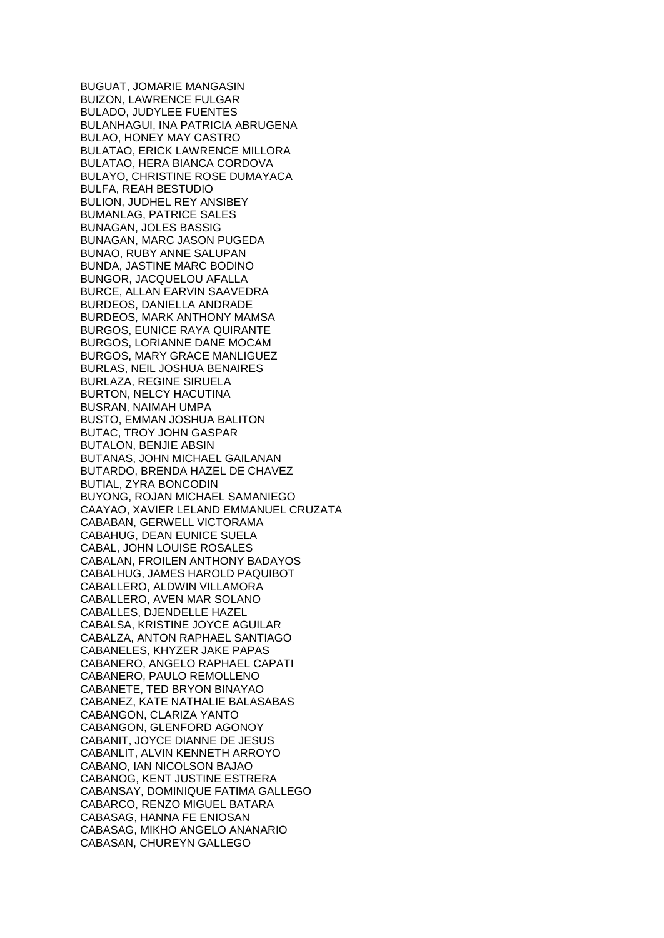BUGUAT, JOMARIE MANGASIN BUIZON, LAWRENCE FULGAR BULADO, JUDYLEE FUENTES BULANHAGUI, INA PATRICIA ABRUGENA BULAO, HONEY MAY CASTRO BULATAO, ERICK LAWRENCE MILLORA BULATAO, HERA BIANCA CORDOVA BULAYO, CHRISTINE ROSE DUMAYACA BULFA, REAH BESTUDIO BULION, JUDHEL REY ANSIBEY BUMANLAG, PATRICE SALES BUNAGAN, JOLES BASSIG BUNAGAN, MARC JASON PUGEDA BUNAO, RUBY ANNE SALUPAN BUNDA, JASTINE MARC BODINO BUNGOR, JACQUELOU AFALLA BURCE, ALLAN EARVIN SAAVEDRA BURDEOS, DANIELLA ANDRADE BURDEOS, MARK ANTHONY MAMSA BURGOS, EUNICE RAYA QUIRANTE BURGOS, LORIANNE DANE MOCAM BURGOS, MARY GRACE MANLIGUEZ BURLAS, NEIL JOSHUA BENAIRES BURLAZA, REGINE SIRUELA BURTON, NELCY HACUTINA BUSRAN, NAIMAH UMPA BUSTO, EMMAN JOSHUA BALITON BUTAC, TROY JOHN GASPAR BUTALON, BENJIE ABSIN BUTANAS, JOHN MICHAEL GAILANAN BUTARDO, BRENDA HAZEL DE CHAVEZ BUTIAL, ZYRA BONCODIN BUYONG, ROJAN MICHAEL SAMANIEGO CAAYAO, XAVIER LELAND EMMANUEL CRUZATA CABABAN, GERWELL VICTORAMA CABAHUG, DEAN EUNICE SUELA CABAL, JOHN LOUISE ROSALES CABALAN, FROILEN ANTHONY BADAYOS CABALHUG, JAMES HAROLD PAQUIBOT CABALLERO, ALDWIN VILLAMORA CABALLERO, AVEN MAR SOLANO CABALLES, DJENDELLE HAZEL CABALSA, KRISTINE JOYCE AGUILAR CABALZA, ANTON RAPHAEL SANTIAGO CABANELES, KHYZER JAKE PAPAS CABANERO, ANGELO RAPHAEL CAPATI CABANERO, PAULO REMOLLENO CABANETE, TED BRYON BINAYAO CABANEZ, KATE NATHALIE BALASABAS CABANGON, CLARIZA YANTO CABANGON, GLENFORD AGONOY CABANIT, JOYCE DIANNE DE JESUS CABANLIT, ALVIN KENNETH ARROYO CABANO, IAN NICOLSON BAJAO CABANOG, KENT JUSTINE ESTRERA CABANSAY, DOMINIQUE FATIMA GALLEGO CABARCO, RENZO MIGUEL BATARA CABASAG, HANNA FE ENIOSAN CABASAG, MIKHO ANGELO ANANARIO CABASAN, CHUREYN GALLEGO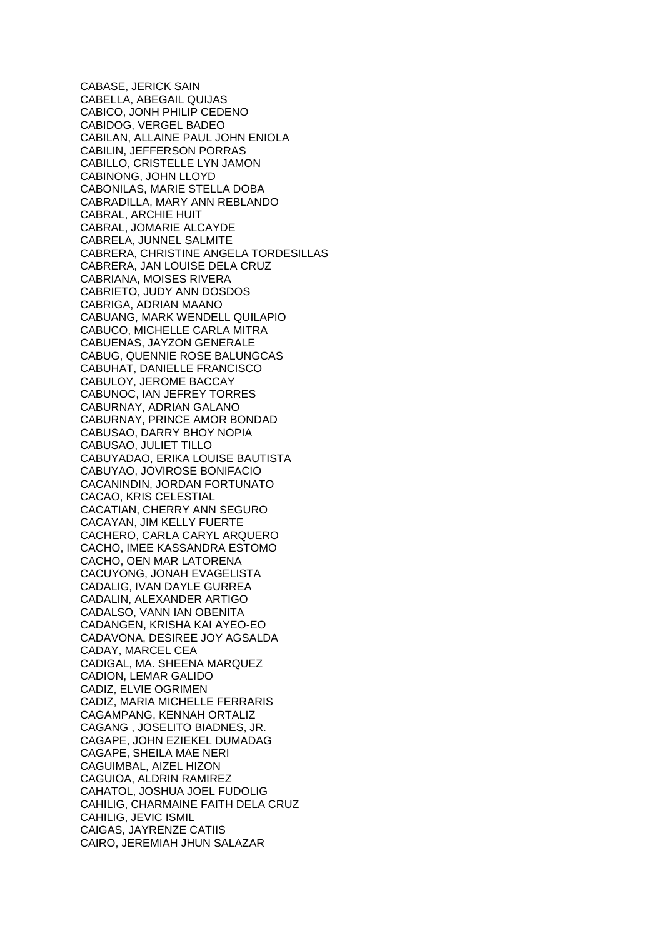CABASE, JERICK SAIN CABELLA, ABEGAIL QUIJAS CABICO, JONH PHILIP CEDENO CABIDOG, VERGEL BADEO CABILAN, ALLAINE PAUL JOHN ENIOLA CABILIN, JEFFERSON PORRAS CABILLO, CRISTELLE LYN JAMON CABINONG, JOHN LLOYD CABONILAS, MARIE STELLA DOBA CABRADILLA, MARY ANN REBLANDO CABRAL, ARCHIE HUIT CABRAL, JOMARIE ALCAYDE CABRELA, JUNNEL SALMITE CABRERA, CHRISTINE ANGELA TORDESILLAS CABRERA, JAN LOUISE DELA CRUZ CABRIANA, MOISES RIVERA CABRIETO, JUDY ANN DOSDOS CABRIGA, ADRIAN MAANO CABUANG, MARK WENDELL QUILAPIO CABUCO, MICHELLE CARLA MITRA CABUENAS, JAYZON GENERALE CABUG, QUENNIE ROSE BALUNGCAS CABUHAT, DANIELLE FRANCISCO CABULOY, JEROME BACCAY CABUNOC, IAN JEFREY TORRES CABURNAY, ADRIAN GALANO CABURNAY, PRINCE AMOR BONDAD CABUSAO, DARRY BHOY NOPIA CABUSAO, JULIET TILLO CABUYADAO, ERIKA LOUISE BAUTISTA CABUYAO, JOVIROSE BONIFACIO CACANINDIN, JORDAN FORTUNATO CACAO, KRIS CELESTIAL CACATIAN, CHERRY ANN SEGURO CACAYAN, JIM KELLY FUERTE CACHERO, CARLA CARYL ARQUERO CACHO, IMEE KASSANDRA ESTOMO CACHO, OEN MAR LATORENA CACUYONG, JONAH EVAGELISTA CADALIG, IVAN DAYLE GURREA CADALIN, ALEXANDER ARTIGO CADALSO, VANN IAN OBENITA CADANGEN, KRISHA KAI AYEO-EO CADAVONA, DESIREE JOY AGSALDA CADAY, MARCEL CEA CADIGAL, MA. SHEENA MARQUEZ CADION, LEMAR GALIDO CADIZ, ELVIE OGRIMEN CADIZ, MARIA MICHELLE FERRARIS CAGAMPANG, KENNAH ORTALIZ CAGANG , JOSELITO BIADNES, JR. CAGAPE, JOHN EZIEKEL DUMADAG CAGAPE, SHEILA MAE NERI CAGUIMBAL, AIZEL HIZON CAGUIOA, ALDRIN RAMIREZ CAHATOL, JOSHUA JOEL FUDOLIG CAHILIG, CHARMAINE FAITH DELA CRUZ CAHILIG, JEVIC ISMIL CAIGAS, JAYRENZE CATIIS CAIRO, JEREMIAH JHUN SALAZAR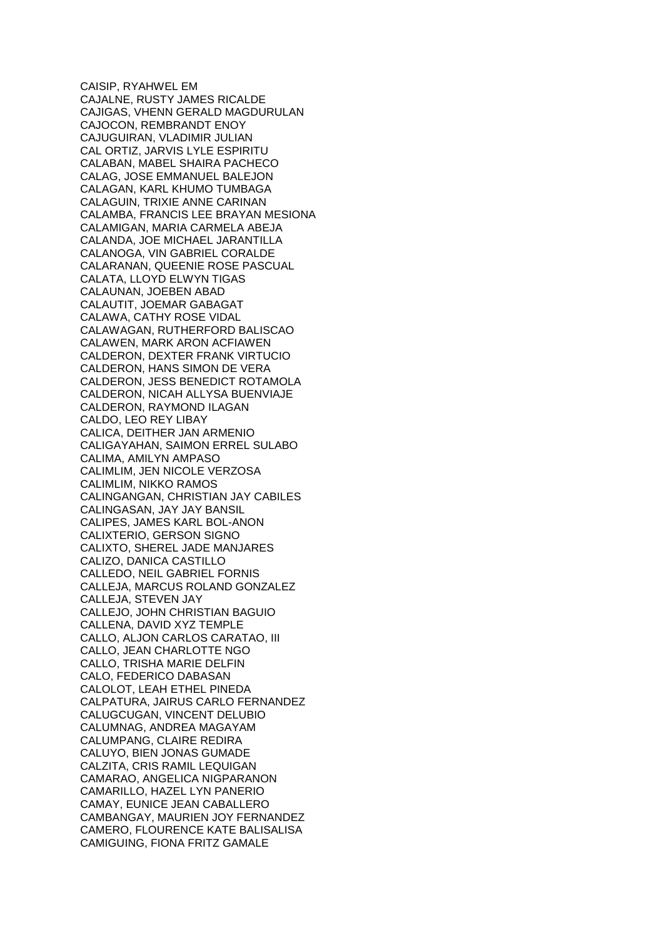CAISIP, RYAHWEL EM CAJALNE, RUSTY JAMES RICALDE CAJIGAS, VHENN GERALD MAGDURULAN CAJOCON, REMBRANDT ENOY CAJUGUIRAN, VLADIMIR JULIAN CAL ORTIZ, JARVIS LYLE ESPIRITU CALABAN, MABEL SHAIRA PACHECO CALAG, JOSE EMMANUEL BALEJON CALAGAN, KARL KHUMO TUMBAGA CALAGUIN, TRIXIE ANNE CARINAN CALAMBA, FRANCIS LEE BRAYAN MESIONA CALAMIGAN, MARIA CARMELA ABEJA CALANDA, JOE MICHAEL JARANTILLA CALANOGA, VIN GABRIEL CORALDE CALARANAN, QUEENIE ROSE PASCUAL CALATA, LLOYD ELWYN TIGAS CALAUNAN, JOEBEN ABAD CALAUTIT, JOEMAR GABAGAT CALAWA, CATHY ROSE VIDAL CALAWAGAN, RUTHERFORD BALISCAO CALAWEN, MARK ARON ACFIAWEN CALDERON, DEXTER FRANK VIRTUCIO CALDERON, HANS SIMON DE VERA CALDERON, JESS BENEDICT ROTAMOLA CALDERON, NICAH ALLYSA BUENVIAJE CALDERON, RAYMOND ILAGAN CALDO, LEO REY LIBAY CALICA, DEITHER JAN ARMENIO CALIGAYAHAN, SAIMON ERREL SULABO CALIMA, AMILYN AMPASO CALIMLIM, JEN NICOLE VERZOSA CALIMLIM, NIKKO RAMOS CALINGANGAN, CHRISTIAN JAY CABILES CALINGASAN, JAY JAY BANSIL CALIPES, JAMES KARL BOL-ANON CALIXTERIO, GERSON SIGNO CALIXTO, SHEREL JADE MANJARES CALIZO, DANICA CASTILLO CALLEDO, NEIL GABRIEL FORNIS CALLEJA, MARCUS ROLAND GONZALEZ CALLEJA, STEVEN JAY CALLEJO, JOHN CHRISTIAN BAGUIO CALLENA, DAVID XYZ TEMPLE CALLO, ALJON CARLOS CARATAO, III CALLO, JEAN CHARLOTTE NGO CALLO, TRISHA MARIE DELFIN CALO, FEDERICO DABASAN CALOLOT, LEAH ETHEL PINEDA CALPATURA, JAIRUS CARLO FERNANDEZ CALUGCUGAN, VINCENT DELUBIO CALUMNAG, ANDREA MAGAYAM CALUMPANG, CLAIRE REDIRA CALUYO, BIEN JONAS GUMADE CALZITA, CRIS RAMIL LEQUIGAN CAMARAO, ANGELICA NIGPARANON CAMARILLO, HAZEL LYN PANERIO CAMAY, EUNICE JEAN CABALLERO CAMBANGAY, MAURIEN JOY FERNANDEZ CAMERO, FLOURENCE KATE BALISALISA CAMIGUING, FIONA FRITZ GAMALE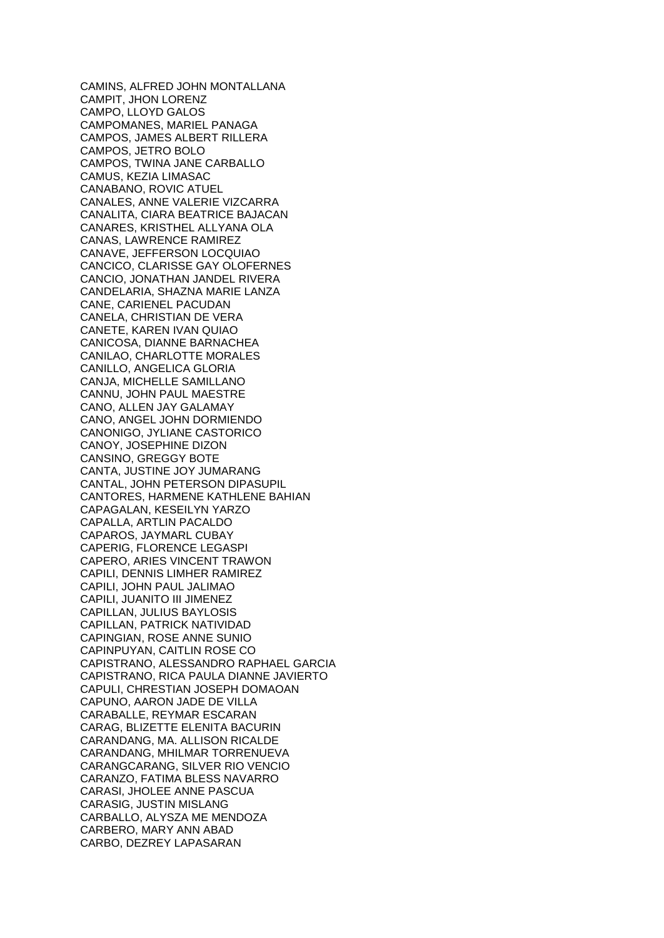CAMINS, ALFRED JOHN MONTALLANA CAMPIT, JHON LORENZ CAMPO, LLOYD GALOS CAMPOMANES, MARIEL PANAGA CAMPOS, JAMES ALBERT RILLERA CAMPOS, JETRO BOLO CAMPOS, TWINA JANE CARBALLO CAMUS, KEZIA LIMASAC CANABANO, ROVIC ATUEL CANALES, ANNE VALERIE VIZCARRA CANALITA, CIARA BEATRICE BAJACAN CANARES, KRISTHEL ALLYANA OLA CANAS, LAWRENCE RAMIREZ CANAVE, JEFFERSON LOCQUIAO CANCICO, CLARISSE GAY OLOFERNES CANCIO, JONATHAN JANDEL RIVERA CANDELARIA, SHAZNA MARIE LANZA CANE, CARIENEL PACUDAN CANELA, CHRISTIAN DE VERA CANETE, KAREN IVAN QUIAO CANICOSA, DIANNE BARNACHEA CANILAO, CHARLOTTE MORALES CANILLO, ANGELICA GLORIA CANJA, MICHELLE SAMILLANO CANNU, JOHN PAUL MAESTRE CANO, ALLEN JAY GALAMAY CANO, ANGEL JOHN DORMIENDO CANONIGO, JYLIANE CASTORICO CANOY, JOSEPHINE DIZON CANSINO, GREGGY BOTE CANTA, JUSTINE JOY JUMARANG CANTAL, JOHN PETERSON DIPASUPIL CANTORES, HARMENE KATHLENE BAHIAN CAPAGALAN, KESEILYN YARZO CAPALLA, ARTLIN PACALDO CAPAROS, JAYMARL CUBAY CAPERIG, FLORENCE LEGASPI CAPERO, ARIES VINCENT TRAWON CAPILI, DENNIS LIMHER RAMIREZ CAPILI, JOHN PAUL JALIMAO CAPILI, JUANITO III JIMENEZ CAPILLAN, JULIUS BAYLOSIS CAPILLAN, PATRICK NATIVIDAD CAPINGIAN, ROSE ANNE SUNIO CAPINPUYAN, CAITLIN ROSE CO CAPISTRANO, ALESSANDRO RAPHAEL GARCIA CAPISTRANO, RICA PAULA DIANNE JAVIERTO CAPULI, CHRESTIAN JOSEPH DOMAOAN CAPUNO, AARON JADE DE VILLA CARABALLE, REYMAR ESCARAN CARAG, BLIZETTE ELENITA BACURIN CARANDANG, MA. ALLISON RICALDE CARANDANG, MHILMAR TORRENUEVA CARANGCARANG, SILVER RIO VENCIO CARANZO, FATIMA BLESS NAVARRO CARASI, JHOLEE ANNE PASCUA CARASIG, JUSTIN MISLANG CARBALLO, ALYSZA ME MENDOZA CARBERO, MARY ANN ABAD CARBO, DEZREY LAPASARAN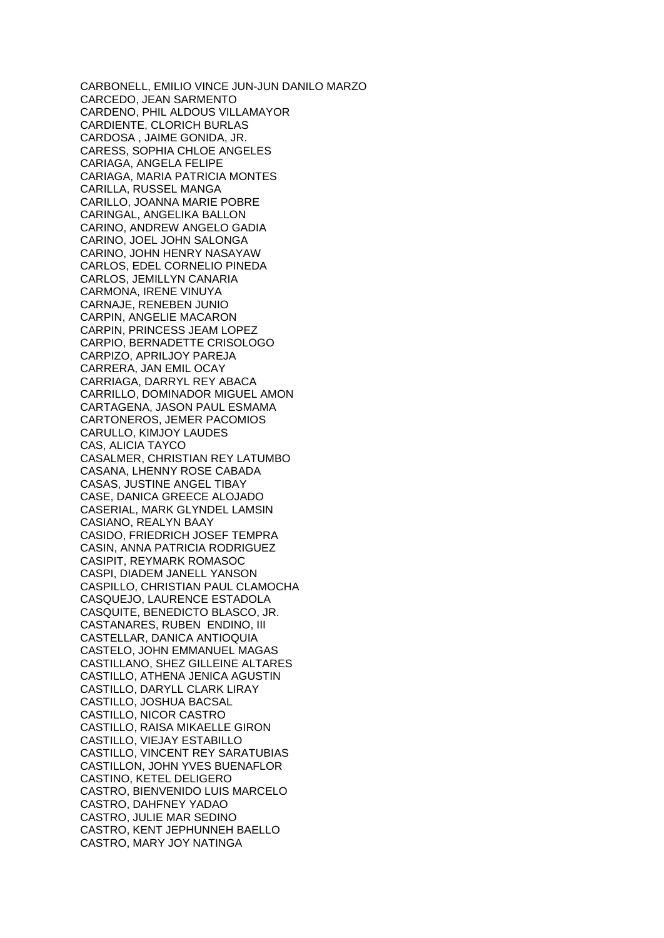CARBONELL, EMILIO VINCE JUN-JUN DANILO MARZO CARCEDO, JEAN SARMENTO CARDENO, PHIL ALDOUS VILLAMAYOR CARDIENTE, CLORICH BURLAS CARDOSA , JAIME GONIDA, JR. CARESS, SOPHIA CHLOE ANGELES CARIAGA, ANGELA FELIPE CARIAGA, MARIA PATRICIA MONTES CARILLA, RUSSEL MANGA CARILLO, JOANNA MARIE POBRE CARINGAL, ANGELIKA BALLON CARINO, ANDREW ANGELO GADIA CARINO, JOEL JOHN SALONGA CARINO, JOHN HENRY NASAYAW CARLOS, EDEL CORNELIO PINEDA CARLOS, JEMILLYN CANARIA CARMONA, IRENE VINUYA CARNAJE, RENEBEN JUNIO CARPIN, ANGELIE MACARON CARPIN, PRINCESS JEAM LOPEZ CARPIO, BERNADETTE CRISOLOGO CARPIZO, APRILJOY PAREJA CARRERA, JAN EMIL OCAY CARRIAGA, DARRYL REY ABACA CARRILLO, DOMINADOR MIGUEL AMON CARTAGENA, JASON PAUL ESMAMA CARTONEROS, JEMER PACOMIOS CARULLO, KIMJOY LAUDES CAS, ALICIA TAYCO CASALMER, CHRISTIAN REY LATUMBO CASANA, LHENNY ROSE CABADA CASAS, JUSTINE ANGEL TIBAY CASE, DANICA GREECE ALOJADO CASERIAL, MARK GLYNDEL LAMSIN CASIANO, REALYN BAAY CASIDO, FRIEDRICH JOSEF TEMPRA CASIN, ANNA PATRICIA RODRIGUEZ CASIPIT, REYMARK ROMASOC CASPI, DIADEM JANELL YANSON CASPILLO, CHRISTIAN PAUL CLAMOCHA CASQUEJO, LAURENCE ESTADOLA CASQUITE, BENEDICTO BLASCO, JR. CASTANARES, RUBEN ENDINO, III CASTELLAR, DANICA ANTIOQUIA CASTELO, JOHN EMMANUEL MAGAS CASTILLANO, SHEZ GILLEINE ALTARES CASTILLO, ATHENA JENICA AGUSTIN CASTILLO, DARYLL CLARK LIRAY CASTILLO, JOSHUA BACSAL CASTILLO, NICOR CASTRO CASTILLO, RAISA MIKAELLE GIRON CASTILLO, VIEJAY ESTABILLO CASTILLO, VINCENT REY SARATUBIAS CASTILLON, JOHN YVES BUENAFLOR CASTINO, KETEL DELIGERO CASTRO, BIENVENIDO LUIS MARCELO CASTRO, DAHFNEY YADAO CASTRO, JULIE MAR SEDINO CASTRO, KENT JEPHUNNEH BAELLO CASTRO, MARY JOY NATINGA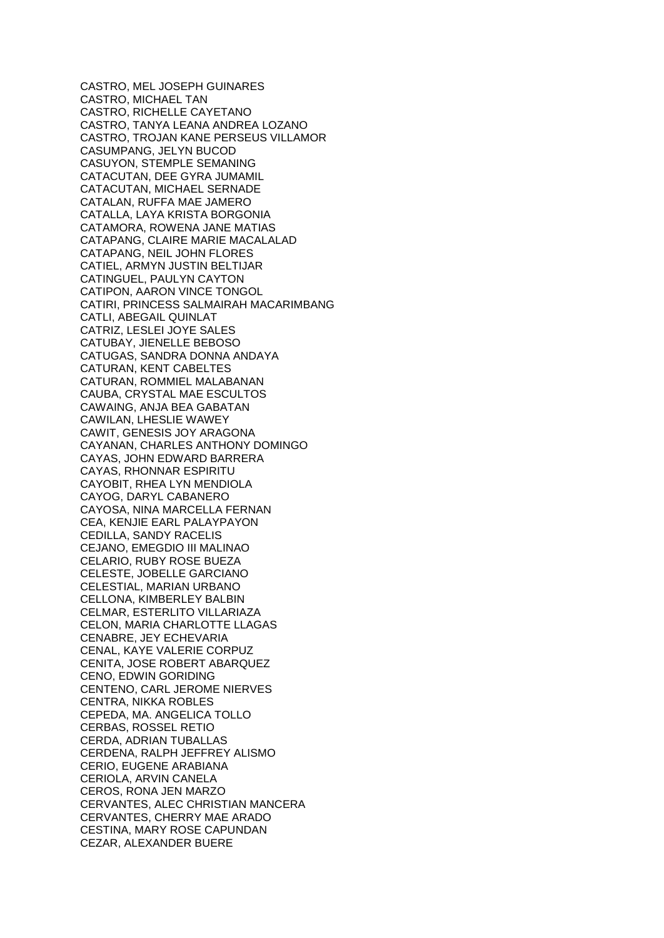CASTRO, MEL JOSEPH GUINARES CASTRO, MICHAEL TAN CASTRO, RICHELLE CAYETANO CASTRO, TANYA LEANA ANDREA LOZANO CASTRO, TROJAN KANE PERSEUS VILLAMOR CASUMPANG, JELYN BUCOD CASUYON, STEMPLE SEMANING CATACUTAN, DEE GYRA JUMAMIL CATACUTAN, MICHAEL SERNADE CATALAN, RUFFA MAE JAMERO CATALLA, LAYA KRISTA BORGONIA CATAMORA, ROWENA JANE MATIAS CATAPANG, CLAIRE MARIE MACALALAD CATAPANG, NEIL JOHN FLORES CATIEL, ARMYN JUSTIN BELTIJAR CATINGUEL, PAULYN CAYTON CATIPON, AARON VINCE TONGOL CATIRI, PRINCESS SALMAIRAH MACARIMBANG CATLI, ABEGAIL QUINLAT CATRIZ, LESLEI JOYE SALES CATUBAY, JIENELLE BEBOSO CATUGAS, SANDRA DONNA ANDAYA CATURAN, KENT CABELTES CATURAN, ROMMIEL MALABANAN CAUBA, CRYSTAL MAE ESCULTOS CAWAING, ANJA BEA GABATAN CAWILAN, LHESLIE WAWEY CAWIT, GENESIS JOY ARAGONA CAYANAN, CHARLES ANTHONY DOMINGO CAYAS, JOHN EDWARD BARRERA CAYAS, RHONNAR ESPIRITU CAYOBIT, RHEA LYN MENDIOLA CAYOG, DARYL CABANERO CAYOSA, NINA MARCELLA FERNAN CEA, KENJIE EARL PALAYPAYON CEDILLA, SANDY RACELIS CEJANO, EMEGDIO III MALINAO CELARIO, RUBY ROSE BUEZA CELESTE, JOBELLE GARCIANO CELESTIAL, MARIAN URBANO CELLONA, KIMBERLEY BALBIN CELMAR, ESTERLITO VILLARIAZA CELON, MARIA CHARLOTTE LLAGAS CENABRE, JEY ECHEVARIA CENAL, KAYE VALERIE CORPUZ CENITA, JOSE ROBERT ABARQUEZ CENO, EDWIN GORIDING CENTENO, CARL JEROME NIERVES CENTRA, NIKKA ROBLES CEPEDA, MA. ANGELICA TOLLO CERBAS, ROSSEL RETIO CERDA, ADRIAN TUBALLAS CERDENA, RALPH JEFFREY ALISMO CERIO, EUGENE ARABIANA CERIOLA, ARVIN CANELA CEROS, RONA JEN MARZO CERVANTES, ALEC CHRISTIAN MANCERA CERVANTES, CHERRY MAE ARADO CESTINA, MARY ROSE CAPUNDAN CEZAR, ALEXANDER BUERE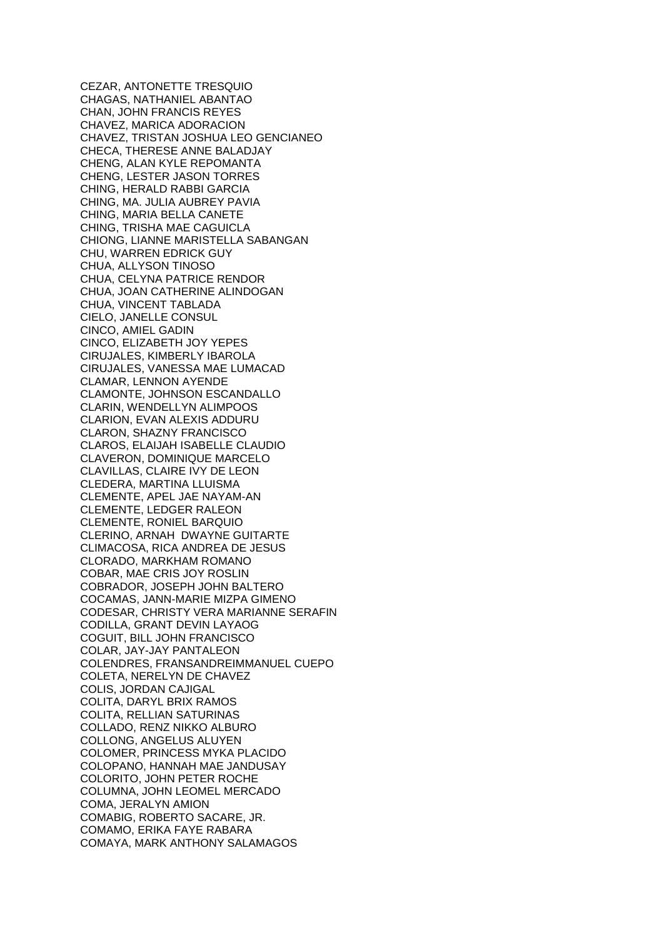CEZAR, ANTONETTE TRESQUIO CHAGAS, NATHANIEL ABANTAO CHAN, JOHN FRANCIS REYES CHAVEZ, MARICA ADORACION CHAVEZ, TRISTAN JOSHUA LEO GENCIANEO CHECA, THERESE ANNE BALADJAY CHENG, ALAN KYLE REPOMANTA CHENG, LESTER JASON TORRES CHING, HERALD RABBI GARCIA CHING, MA. JULIA AUBREY PAVIA CHING, MARIA BELLA CANETE CHING, TRISHA MAE CAGUICLA CHIONG, LIANNE MARISTELLA SABANGAN CHU, WARREN EDRICK GUY CHUA, ALLYSON TINOSO CHUA, CELYNA PATRICE RENDOR CHUA, JOAN CATHERINE ALINDOGAN CHUA, VINCENT TABLADA CIELO, JANELLE CONSUL CINCO, AMIEL GADIN CINCO, ELIZABETH JOY YEPES CIRUJALES, KIMBERLY IBAROLA CIRUJALES, VANESSA MAE LUMACAD CLAMAR, LENNON AYENDE CLAMONTE, JOHNSON ESCANDALLO CLARIN, WENDELLYN ALIMPOOS CLARION, EVAN ALEXIS ADDURU CLARON, SHAZNY FRANCISCO CLAROS, ELAIJAH ISABELLE CLAUDIO CLAVERON, DOMINIQUE MARCELO CLAVILLAS, CLAIRE IVY DE LEON CLEDERA, MARTINA LLUISMA CLEMENTE, APEL JAE NAYAM-AN CLEMENTE, LEDGER RALEON CLEMENTE, RONIEL BARQUIO CLERINO, ARNAH DWAYNE GUITARTE CLIMACOSA, RICA ANDREA DE JESUS CLORADO, MARKHAM ROMANO COBAR, MAE CRIS JOY ROSLIN COBRADOR, JOSEPH JOHN BALTERO COCAMAS, JANN-MARIE MIZPA GIMENO CODESAR, CHRISTY VERA MARIANNE SERAFIN CODILLA, GRANT DEVIN LAYAOG COGUIT, BILL JOHN FRANCISCO COLAR, JAY-JAY PANTALEON COLENDRES, FRANSANDREIMMANUEL CUEPO COLETA, NERELYN DE CHAVEZ COLIS, JORDAN CAJIGAL COLITA, DARYL BRIX RAMOS COLITA, RELLIAN SATURINAS COLLADO, RENZ NIKKO ALBURO COLLONG, ANGELUS ALUYEN COLOMER, PRINCESS MYKA PLACIDO COLOPANO, HANNAH MAE JANDUSAY COLORITO, JOHN PETER ROCHE COLUMNA, JOHN LEOMEL MERCADO COMA, JERALYN AMION COMABIG, ROBERTO SACARE, JR. COMAMO, ERIKA FAYE RABARA COMAYA, MARK ANTHONY SALAMAGOS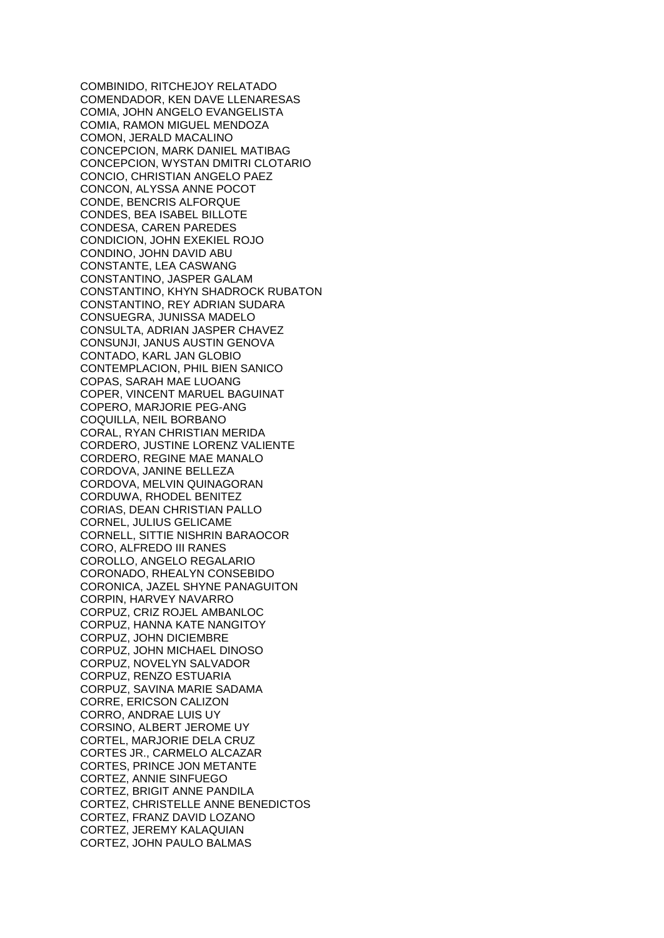COMBINIDO, RITCHEJOY RELATADO COMENDADOR, KEN DAVE LLENARESAS COMIA, JOHN ANGELO EVANGELISTA COMIA, RAMON MIGUEL MENDOZA COMON, JERALD MACALINO CONCEPCION, MARK DANIEL MATIBAG CONCEPCION, WYSTAN DMITRI CLOTARIO CONCIO, CHRISTIAN ANGELO PAEZ CONCON, ALYSSA ANNE POCOT CONDE, BENCRIS ALFORQUE CONDES, BEA ISABEL BILLOTE CONDESA, CAREN PAREDES CONDICION, JOHN EXEKIEL ROJO CONDINO, JOHN DAVID ABU CONSTANTE, LEA CASWANG CONSTANTINO, JASPER GALAM CONSTANTINO, KHYN SHADROCK RUBATON CONSTANTINO, REY ADRIAN SUDARA CONSUEGRA, JUNISSA MADELO CONSULTA, ADRIAN JASPER CHAVEZ CONSUNJI, JANUS AUSTIN GENOVA CONTADO, KARL JAN GLOBIO CONTEMPLACION, PHIL BIEN SANICO COPAS, SARAH MAE LUOANG COPER, VINCENT MARUEL BAGUINAT COPERO, MARJORIE PEG-ANG COQUILLA, NEIL BORBANO CORAL, RYAN CHRISTIAN MERIDA CORDERO, JUSTINE LORENZ VALIENTE CORDERO, REGINE MAE MANALO CORDOVA, JANINE BELLEZA CORDOVA, MELVIN QUINAGORAN CORDUWA, RHODEL BENITEZ CORIAS, DEAN CHRISTIAN PALLO CORNEL, JULIUS GELICAME CORNELL, SITTIE NISHRIN BARAOCOR CORO, ALFREDO III RANES COROLLO, ANGELO REGALARIO CORONADO, RHEALYN CONSEBIDO CORONICA, JAZEL SHYNE PANAGUITON CORPIN, HARVEY NAVARRO CORPUZ, CRIZ ROJEL AMBANLOC CORPUZ, HANNA KATE NANGITOY CORPUZ, JOHN DICIEMBRE CORPUZ, JOHN MICHAEL DINOSO CORPUZ, NOVELYN SALVADOR CORPUZ, RENZO ESTUARIA CORPUZ, SAVINA MARIE SADAMA CORRE, ERICSON CALIZON CORRO, ANDRAE LUIS UY CORSINO, ALBERT JEROME UY CORTEL, MARJORIE DELA CRUZ CORTES JR., CARMELO ALCAZAR CORTES, PRINCE JON METANTE CORTEZ, ANNIE SINFUEGO CORTEZ, BRIGIT ANNE PANDILA CORTEZ, CHRISTELLE ANNE BENEDICTOS CORTEZ, FRANZ DAVID LOZANO CORTEZ, JEREMY KALAQUIAN CORTEZ, JOHN PAULO BALMAS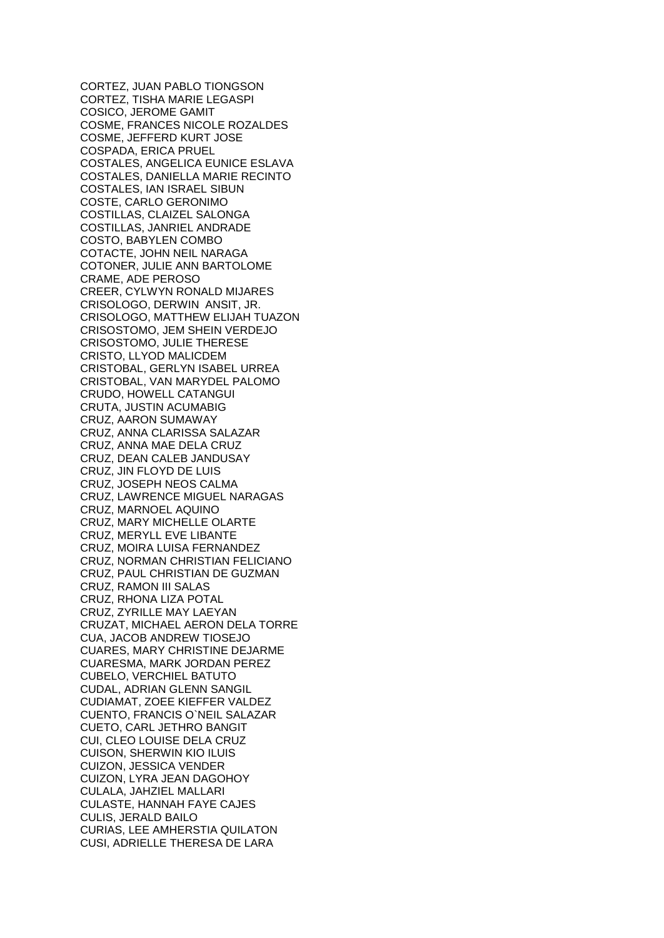CORTEZ, JUAN PABLO TIONGSON CORTEZ, TISHA MARIE LEGASPI COSICO, JEROME GAMIT COSME, FRANCES NICOLE ROZALDES COSME, JEFFERD KURT JOSE COSPADA, ERICA PRUEL COSTALES, ANGELICA EUNICE ESLAVA COSTALES, DANIELLA MARIE RECINTO COSTALES, IAN ISRAEL SIBUN COSTE, CARLO GERONIMO COSTILLAS, CLAIZEL SALONGA COSTILLAS, JANRIEL ANDRADE COSTO, BABYLEN COMBO COTACTE, JOHN NEIL NARAGA COTONER, JULIE ANN BARTOLOME CRAME, ADE PEROSO CREER, CYLWYN RONALD MIJARES CRISOLOGO, DERWIN ANSIT, JR. CRISOLOGO, MATTHEW ELIJAH TUAZON CRISOSTOMO, JEM SHEIN VERDEJO CRISOSTOMO, JULIE THERESE CRISTO, LLYOD MALICDEM CRISTOBAL, GERLYN ISABEL URREA CRISTOBAL, VAN MARYDEL PALOMO CRUDO, HOWELL CATANGUI CRUTA, JUSTIN ACUMABIG CRUZ, AARON SUMAWAY CRUZ, ANNA CLARISSA SALAZAR CRUZ, ANNA MAE DELA CRUZ CRUZ, DEAN CALEB JANDUSAY CRUZ, JIN FLOYD DE LUIS CRUZ, JOSEPH NEOS CALMA CRUZ, LAWRENCE MIGUEL NARAGAS CRUZ, MARNOEL AQUINO CRUZ, MARY MICHELLE OLARTE CRUZ, MERYLL EVE LIBANTE CRUZ, MOIRA LUISA FERNANDEZ CRUZ, NORMAN CHRISTIAN FELICIANO CRUZ, PAUL CHRISTIAN DE GUZMAN CRUZ, RAMON III SALAS CRUZ, RHONA LIZA POTAL CRUZ, ZYRILLE MAY LAEYAN CRUZAT, MICHAEL AERON DELA TORRE CUA, JACOB ANDREW TIOSEJO CUARES, MARY CHRISTINE DEJARME CUARESMA, MARK JORDAN PEREZ CUBELO, VERCHIEL BATUTO CUDAL, ADRIAN GLENN SANGIL CUDIAMAT, ZOEE KIEFFER VALDEZ CUENTO, FRANCIS O`NEIL SALAZAR CUETO, CARL JETHRO BANGIT CUI, CLEO LOUISE DELA CRUZ CUISON, SHERWIN KIO ILUIS CUIZON, JESSICA VENDER CUIZON, LYRA JEAN DAGOHOY CULALA, JAHZIEL MALLARI CULASTE, HANNAH FAYE CAJES CULIS, JERALD BAILO CURIAS, LEE AMHERSTIA QUILATON CUSI, ADRIELLE THERESA DE LARA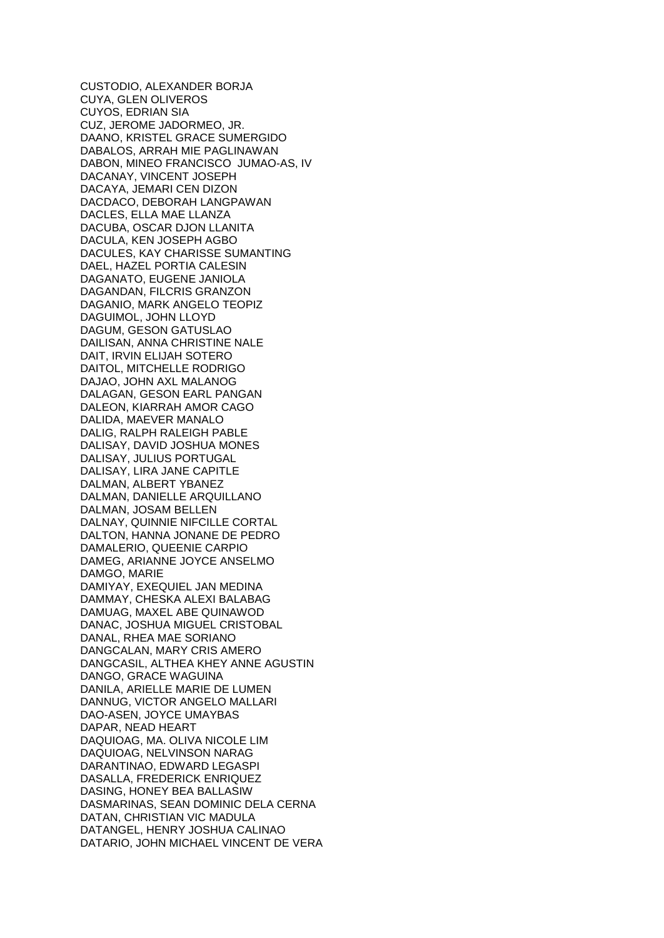CUSTODIO, ALEXANDER BORJA CUYA, GLEN OLIVEROS CUYOS, EDRIAN SIA CUZ, JEROME JADORMEO, JR. DAANO, KRISTEL GRACE SUMERGIDO DABALOS, ARRAH MIE PAGLINAWAN DABON, MINEO FRANCISCO JUMAO-AS, IV DACANAY, VINCENT JOSEPH DACAYA, JEMARI CEN DIZON DACDACO, DEBORAH LANGPAWAN DACLES, ELLA MAE LLANZA DACUBA, OSCAR DJON LLANITA DACULA, KEN JOSEPH AGBO DACULES, KAY CHARISSE SUMANTING DAEL, HAZEL PORTIA CALESIN DAGANATO, EUGENE JANIOLA DAGANDAN, FILCRIS GRANZON DAGANIO, MARK ANGELO TEOPIZ DAGUIMOL, JOHN LLOYD DAGUM, GESON GATUSLAO DAILISAN, ANNA CHRISTINE NALE DAIT, IRVIN ELIJAH SOTERO DAITOL, MITCHELLE RODRIGO DAJAO, JOHN AXL MALANOG DALAGAN, GESON EARL PANGAN DALEON, KIARRAH AMOR CAGO DALIDA, MAEVER MANALO DALIG, RALPH RALEIGH PABLE DALISAY, DAVID JOSHUA MONES DALISAY, JULIUS PORTUGAL DALISAY, LIRA JANE CAPITLE DALMAN, ALBERT YBANEZ DALMAN, DANIELLE ARQUILLANO DALMAN, JOSAM BELLEN DALNAY, QUINNIE NIFCILLE CORTAL DALTON, HANNA JONANE DE PEDRO DAMALERIO, QUEENIE CARPIO DAMEG, ARIANNE JOYCE ANSELMO DAMGO, MARIE DAMIYAY, EXEQUIEL JAN MEDINA DAMMAY, CHESKA ALEXI BALABAG DAMUAG, MAXEL ABE QUINAWOD DANAC, JOSHUA MIGUEL CRISTOBAL DANAL, RHEA MAE SORIANO DANGCALAN, MARY CRIS AMERO DANGCASIL, ALTHEA KHEY ANNE AGUSTIN DANGO, GRACE WAGUINA DANILA, ARIELLE MARIE DE LUMEN DANNUG, VICTOR ANGELO MALLARI DAO-ASEN, JOYCE UMAYBAS DAPAR, NEAD HEART DAQUIOAG, MA. OLIVA NICOLE LIM DAQUIOAG, NELVINSON NARAG DARANTINAO, EDWARD LEGASPI DASALLA, FREDERICK ENRIQUEZ DASING, HONEY BEA BALLASIW DASMARINAS, SEAN DOMINIC DELA CERNA DATAN, CHRISTIAN VIC MADULA DATANGEL, HENRY JOSHUA CALINAO DATARIO, JOHN MICHAEL VINCENT DE VERA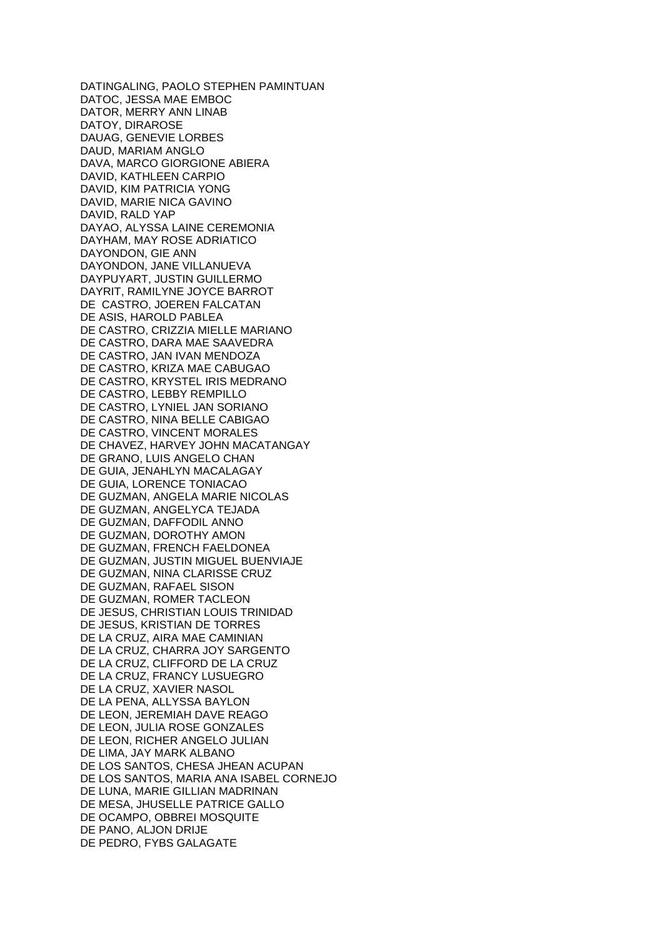DATINGALING, PAOLO STEPHEN PAMINTUAN DATOC, JESSA MAE EMBOC DATOR, MERRY ANN LINAB DATOY, DIRAROSE DAUAG, GENEVIE LORBES DAUD, MARIAM ANGLO DAVA, MARCO GIORGIONE ABIERA DAVID, KATHLEEN CARPIO DAVID, KIM PATRICIA YONG DAVID, MARIE NICA GAVINO DAVID, RALD YAP DAYAO, ALYSSA LAINE CEREMONIA DAYHAM, MAY ROSE ADRIATICO DAYONDON, GIE ANN DAYONDON, JANE VILLANUEVA DAYPUYART, JUSTIN GUILLERMO DAYRIT, RAMILYNE JOYCE BARROT DE CASTRO, JOEREN FALCATAN DE ASIS, HAROLD PABLEA DE CASTRO, CRIZZIA MIELLE MARIANO DE CASTRO, DARA MAE SAAVEDRA DE CASTRO, JAN IVAN MENDOZA DE CASTRO, KRIZA MAE CABUGAO DE CASTRO, KRYSTEL IRIS MEDRANO DE CASTRO, LEBBY REMPILLO DE CASTRO, LYNIEL JAN SORIANO DE CASTRO, NINA BELLE CABIGAO DE CASTRO, VINCENT MORALES DE CHAVEZ, HARVEY JOHN MACATANGAY DE GRANO, LUIS ANGELO CHAN DE GUIA, JENAHLYN MACALAGAY DE GUIA, LORENCE TONIACAO DE GUZMAN, ANGELA MARIE NICOLAS DE GUZMAN, ANGELYCA TEJADA DE GUZMAN, DAFFODIL ANNO DE GUZMAN, DOROTHY AMON DE GUZMAN, FRENCH FAELDONEA DE GUZMAN, JUSTIN MIGUEL BUENVIAJE DE GUZMAN, NINA CLARISSE CRUZ DE GUZMAN, RAFAEL SISON DE GUZMAN, ROMER TACLEON DE JESUS, CHRISTIAN LOUIS TRINIDAD DE JESUS, KRISTIAN DE TORRES DE LA CRUZ, AIRA MAE CAMINIAN DE LA CRUZ, CHARRA JOY SARGENTO DE LA CRUZ, CLIFFORD DE LA CRUZ DE LA CRUZ, FRANCY LUSUEGRO DE LA CRUZ, XAVIER NASOL DE LA PENA, ALLYSSA BAYLON DE LEON, JEREMIAH DAVE REAGO DE LEON, JULIA ROSE GONZALES DE LEON, RICHER ANGELO JULIAN DE LIMA, JAY MARK ALBANO DE LOS SANTOS, CHESA JHEAN ACUPAN DE LOS SANTOS, MARIA ANA ISABEL CORNEJO DE LUNA, MARIE GILLIAN MADRINAN DE MESA, JHUSELLE PATRICE GALLO DE OCAMPO, OBBREI MOSQUITE DE PANO, ALJON DRIJE DE PEDRO, FYBS GALAGATE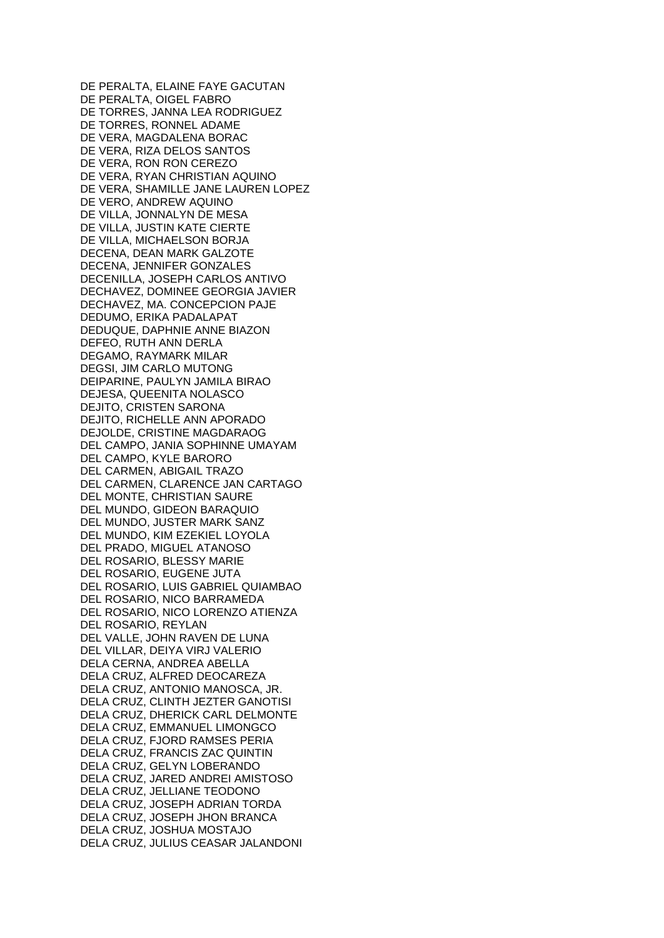DE PERALTA, ELAINE FAYE GACUTAN DE PERALTA, OIGEL FABRO DE TORRES, JANNA LEA RODRIGUEZ DE TORRES, RONNEL ADAME DE VERA, MAGDALENA BORAC DE VERA, RIZA DELOS SANTOS DE VERA, RON RON CEREZO DE VERA, RYAN CHRISTIAN AQUINO DE VERA, SHAMILLE JANE LAUREN LOPEZ DE VERO, ANDREW AQUINO DE VILLA, JONNALYN DE MESA DE VILLA, JUSTIN KATE CIERTE DE VILLA, MICHAELSON BORJA DECENA, DEAN MARK GALZOTE DECENA, JENNIFER GONZALES DECENILLA, JOSEPH CARLOS ANTIVO DECHAVEZ, DOMINEE GEORGIA JAVIER DECHAVEZ, MA. CONCEPCION PAJE DEDUMO, ERIKA PADALAPAT DEDUQUE, DAPHNIE ANNE BIAZON DEFEO, RUTH ANN DERLA DEGAMO, RAYMARK MILAR DEGSI, JIM CARLO MUTONG DEIPARINE, PAULYN JAMILA BIRAO DEJESA, QUEENITA NOLASCO DEJITO, CRISTEN SARONA DEJITO, RICHELLE ANN APORADO DEJOLDE, CRISTINE MAGDARAOG DEL CAMPO, JANIA SOPHINNE UMAYAM DEL CAMPO, KYLE BARORO DEL CARMEN, ABIGAIL TRAZO DEL CARMEN, CLARENCE JAN CARTAGO DEL MONTE, CHRISTIAN SAURE DEL MUNDO, GIDEON BARAQUIO DEL MUNDO, JUSTER MARK SANZ DEL MUNDO, KIM EZEKIEL LOYOLA DEL PRADO, MIGUEL ATANOSO DEL ROSARIO, BLESSY MARIE DEL ROSARIO, EUGENE JUTA DEL ROSARIO, LUIS GABRIEL QUIAMBAO DEL ROSARIO, NICO BARRAMEDA DEL ROSARIO, NICO LORENZO ATIENZA DEL ROSARIO, REYLAN DEL VALLE, JOHN RAVEN DE LUNA DEL VILLAR, DEIYA VIRJ VALERIO DELA CERNA, ANDREA ABELLA DELA CRUZ, ALFRED DEOCAREZA DELA CRUZ, ANTONIO MANOSCA, JR. DELA CRUZ, CLINTH JEZTER GANOTISI DELA CRUZ, DHERICK CARL DELMONTE DELA CRUZ, EMMANUEL LIMONGCO DELA CRUZ, FJORD RAMSES PERIA DELA CRUZ, FRANCIS ZAC QUINTIN DELA CRUZ, GELYN LOBERANDO DELA CRUZ, JARED ANDREI AMISTOSO DELA CRUZ, JELLIANE TEODONO DELA CRUZ, JOSEPH ADRIAN TORDA DELA CRUZ, JOSEPH JHON BRANCA DELA CRUZ, JOSHUA MOSTAJO DELA CRUZ, JULIUS CEASAR JALANDONI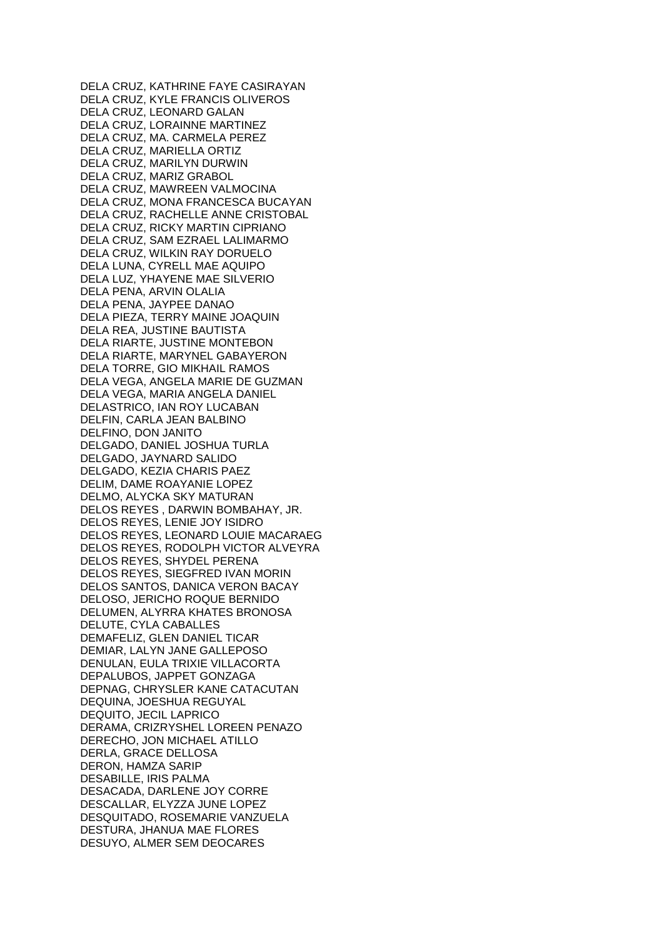DELA CRUZ, KATHRINE FAYE CASIRAYAN DELA CRUZ, KYLE FRANCIS OLIVEROS DELA CRUZ, LEONARD GALAN DELA CRUZ, LORAINNE MARTINEZ DELA CRUZ, MA. CARMELA PEREZ DELA CRUZ, MARIELLA ORTIZ DELA CRUZ, MARILYN DURWIN DELA CRUZ, MARIZ GRABOL DELA CRUZ, MAWREEN VALMOCINA DELA CRUZ, MONA FRANCESCA BUCAYAN DELA CRUZ, RACHELLE ANNE CRISTOBAL DELA CRUZ, RICKY MARTIN CIPRIANO DELA CRUZ, SAM EZRAEL LALIMARMO DELA CRUZ, WILKIN RAY DORUELO DELA LUNA, CYRELL MAE AQUIPO DELA LUZ, YHAYENE MAE SILVERIO DELA PENA, ARVIN OLALIA DELA PENA, JAYPEE DANAO DELA PIEZA, TERRY MAINE JOAQUIN DELA REA, JUSTINE BAUTISTA DELA RIARTE, JUSTINE MONTEBON DELA RIARTE, MARYNEL GABAYERON DELA TORRE, GIO MIKHAIL RAMOS DELA VEGA, ANGELA MARIE DE GUZMAN DELA VEGA, MARIA ANGELA DANIEL DELASTRICO, IAN ROY LUCABAN DELFIN, CARLA JEAN BALBINO DELFINO, DON JANITO DELGADO, DANIEL JOSHUA TURLA DELGADO, JAYNARD SALIDO DELGADO, KEZIA CHARIS PAEZ DELIM, DAME ROAYANIE LOPEZ DELMO, ALYCKA SKY MATURAN DELOS REYES , DARWIN BOMBAHAY, JR. DELOS REYES, LENIE JOY ISIDRO DELOS REYES, LEONARD LOUIE MACARAEG DELOS REYES, RODOLPH VICTOR ALVEYRA DELOS REYES, SHYDEL PERENA DELOS REYES, SIEGFRED IVAN MORIN DELOS SANTOS, DANICA VERON BACAY DELOSO, JERICHO ROQUE BERNIDO DELUMEN, ALYRRA KHATES BRONOSA DELUTE, CYLA CABALLES DEMAFELIZ, GLEN DANIEL TICAR DEMIAR, LALYN JANE GALLEPOSO DENULAN, EULA TRIXIE VILLACORTA DEPALUBOS, JAPPET GONZAGA DEPNAG, CHRYSLER KANE CATACUTAN DEQUINA, JOESHUA REGUYAL DEQUITO, JECIL LAPRICO DERAMA, CRIZRYSHEL LOREEN PENAZO DERECHO, JON MICHAEL ATILLO DERLA, GRACE DELLOSA DERON, HAMZA SARIP DESABILLE, IRIS PALMA DESACADA, DARLENE JOY CORRE DESCALLAR, ELYZZA JUNE LOPEZ DESQUITADO, ROSEMARIE VANZUELA DESTURA, JHANUA MAE FLORES DESUYO, ALMER SEM DEOCARES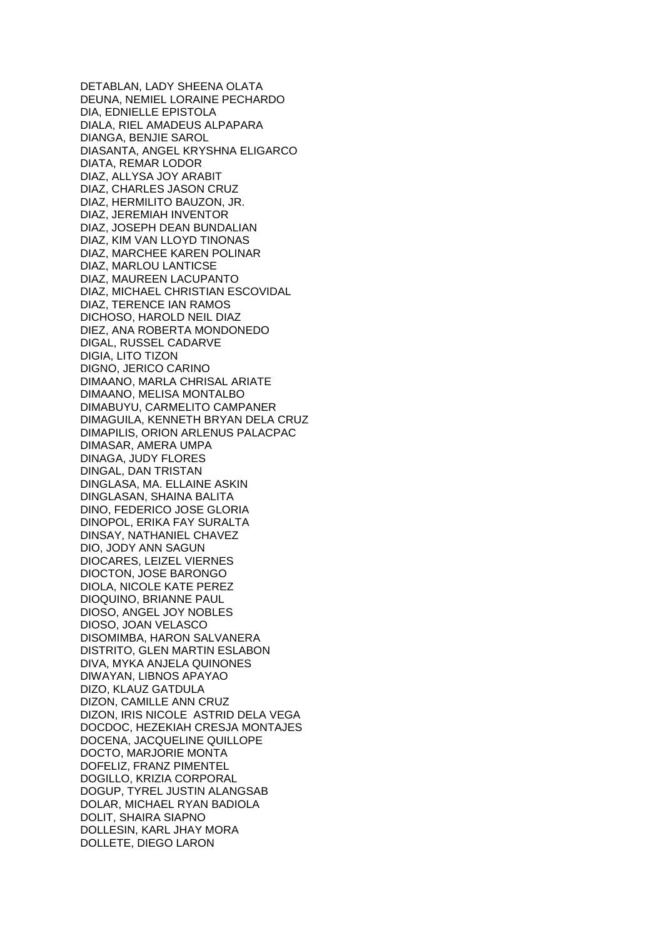DETABLAN, LADY SHEENA OLATA DEUNA, NEMIEL LORAINE PECHARDO DIA, EDNIELLE EPISTOLA DIALA, RIEL AMADEUS ALPAPARA DIANGA, BENJIE SAROL DIASANTA, ANGEL KRYSHNA ELIGARCO DIATA, REMAR LODOR DIAZ, ALLYSA JOY ARABIT DIAZ, CHARLES JASON CRUZ DIAZ, HERMILITO BAUZON, JR. DIAZ, JEREMIAH INVENTOR DIAZ, JOSEPH DEAN BUNDALIAN DIAZ, KIM VAN LLOYD TINONAS DIAZ, MARCHEE KAREN POLINAR DIAZ, MARLOU LANTICSE DIAZ, MAUREEN LACUPANTO DIAZ, MICHAEL CHRISTIAN ESCOVIDAL DIAZ, TERENCE IAN RAMOS DICHOSO, HAROLD NEIL DIAZ DIEZ, ANA ROBERTA MONDONEDO DIGAL, RUSSEL CADARVE DIGIA, LITO TIZON DIGNO, JERICO CARINO DIMAANO, MARLA CHRISAL ARIATE DIMAANO, MELISA MONTALBO DIMABUYU, CARMELITO CAMPANER DIMAGUILA, KENNETH BRYAN DELA CRUZ DIMAPILIS, ORION ARLENUS PALACPAC DIMASAR, AMERA UMPA DINAGA, JUDY FLORES DINGAL, DAN TRISTAN DINGLASA, MA. ELLAINE ASKIN DINGLASAN, SHAINA BALITA DINO, FEDERICO JOSE GLORIA DINOPOL, ERIKA FAY SURALTA DINSAY, NATHANIEL CHAVEZ DIO, JODY ANN SAGUN DIOCARES, LEIZEL VIERNES DIOCTON, JOSE BARONGO DIOLA, NICOLE KATE PEREZ DIOQUINO, BRIANNE PAUL DIOSO, ANGEL JOY NOBLES DIOSO, JOAN VELASCO DISOMIMBA, HARON SALVANERA DISTRITO, GLEN MARTIN ESLABON DIVA, MYKA ANJELA QUINONES DIWAYAN, LIBNOS APAYAO DIZO, KLAUZ GATDULA DIZON, CAMILLE ANN CRUZ DIZON, IRIS NICOLE ASTRID DELA VEGA DOCDOC, HEZEKIAH CRESJA MONTAJES DOCENA, JACQUELINE QUILLOPE DOCTO, MARJORIE MONTA DOFELIZ, FRANZ PIMENTEL DOGILLO, KRIZIA CORPORAL DOGUP, TYREL JUSTIN ALANGSAB DOLAR, MICHAEL RYAN BADIOLA DOLIT, SHAIRA SIAPNO DOLLESIN, KARL JHAY MORA DOLLETE, DIEGO LARON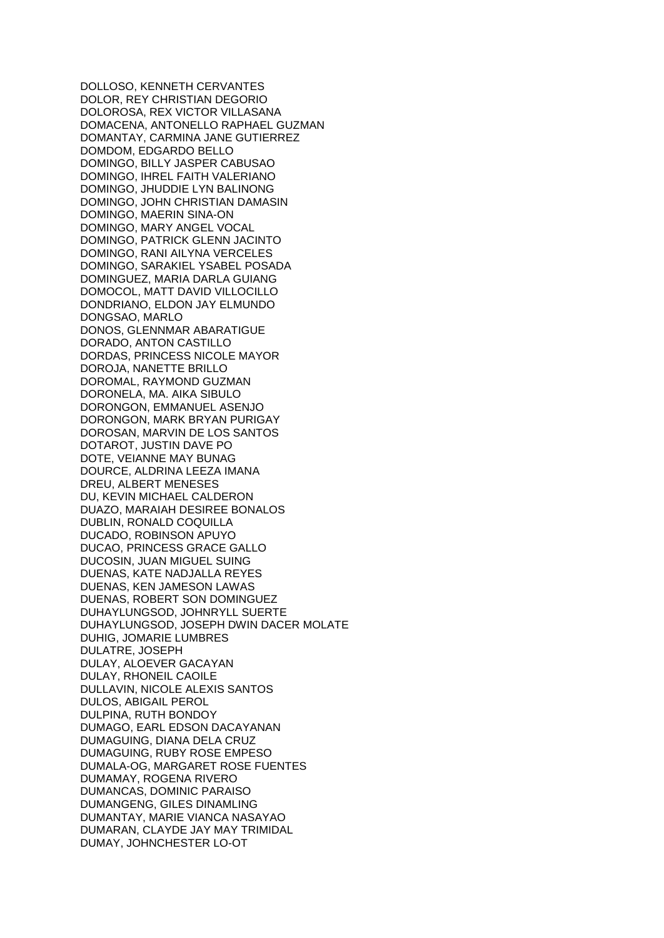DOLLOSO, KENNETH CERVANTES DOLOR, REY CHRISTIAN DEGORIO DOLOROSA, REX VICTOR VILLASANA DOMACENA, ANTONELLO RAPHAEL GUZMAN DOMANTAY, CARMINA JANE GUTIERREZ DOMDOM, EDGARDO BELLO DOMINGO, BILLY JASPER CABUSAO DOMINGO, IHREL FAITH VALERIANO DOMINGO, JHUDDIE LYN BALINONG DOMINGO, JOHN CHRISTIAN DAMASIN DOMINGO, MAERIN SINA-ON DOMINGO, MARY ANGEL VOCAL DOMINGO, PATRICK GLENN JACINTO DOMINGO, RANI AILYNA VERCELES DOMINGO, SARAKIEL YSABEL POSADA DOMINGUEZ, MARIA DARLA GUIANG DOMOCOL, MATT DAVID VILLOCILLO DONDRIANO, ELDON JAY ELMUNDO DONGSAO, MARLO DONOS, GLENNMAR ABARATIGUE DORADO, ANTON CASTILLO DORDAS, PRINCESS NICOLE MAYOR DOROJA, NANETTE BRILLO DOROMAL, RAYMOND GUZMAN DORONELA, MA. AIKA SIBULO DORONGON, EMMANUEL ASENJO DORONGON, MARK BRYAN PURIGAY DOROSAN, MARVIN DE LOS SANTOS DOTAROT, JUSTIN DAVE PO DOTE, VEIANNE MAY BUNAG DOURCE, ALDRINA LEEZA IMANA DREU, ALBERT MENESES DU, KEVIN MICHAEL CALDERON DUAZO, MARAIAH DESIREE BONALOS DUBLIN, RONALD COQUILLA DUCADO, ROBINSON APUYO DUCAO, PRINCESS GRACE GALLO DUCOSIN, JUAN MIGUEL SUING DUENAS, KATE NADJALLA REYES DUENAS, KEN JAMESON LAWAS DUENAS, ROBERT SON DOMINGUEZ DUHAYLUNGSOD, JOHNRYLL SUERTE DUHAYLUNGSOD, JOSEPH DWIN DACER MOLATE DUHIG, JOMARIE LUMBRES DULATRE, JOSEPH DULAY, ALOEVER GACAYAN DULAY, RHONEIL CAOILE DULLAVIN, NICOLE ALEXIS SANTOS DULOS, ABIGAIL PEROL DULPINA, RUTH BONDOY DUMAGO, EARL EDSON DACAYANAN DUMAGUING, DIANA DELA CRUZ DUMAGUING, RUBY ROSE EMPESO DUMALA-OG, MARGARET ROSE FUENTES DUMAMAY, ROGENA RIVERO DUMANCAS, DOMINIC PARAISO DUMANGENG, GILES DINAMLING DUMANTAY, MARIE VIANCA NASAYAO DUMARAN, CLAYDE JAY MAY TRIMIDAL DUMAY, JOHNCHESTER LO-OT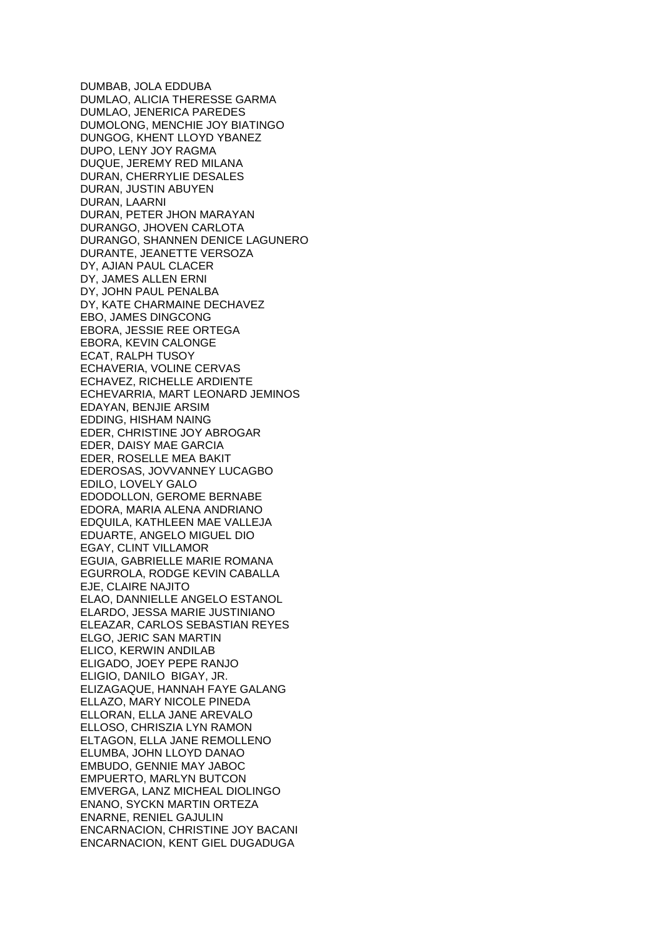DUMBAB, JOLA EDDUBA DUMLAO, ALICIA THERESSE GARMA DUMLAO, JENERICA PAREDES DUMOLONG, MENCHIE JOY BIATINGO DUNGOG, KHENT LLOYD YBANEZ DUPO, LENY JOY RAGMA DUQUE, JEREMY RED MILANA DURAN, CHERRYLIE DESALES DURAN, JUSTIN ABUYEN DURAN, LAARNI DURAN, PETER JHON MARAYAN DURANGO, JHOVEN CARLOTA DURANGO, SHANNEN DENICE LAGUNERO DURANTE, JEANETTE VERSOZA DY, AJIAN PAUL CLACER DY, JAMES ALLEN ERNI DY, JOHN PAUL PENALBA DY, KATE CHARMAINE DECHAVEZ EBO, JAMES DINGCONG EBORA, JESSIE REE ORTEGA EBORA, KEVIN CALONGE ECAT, RALPH TUSOY ECHAVERIA, VOLINE CERVAS ECHAVEZ, RICHELLE ARDIENTE ECHEVARRIA, MART LEONARD JEMINOS EDAYAN, BENJIE ARSIM EDDING, HISHAM NAING EDER, CHRISTINE JOY ABROGAR EDER, DAISY MAE GARCIA EDER, ROSELLE MEA BAKIT EDEROSAS, JOVVANNEY LUCAGBO EDILO, LOVELY GALO EDODOLLON, GEROME BERNABE EDORA, MARIA ALENA ANDRIANO EDQUILA, KATHLEEN MAE VALLEJA EDUARTE, ANGELO MIGUEL DIO EGAY, CLINT VILLAMOR EGUIA, GABRIELLE MARIE ROMANA EGURROLA, RODGE KEVIN CABALLA EJE, CLAIRE NAJITO ELAO, DANNIELLE ANGELO ESTANOL ELARDO, JESSA MARIE JUSTINIANO ELEAZAR, CARLOS SEBASTIAN REYES ELGO, JERIC SAN MARTIN ELICO, KERWIN ANDILAB ELIGADO, JOEY PEPE RANJO ELIGIO, DANILO BIGAY, JR. ELIZAGAQUE, HANNAH FAYE GALANG ELLAZO, MARY NICOLE PINEDA ELLORAN, ELLA JANE AREVALO ELLOSO, CHRISZIA LYN RAMON ELTAGON, ELLA JANE REMOLLENO ELUMBA, JOHN LLOYD DANAO EMBUDO, GENNIE MAY JABOC EMPUERTO, MARLYN BUTCON EMVERGA, LANZ MICHEAL DIOLINGO ENANO, SYCKN MARTIN ORTEZA ENARNE, RENIEL GAJULIN ENCARNACION, CHRISTINE JOY BACANI ENCARNACION, KENT GIEL DUGADUGA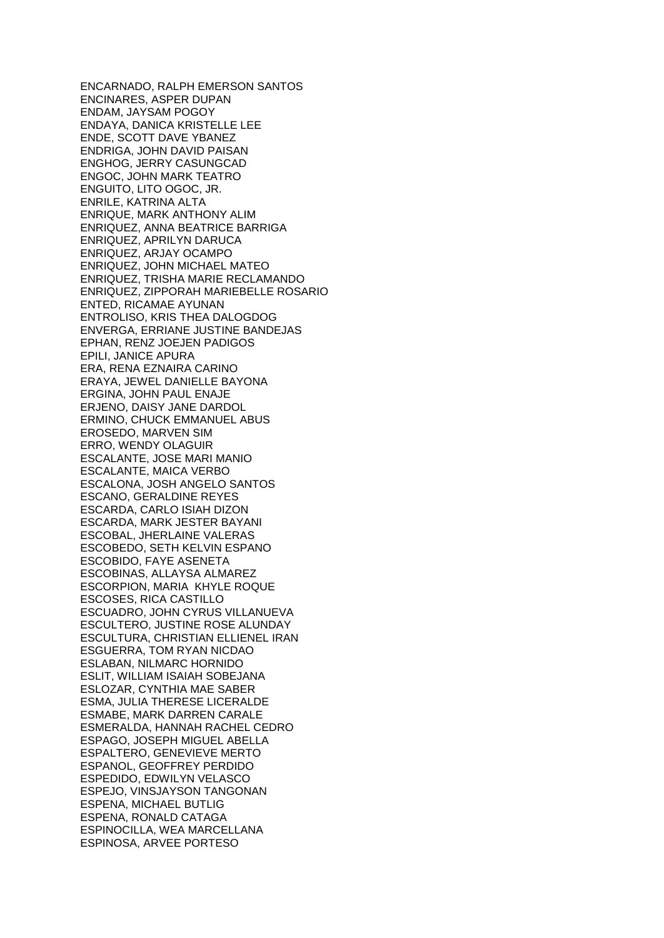ENCARNADO, RALPH EMERSON SANTOS ENCINARES, ASPER DUPAN ENDAM, JAYSAM POGOY ENDAYA, DANICA KRISTELLE LEE ENDE, SCOTT DAVE YBANEZ ENDRIGA, JOHN DAVID PAISAN ENGHOG, JERRY CASUNGCAD ENGOC, JOHN MARK TEATRO ENGUITO, LITO OGOC, JR. ENRILE, KATRINA ALTA ENRIQUE, MARK ANTHONY ALIM ENRIQUEZ, ANNA BEATRICE BARRIGA ENRIQUEZ, APRILYN DARUCA ENRIQUEZ, ARJAY OCAMPO ENRIQUEZ, JOHN MICHAEL MATEO ENRIQUEZ, TRISHA MARIE RECLAMANDO ENRIQUEZ, ZIPPORAH MARIEBELLE ROSARIO ENTED, RICAMAE AYUNAN ENTROLISO, KRIS THEA DALOGDOG ENVERGA, ERRIANE JUSTINE BANDEJAS EPHAN, RENZ JOEJEN PADIGOS EPILI, JANICE APURA ERA, RENA EZNAIRA CARINO ERAYA, JEWEL DANIELLE BAYONA ERGINA, JOHN PAUL ENAJE ERJENO, DAISY JANE DARDOL ERMINO, CHUCK EMMANUEL ABUS EROSEDO, MARVEN SIM ERRO, WENDY OLAGUIR ESCALANTE, JOSE MARI MANIO ESCALANTE, MAICA VERBO ESCALONA, JOSH ANGELO SANTOS ESCANO, GERALDINE REYES ESCARDA, CARLO ISIAH DIZON ESCARDA, MARK JESTER BAYANI ESCOBAL, JHERLAINE VALERAS ESCOBEDO, SETH KELVIN ESPANO ESCOBIDO, FAYE ASENETA ESCOBINAS, ALLAYSA ALMAREZ ESCORPION, MARIA KHYLE ROQUE ESCOSES, RICA CASTILLO ESCUADRO, JOHN CYRUS VILLANUEVA ESCULTERO, JUSTINE ROSE ALUNDAY ESCULTURA, CHRISTIAN ELLIENEL IRAN ESGUERRA, TOM RYAN NICDAO ESLABAN, NILMARC HORNIDO ESLIT, WILLIAM ISAIAH SOBEJANA ESLOZAR, CYNTHIA MAE SABER ESMA, JULIA THERESE LICERALDE ESMABE, MARK DARREN CARALE ESMERALDA, HANNAH RACHEL CEDRO ESPAGO, JOSEPH MIGUEL ABELLA ESPALTERO, GENEVIEVE MERTO ESPANOL, GEOFFREY PERDIDO ESPEDIDO, EDWILYN VELASCO ESPEJO, VINSJAYSON TANGONAN ESPENA, MICHAEL BUTLIG ESPENA, RONALD CATAGA ESPINOCILLA, WEA MARCELLANA ESPINOSA, ARVEE PORTESO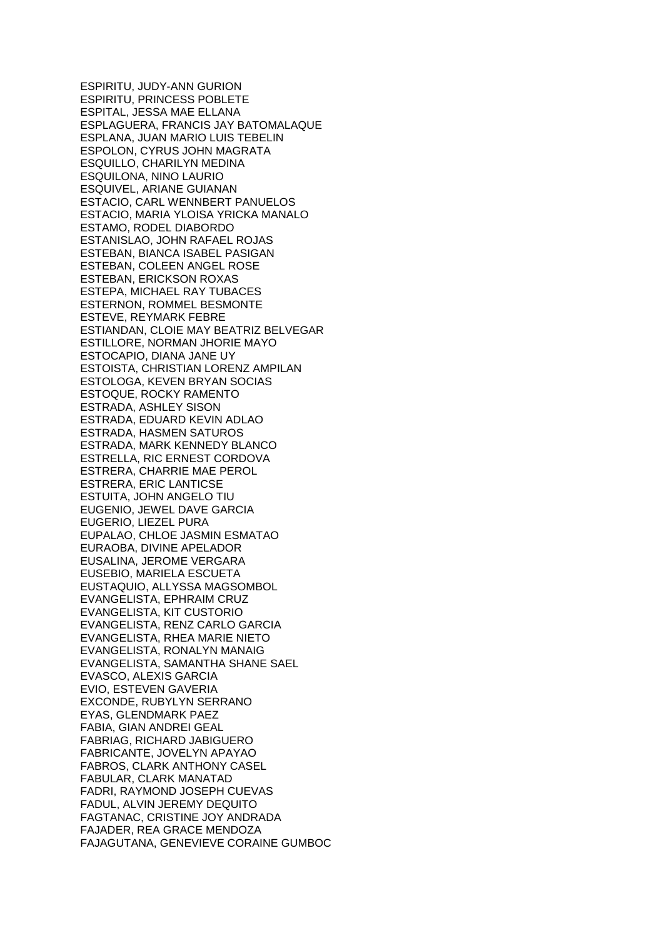ESPIRITU, JUDY-ANN GURION ESPIRITU, PRINCESS POBLETE ESPITAL, JESSA MAE ELLANA ESPLAGUERA, FRANCIS JAY BATOMALAQUE ESPLANA, JUAN MARIO LUIS TEBELIN ESPOLON, CYRUS JOHN MAGRATA ESQUILLO, CHARILYN MEDINA ESQUILONA, NINO LAURIO ESQUIVEL, ARIANE GUIANAN ESTACIO, CARL WENNBERT PANUELOS ESTACIO, MARIA YLOISA YRICKA MANALO ESTAMO, RODEL DIABORDO ESTANISLAO, JOHN RAFAEL ROJAS ESTEBAN, BIANCA ISABEL PASIGAN ESTEBAN, COLEEN ANGEL ROSE ESTEBAN, ERICKSON ROXAS ESTEPA, MICHAEL RAY TUBACES ESTERNON, ROMMEL BESMONTE ESTEVE, REYMARK FEBRE ESTIANDAN, CLOIE MAY BEATRIZ BELVEGAR ESTILLORE, NORMAN JHORIE MAYO ESTOCAPIO, DIANA JANE UY ESTOISTA, CHRISTIAN LORENZ AMPILAN ESTOLOGA, KEVEN BRYAN SOCIAS ESTOQUE, ROCKY RAMENTO ESTRADA, ASHLEY SISON ESTRADA, EDUARD KEVIN ADLAO ESTRADA, HASMEN SATUROS ESTRADA, MARK KENNEDY BLANCO ESTRELLA, RIC ERNEST CORDOVA ESTRERA, CHARRIE MAE PEROL ESTRERA, ERIC LANTICSE ESTUITA, JOHN ANGELO TIU EUGENIO, JEWEL DAVE GARCIA EUGERIO, LIEZEL PURA EUPALAO, CHLOE JASMIN ESMATAO EURAOBA, DIVINE APELADOR EUSALINA, JEROME VERGARA EUSEBIO, MARIELA ESCUETA EUSTAQUIO, ALLYSSA MAGSOMBOL EVANGELISTA, EPHRAIM CRUZ EVANGELISTA, KIT CUSTORIO EVANGELISTA, RENZ CARLO GARCIA EVANGELISTA, RHEA MARIE NIETO EVANGELISTA, RONALYN MANAIG EVANGELISTA, SAMANTHA SHANE SAEL EVASCO, ALEXIS GARCIA EVIO, ESTEVEN GAVERIA EXCONDE, RUBYLYN SERRANO EYAS, GLENDMARK PAEZ FABIA, GIAN ANDREI GEAL FABRIAG, RICHARD JABIGUERO FABRICANTE, JOVELYN APAYAO FABROS, CLARK ANTHONY CASEL FABULAR, CLARK MANATAD FADRI, RAYMOND JOSEPH CUEVAS FADUL, ALVIN JEREMY DEQUITO FAGTANAC, CRISTINE JOY ANDRADA FAJADER, REA GRACE MENDOZA FAJAGUTANA, GENEVIEVE CORAINE GUMBOC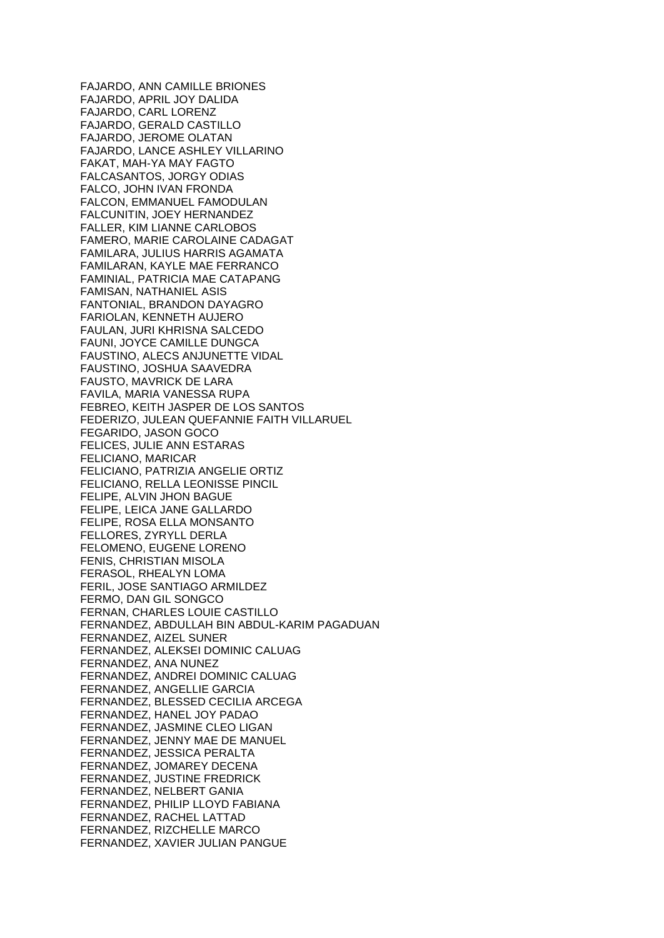FAJARDO, ANN CAMILLE BRIONES FAJARDO, APRIL JOY DALIDA FAJARDO, CARL LORENZ FAJARDO, GERALD CASTILLO FAJARDO, JEROME OLATAN FAJARDO, LANCE ASHLEY VILLARINO FAKAT, MAH-YA MAY FAGTO FALCASANTOS, JORGY ODIAS FALCO, JOHN IVAN FRONDA FALCON, EMMANUEL FAMODULAN FALCUNITIN, JOEY HERNANDEZ FALLER, KIM LIANNE CARLOBOS FAMERO, MARIE CAROLAINE CADAGAT FAMILARA, JULIUS HARRIS AGAMATA FAMILARAN, KAYLE MAE FERRANCO FAMINIAL, PATRICIA MAE CATAPANG FAMISAN, NATHANIEL ASIS FANTONIAL, BRANDON DAYAGRO FARIOLAN, KENNETH AUJERO FAULAN, JURI KHRISNA SALCEDO FAUNI, JOYCE CAMILLE DUNGCA FAUSTINO, ALECS ANJUNETTE VIDAL FAUSTINO, JOSHUA SAAVEDRA FAUSTO, MAVRICK DE LARA FAVILA, MARIA VANESSA RUPA FEBREO, KEITH JASPER DE LOS SANTOS FEDERIZO, JULEAN QUEFANNIE FAITH VILLARUEL FEGARIDO, JASON GOCO FELICES, JULIE ANN ESTARAS FELICIANO, MARICAR FELICIANO, PATRIZIA ANGELIE ORTIZ FELICIANO, RELLA LEONISSE PINCIL FELIPE, ALVIN JHON BAGUE FELIPE, LEICA JANE GALLARDO FELIPE, ROSA ELLA MONSANTO FELLORES, ZYRYLL DERLA FELOMENO, EUGENE LORENO FENIS, CHRISTIAN MISOLA FERASOL, RHEALYN LOMA FERIL, JOSE SANTIAGO ARMILDEZ FERMO, DAN GIL SONGCO FERNAN, CHARLES LOUIE CASTILLO FERNANDEZ, ABDULLAH BIN ABDUL-KARIM PAGADUAN FERNANDEZ, AIZEL SUNER FERNANDEZ, ALEKSEI DOMINIC CALUAG FERNANDEZ, ANA NUNEZ FERNANDEZ, ANDREI DOMINIC CALUAG FERNANDEZ, ANGELLIE GARCIA FERNANDEZ, BLESSED CECILIA ARCEGA FERNANDEZ, HANEL JOY PADAO FERNANDEZ, JASMINE CLEO LIGAN FERNANDEZ, JENNY MAE DE MANUEL FERNANDEZ, JESSICA PERALTA FERNANDEZ, JOMAREY DECENA FERNANDEZ, JUSTINE FREDRICK FERNANDEZ, NELBERT GANIA FERNANDEZ, PHILIP LLOYD FABIANA FERNANDEZ, RACHEL LATTAD FERNANDEZ, RIZCHELLE MARCO FERNANDEZ, XAVIER JULIAN PANGUE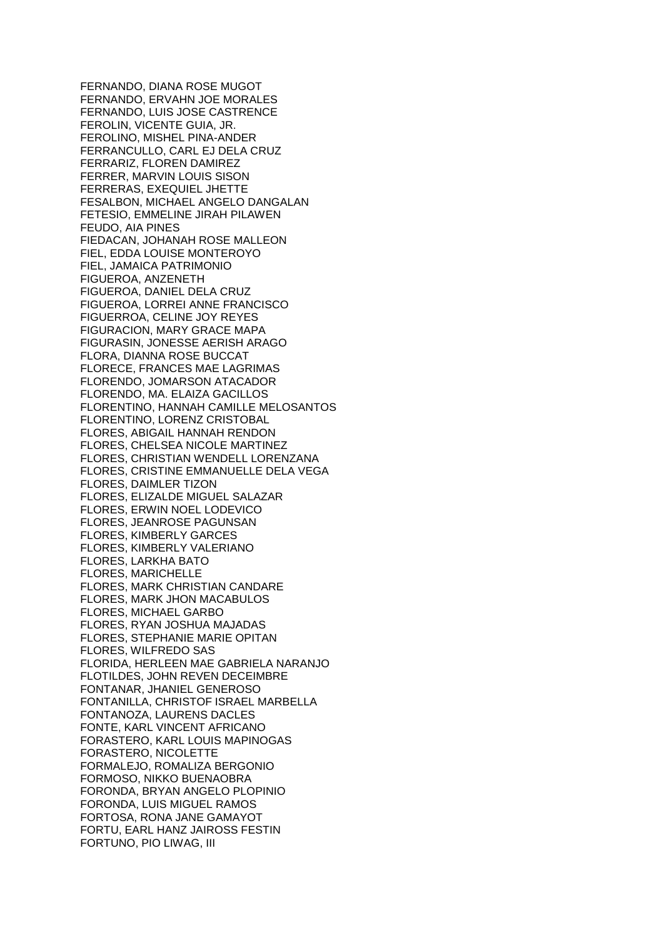FERNANDO, DIANA ROSE MUGOT FERNANDO, ERVAHN JOE MORALES FERNANDO, LUIS JOSE CASTRENCE FEROLIN, VICENTE GUIA, JR. FEROLINO, MISHEL PINA-ANDER FERRANCULLO, CARL EJ DELA CRUZ FERRARIZ, FLOREN DAMIREZ FERRER, MARVIN LOUIS SISON FERRERAS, EXEQUIEL JHETTE FESALBON, MICHAEL ANGELO DANGALAN FETESIO, EMMELINE JIRAH PILAWEN FEUDO, AIA PINES FIEDACAN, JOHANAH ROSE MALLEON FIEL, EDDA LOUISE MONTEROYO FIEL, JAMAICA PATRIMONIO FIGUEROA, ANZENETH FIGUEROA, DANIEL DELA CRUZ FIGUEROA, LORREI ANNE FRANCISCO FIGUERROA, CELINE JOY REYES FIGURACION, MARY GRACE MAPA FIGURASIN, JONESSE AERISH ARAGO FLORA, DIANNA ROSE BUCCAT FLORECE, FRANCES MAE LAGRIMAS FLORENDO, JOMARSON ATACADOR FLORENDO, MA. ELAIZA GACILLOS FLORENTINO, HANNAH CAMILLE MELOSANTOS FLORENTINO, LORENZ CRISTOBAL FLORES, ABIGAIL HANNAH RENDON FLORES, CHELSEA NICOLE MARTINEZ FLORES, CHRISTIAN WENDELL LORENZANA FLORES, CRISTINE EMMANUELLE DELA VEGA FLORES, DAIMLER TIZON FLORES, ELIZALDE MIGUEL SALAZAR FLORES, ERWIN NOEL LODEVICO FLORES, JEANROSE PAGUNSAN FLORES, KIMBERLY GARCES FLORES, KIMBERLY VALERIANO FLORES, LARKHA BATO FLORES, MARICHELLE FLORES, MARK CHRISTIAN CANDARE FLORES, MARK JHON MACABULOS FLORES, MICHAEL GARBO FLORES, RYAN JOSHUA MAJADAS FLORES, STEPHANIE MARIE OPITAN FLORES, WILFREDO SAS FLORIDA, HERLEEN MAE GABRIELA NARANJO FLOTILDES, JOHN REVEN DECEIMBRE FONTANAR, JHANIEL GENEROSO FONTANILLA, CHRISTOF ISRAEL MARBELLA FONTANOZA, LAURENS DACLES FONTE, KARL VINCENT AFRICANO FORASTERO, KARL LOUIS MAPINOGAS FORASTERO, NICOLETTE FORMALEJO, ROMALIZA BERGONIO FORMOSO, NIKKO BUENAOBRA FORONDA, BRYAN ANGELO PLOPINIO FORONDA, LUIS MIGUEL RAMOS FORTOSA, RONA JANE GAMAYOT FORTU, EARL HANZ JAIROSS FESTIN FORTUNO, PIO LIWAG, III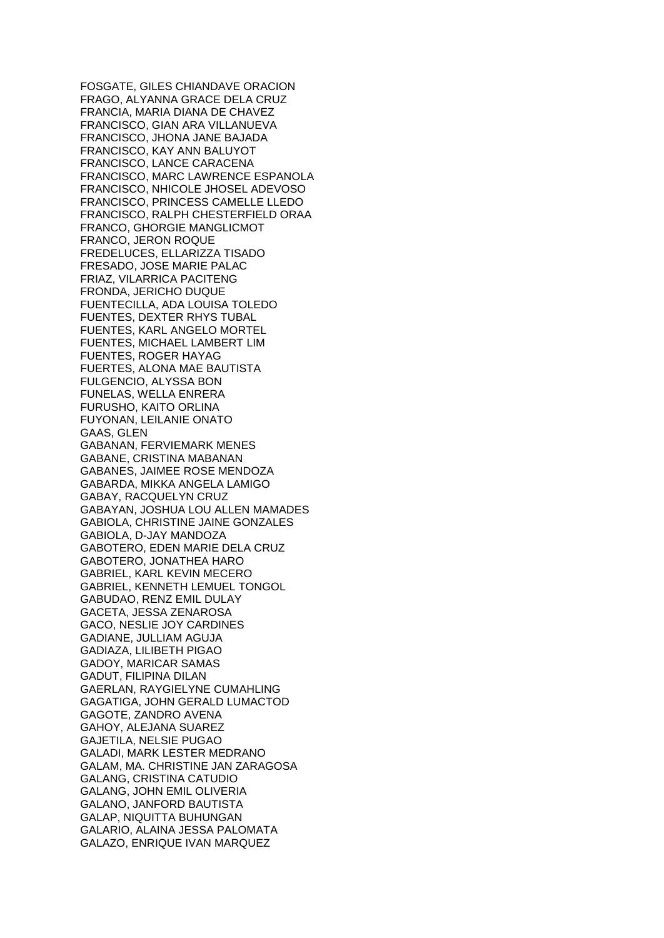FOSGATE, GILES CHIANDAVE ORACION FRAGO, ALYANNA GRACE DELA CRUZ FRANCIA, MARIA DIANA DE CHAVEZ FRANCISCO, GIAN ARA VILLANUEVA FRANCISCO, JHONA JANE BAJADA FRANCISCO, KAY ANN BALUYOT FRANCISCO, LANCE CARACENA FRANCISCO, MARC LAWRENCE ESPANOLA FRANCISCO, NHICOLE JHOSEL ADEVOSO FRANCISCO, PRINCESS CAMELLE LLEDO FRANCISCO, RALPH CHESTERFIELD ORAA FRANCO, GHORGIE MANGLICMOT FRANCO, JERON ROQUE FREDELUCES, ELLARIZZA TISADO FRESADO, JOSE MARIE PALAC FRIAZ, VILARRICA PACITENG FRONDA, JERICHO DUQUE FUENTECILLA, ADA LOUISA TOLEDO FUENTES, DEXTER RHYS TUBAL FUENTES, KARL ANGELO MORTEL FUENTES, MICHAEL LAMBERT LIM FUENTES, ROGER HAYAG FUERTES, ALONA MAE BAUTISTA FULGENCIO, ALYSSA BON FUNELAS, WELLA ENRERA FURUSHO, KAITO ORLINA FUYONAN, LEILANIE ONATO GAAS, GLEN GABANAN, FERVIEMARK MENES GABANE, CRISTINA MABANAN GABANES, JAIMEE ROSE MENDOZA GABARDA, MIKKA ANGELA LAMIGO GABAY, RACQUELYN CRUZ GABAYAN, JOSHUA LOU ALLEN MAMADES GABIOLA, CHRISTINE JAINE GONZALES GABIOLA, D-JAY MANDOZA GABOTERO, EDEN MARIE DELA CRUZ GABOTERO, JONATHEA HARO GABRIEL, KARL KEVIN MECERO GABRIEL, KENNETH LEMUEL TONGOL GABUDAO, RENZ EMIL DULAY GACETA, JESSA ZENAROSA GACO, NESLIE JOY CARDINES GADIANE, JULLIAM AGUJA GADIAZA, LILIBETH PIGAO GADOY, MARICAR SAMAS GADUT, FILIPINA DILAN GAERLAN, RAYGIELYNE CUMAHLING GAGATIGA, JOHN GERALD LUMACTOD GAGOTE, ZANDRO AVENA GAHOY, ALEJANA SUAREZ GAJETILA, NELSIE PUGAO GALADI, MARK LESTER MEDRANO GALAM, MA. CHRISTINE JAN ZARAGOSA GALANG, CRISTINA CATUDIO GALANG, JOHN EMIL OLIVERIA GALANO, JANFORD BAUTISTA GALAP, NIQUITTA BUHUNGAN GALARIO, ALAINA JESSA PALOMATA GALAZO, ENRIQUE IVAN MARQUEZ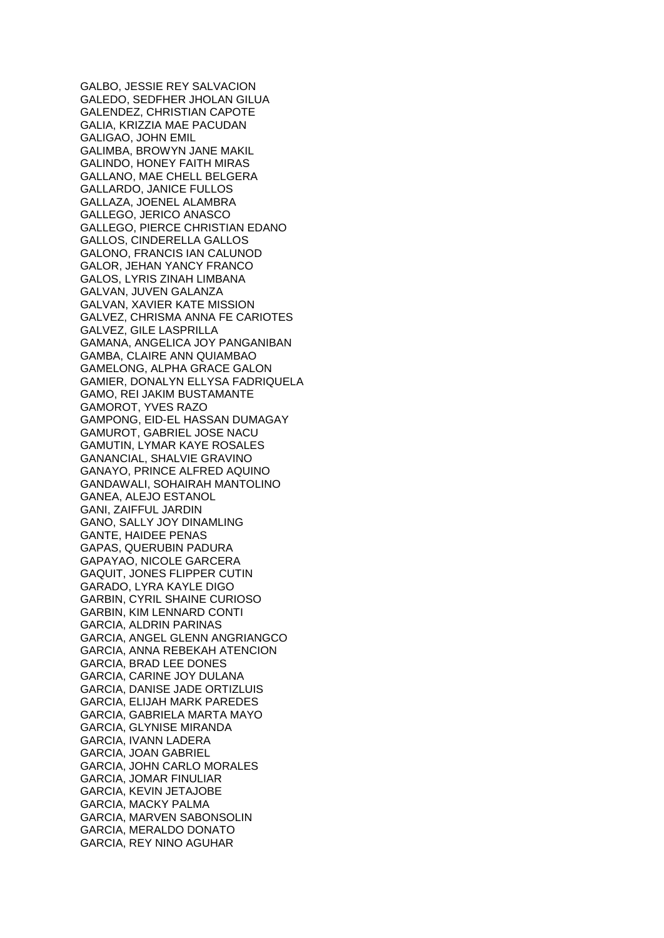GALBO, JESSIE REY SALVACION GALEDO, SEDFHER JHOLAN GILUA GALENDEZ, CHRISTIAN CAPOTE GALIA, KRIZZIA MAE PACUDAN GALIGAO, JOHN EMIL GALIMBA, BROWYN JANE MAKIL GALINDO, HONEY FAITH MIRAS GALLANO, MAE CHELL BELGERA GALLARDO, JANICE FULLOS GALLAZA, JOENEL ALAMBRA GALLEGO, JERICO ANASCO GALLEGO, PIERCE CHRISTIAN EDANO GALLOS, CINDERELLA GALLOS GALONO, FRANCIS IAN CALUNOD GALOR, JEHAN YANCY FRANCO GALOS, LYRIS ZINAH LIMBANA GALVAN, JUVEN GALANZA GALVAN, XAVIER KATE MISSION GALVEZ, CHRISMA ANNA FE CARIOTES GALVEZ, GILE LASPRILLA GAMANA, ANGELICA JOY PANGANIBAN GAMBA, CLAIRE ANN QUIAMBAO GAMELONG, ALPHA GRACE GALON GAMIER, DONALYN ELLYSA FADRIQUELA GAMO, REI JAKIM BUSTAMANTE GAMOROT, YVES RAZO GAMPONG, EID-EL HASSAN DUMAGAY GAMUROT, GABRIEL JOSE NACU GAMUTIN, LYMAR KAYE ROSALES GANANCIAL, SHALVIE GRAVINO GANAYO, PRINCE ALFRED AQUINO GANDAWALI, SOHAIRAH MANTOLINO GANEA, ALEJO ESTANOL GANI, ZAIFFUL JARDIN GANO, SALLY JOY DINAMLING GANTE, HAIDEE PENAS GAPAS, QUERUBIN PADURA GAPAYAO, NICOLE GARCERA GAQUIT, JONES FLIPPER CUTIN GARADO, LYRA KAYLE DIGO GARBIN, CYRIL SHAINE CURIOSO GARBIN, KIM LENNARD CONTI GARCIA, ALDRIN PARINAS GARCIA, ANGEL GLENN ANGRIANGCO GARCIA, ANNA REBEKAH ATENCION GARCIA, BRAD LEE DONES GARCIA, CARINE JOY DULANA GARCIA, DANISE JADE ORTIZLUIS GARCIA, ELIJAH MARK PAREDES GARCIA, GABRIELA MARTA MAYO GARCIA, GLYNISE MIRANDA GARCIA, IVANN LADERA GARCIA, JOAN GABRIEL GARCIA, JOHN CARLO MORALES GARCIA, JOMAR FINULIAR GARCIA, KEVIN JETAJOBE GARCIA, MACKY PALMA GARCIA, MARVEN SABONSOLIN GARCIA, MERALDO DONATO GARCIA, REY NINO AGUHAR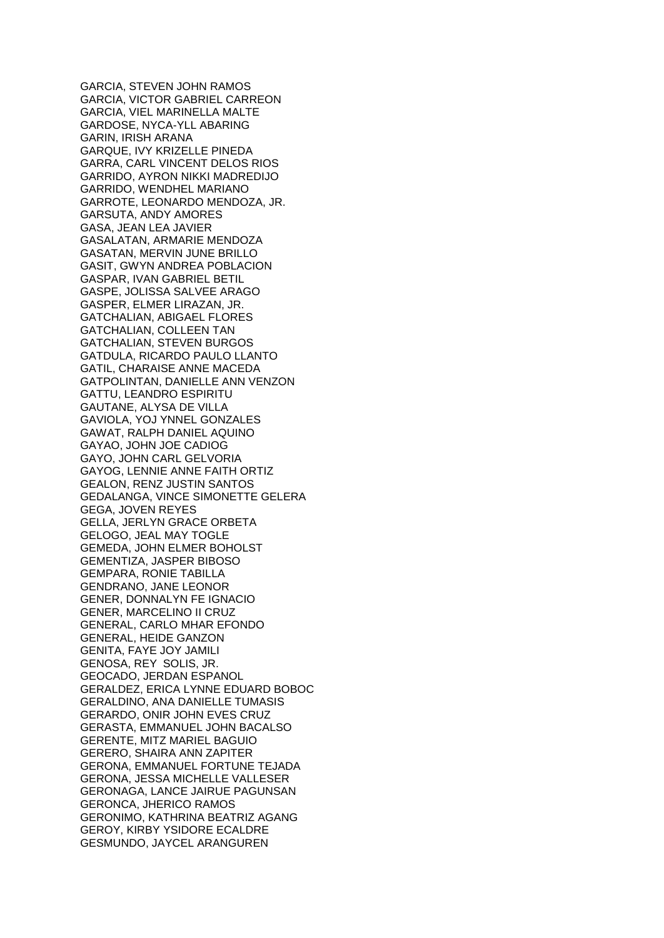GARCIA, STEVEN JOHN RAMOS GARCIA, VICTOR GABRIEL CARREON GARCIA, VIEL MARINELLA MALTE GARDOSE, NYCA-YLL ABARING GARIN, IRISH ARANA GARQUE, IVY KRIZELLE PINEDA GARRA, CARL VINCENT DELOS RIOS GARRIDO, AYRON NIKKI MADREDIJO GARRIDO, WENDHEL MARIANO GARROTE, LEONARDO MENDOZA, JR. GARSUTA, ANDY AMORES GASA, JEAN LEA JAVIER GASALATAN, ARMARIE MENDOZA GASATAN, MERVIN JUNE BRILLO GASIT, GWYN ANDREA POBLACION GASPAR, IVAN GABRIEL BETIL GASPE, JOLISSA SALVEE ARAGO GASPER, ELMER LIRAZAN, JR. GATCHALIAN, ABIGAEL FLORES GATCHALIAN, COLLEEN TAN GATCHALIAN, STEVEN BURGOS GATDULA, RICARDO PAULO LLANTO GATIL, CHARAISE ANNE MACEDA GATPOLINTAN, DANIELLE ANN VENZON GATTU, LEANDRO ESPIRITU GAUTANE, ALYSA DE VILLA GAVIOLA, YOJ YNNEL GONZALES GAWAT, RALPH DANIEL AQUINO GAYAO, JOHN JOE CADIOG GAYO, JOHN CARL GELVORIA GAYOG, LENNIE ANNE FAITH ORTIZ GEALON, RENZ JUSTIN SANTOS GEDALANGA, VINCE SIMONETTE GELERA GEGA, JOVEN REYES GELLA, JERLYN GRACE ORBETA GELOGO, JEAL MAY TOGLE GEMEDA, JOHN ELMER BOHOLST GEMENTIZA, JASPER BIBOSO GEMPARA, RONIE TABILLA GENDRANO, JANE LEONOR GENER, DONNALYN FE IGNACIO GENER, MARCELINO II CRUZ GENERAL, CARLO MHAR EFONDO GENERAL, HEIDE GANZON GENITA, FAYE JOY JAMILI GENOSA, REY SOLIS, JR. GEOCADO, JERDAN ESPANOL GERALDEZ, ERICA LYNNE EDUARD BOBOC GERALDINO, ANA DANIELLE TUMASIS GERARDO, ONIR JOHN EVES CRUZ GERASTA, EMMANUEL JOHN BACALSO GERENTE, MITZ MARIEL BAGUIO GERERO, SHAIRA ANN ZAPITER GERONA, EMMANUEL FORTUNE TEJADA GERONA, JESSA MICHELLE VALLESER GERONAGA, LANCE JAIRUE PAGUNSAN GERONCA, JHERICO RAMOS GERONIMO, KATHRINA BEATRIZ AGANG GEROY, KIRBY YSIDORE ECALDRE GESMUNDO, JAYCEL ARANGUREN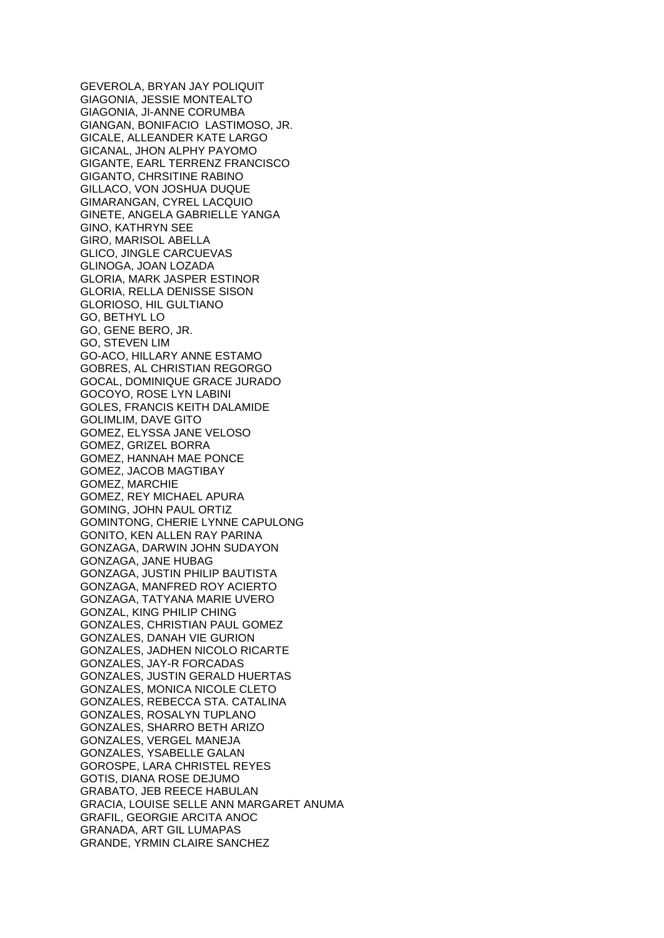GEVEROLA, BRYAN JAY POLIQUIT GIAGONIA, JESSIE MONTEALTO GIAGONIA, JI-ANNE CORUMBA GIANGAN, BONIFACIO LASTIMOSO, JR. GICALE, ALLEANDER KATE LARGO GICANAL, JHON ALPHY PAYOMO GIGANTE, EARL TERRENZ FRANCISCO GIGANTO, CHRSITINE RABINO GILLACO, VON JOSHUA DUQUE GIMARANGAN, CYREL LACQUIO GINETE, ANGELA GABRIELLE YANGA GINO, KATHRYN SEE GIRO, MARISOL ABELLA GLICO, JINGLE CARCUEVAS GLINOGA, JOAN LOZADA GLORIA, MARK JASPER ESTINOR GLORIA, RELLA DENISSE SISON GLORIOSO, HIL GULTIANO GO, BETHYL LO GO, GENE BERO, JR. GO, STEVEN LIM GO-ACO, HILLARY ANNE ESTAMO GOBRES, AL CHRISTIAN REGORGO GOCAL, DOMINIQUE GRACE JURADO GOCOYO, ROSE LYN LABINI GOLES, FRANCIS KEITH DALAMIDE GOLIMLIM, DAVE GITO GOMEZ, ELYSSA JANE VELOSO GOMEZ, GRIZEL BORRA GOMEZ, HANNAH MAE PONCE GOMEZ, JACOB MAGTIBAY GOMEZ, MARCHIE GOMEZ, REY MICHAEL APURA GOMING, JOHN PAUL ORTIZ GOMINTONG, CHERIE LYNNE CAPULONG GONITO, KEN ALLEN RAY PARINA GONZAGA, DARWIN JOHN SUDAYON GONZAGA, JANE HUBAG GONZAGA, JUSTIN PHILIP BAUTISTA GONZAGA, MANFRED ROY ACIERTO GONZAGA, TATYANA MARIE UVERO GONZAL, KING PHILIP CHING GONZALES, CHRISTIAN PAUL GOMEZ GONZALES, DANAH VIE GURION GONZALES, JADHEN NICOLO RICARTE GONZALES, JAY-R FORCADAS GONZALES, JUSTIN GERALD HUERTAS GONZALES, MONICA NICOLE CLETO GONZALES, REBECCA STA. CATALINA GONZALES, ROSALYN TUPLANO GONZALES, SHARRO BETH ARIZO GONZALES, VERGEL MANEJA GONZALES, YSABELLE GALAN GOROSPE, LARA CHRISTEL REYES GOTIS, DIANA ROSE DEJUMO GRABATO, JEB REECE HABULAN GRACIA, LOUISE SELLE ANN MARGARET ANUMA GRAFIL, GEORGIE ARCITA ANOC GRANADA, ART GIL LUMAPAS GRANDE, YRMIN CLAIRE SANCHEZ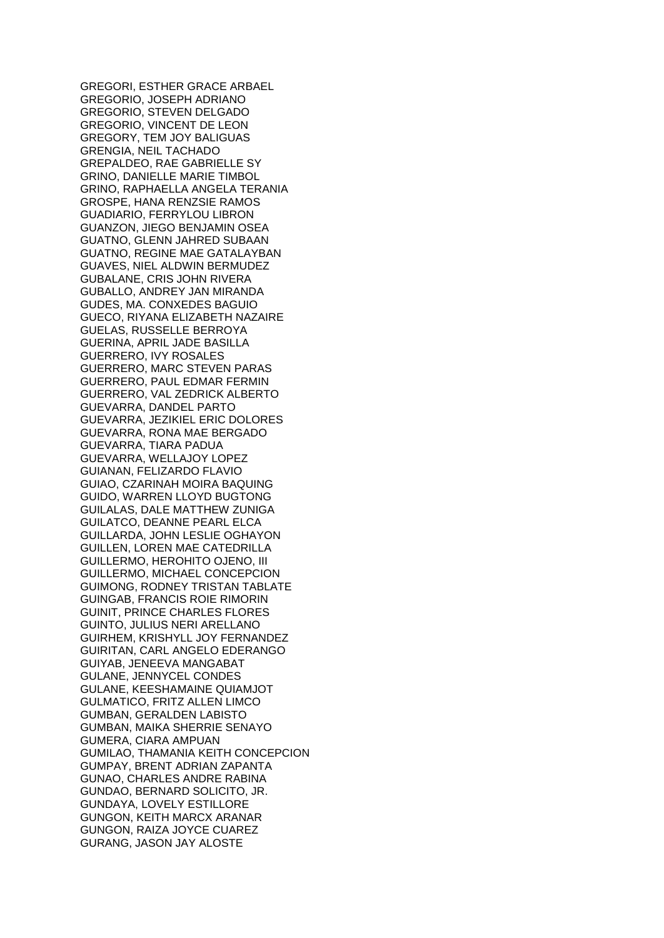GREGORI, ESTHER GRACE ARBAEL GREGORIO, JOSEPH ADRIANO GREGORIO, STEVEN DELGADO GREGORIO, VINCENT DE LEON GREGORY, TEM JOY BALIGUAS GRENGIA, NEIL TACHADO GREPALDEO, RAE GABRIELLE SY GRINO, DANIELLE MARIE TIMBOL GRINO, RAPHAELLA ANGELA TERANIA GROSPE, HANA RENZSIE RAMOS GUADIARIO, FERRYLOU LIBRON GUANZON, JIEGO BENJAMIN OSEA GUATNO, GLENN JAHRED SUBAAN GUATNO, REGINE MAE GATALAYBAN GUAVES, NIEL ALDWIN BERMUDEZ GUBALANE, CRIS JOHN RIVERA GUBALLO, ANDREY JAN MIRANDA GUDES, MA. CONXEDES BAGUIO GUECO, RIYANA ELIZABETH NAZAIRE GUELAS, RUSSELLE BERROYA GUERINA, APRIL JADE BASILLA GUERRERO, IVY ROSALES GUERRERO, MARC STEVEN PARAS GUERRERO, PAUL EDMAR FERMIN GUERRERO, VAL ZEDRICK ALBERTO GUEVARRA, DANDEL PARTO GUEVARRA, JEZIKIEL ERIC DOLORES GUEVARRA, RONA MAE BERGADO GUEVARRA, TIARA PADUA GUEVARRA, WELLAJOY LOPEZ GUIANAN, FELIZARDO FLAVIO GUIAO, CZARINAH MOIRA BAQUING GUIDO, WARREN LLOYD BUGTONG GUILALAS, DALE MATTHEW ZUNIGA GUILATCO, DEANNE PEARL ELCA GUILLARDA, JOHN LESLIE OGHAYON GUILLEN, LOREN MAE CATEDRILLA GUILLERMO, HEROHITO OJENO, III GUILLERMO, MICHAEL CONCEPCION GUIMONG, RODNEY TRISTAN TABLATE GUINGAB, FRANCIS ROIE RIMORIN GUINIT, PRINCE CHARLES FLORES GUINTO, JULIUS NERI ARELLANO GUIRHEM, KRISHYLL JOY FERNANDEZ GUIRITAN, CARL ANGELO EDERANGO GUIYAB, JENEEVA MANGABAT GULANE, JENNYCEL CONDES GULANE, KEESHAMAINE QUIAMJOT GULMATICO, FRITZ ALLEN LIMCO GUMBAN, GERALDEN LABISTO GUMBAN, MAIKA SHERRIE SENAYO GUMERA, CIARA AMPUAN GUMILAO, THAMANIA KEITH CONCEPCION GUMPAY, BRENT ADRIAN ZAPANTA GUNAO, CHARLES ANDRE RABINA GUNDAO, BERNARD SOLICITO, JR. GUNDAYA, LOVELY ESTILLORE GUNGON, KEITH MARCX ARANAR GUNGON, RAIZA JOYCE CUAREZ GURANG, JASON JAY ALOSTE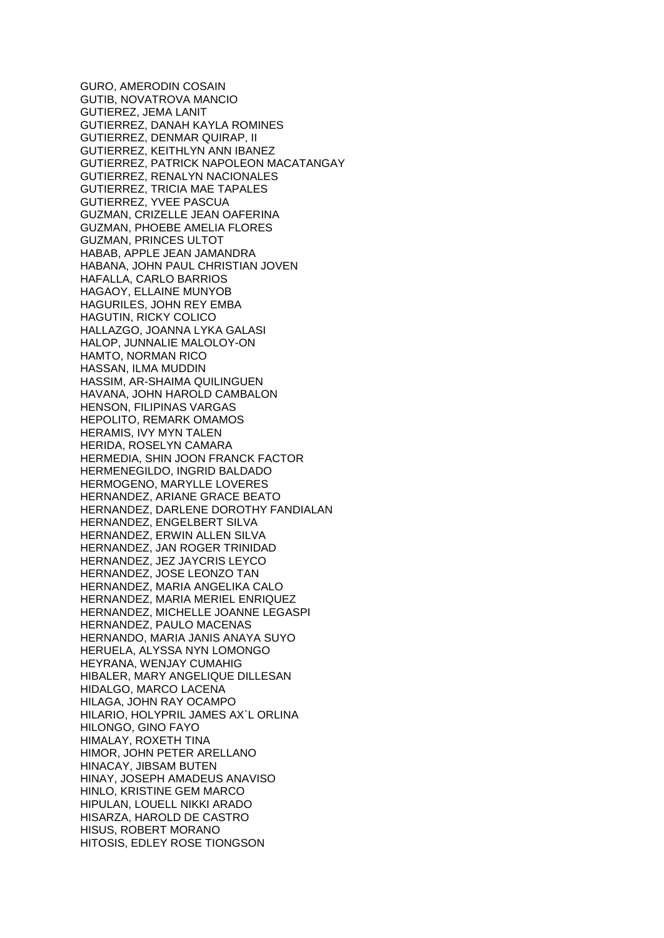GURO, AMERODIN COSAIN GUTIB, NOVATROVA MANCIO GUTIEREZ, JEMA LANIT GUTIERREZ, DANAH KAYLA ROMINES GUTIERREZ, DENMAR QUIRAP, II GUTIERREZ, KEITHLYN ANN IBANEZ GUTIERREZ, PATRICK NAPOLEON MACATANGAY GUTIERREZ, RENALYN NACIONALES GUTIERREZ, TRICIA MAE TAPALES GUTIERREZ, YVEE PASCUA GUZMAN, CRIZELLE JEAN OAFERINA GUZMAN, PHOEBE AMELIA FLORES GUZMAN, PRINCES ULTOT HABAB, APPLE JEAN JAMANDRA HABANA, JOHN PAUL CHRISTIAN JOVEN HAFALLA, CARLO BARRIOS HAGAOY, ELLAINE MUNYOB HAGURILES, JOHN REY EMBA HAGUTIN, RICKY COLICO HALLAZGO, JOANNA LYKA GALASI HALOP, JUNNALIE MALOLOY-ON HAMTO, NORMAN RICO HASSAN, ILMA MUDDIN HASSIM, AR-SHAIMA QUILINGUEN HAVANA, JOHN HAROLD CAMBALON HENSON, FILIPINAS VARGAS HEPOLITO, REMARK OMAMOS HERAMIS, IVY MYN TALEN HERIDA, ROSELYN CAMARA HERMEDIA, SHIN JOON FRANCK FACTOR HERMENEGILDO, INGRID BALDADO HERMOGENO, MARYLLE LOVERES HERNANDEZ, ARIANE GRACE BEATO HERNANDEZ, DARLENE DOROTHY FANDIALAN HERNANDEZ, ENGELBERT SILVA HERNANDEZ, ERWIN ALLEN SILVA HERNANDEZ, JAN ROGER TRINIDAD HERNANDEZ, JEZ JAYCRIS LEYCO HERNANDEZ, JOSE LEONZO TAN HERNANDEZ, MARIA ANGELIKA CALO HERNANDEZ, MARIA MERIEL ENRIQUEZ HERNANDEZ, MICHELLE JOANNE LEGASPI HERNANDEZ, PAULO MACENAS HERNANDO, MARIA JANIS ANAYA SUYO HERUELA, ALYSSA NYN LOMONGO HEYRANA, WENJAY CUMAHIG HIBALER, MARY ANGELIQUE DILLESAN HIDALGO, MARCO LACENA HILAGA, JOHN RAY OCAMPO HILARIO, HOLYPRIL JAMES AX`L ORLINA HILONGO, GINO FAYO HIMALAY, ROXETH TINA HIMOR, JOHN PETER ARELLANO HINACAY, JIBSAM BUTEN HINAY, JOSEPH AMADEUS ANAVISO HINLO, KRISTINE GEM MARCO HIPULAN, LOUELL NIKKI ARADO HISARZA, HAROLD DE CASTRO HISUS, ROBERT MORANO HITOSIS, EDLEY ROSE TIONGSON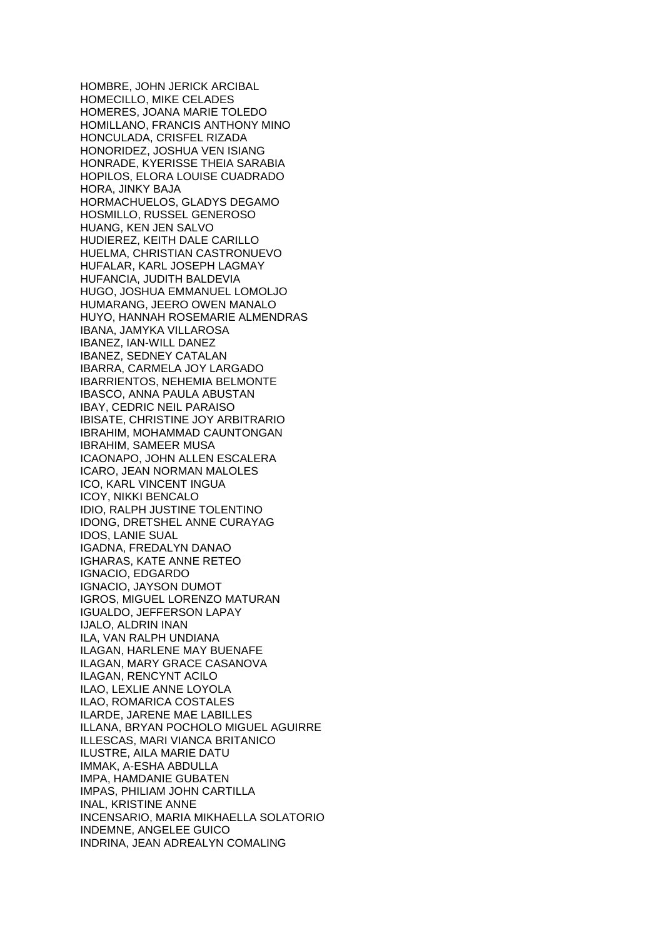HOMBRE, JOHN JERICK ARCIBAL HOMECILLO, MIKE CELADES HOMERES, JOANA MARIE TOLEDO HOMILLANO, FRANCIS ANTHONY MINO HONCULADA, CRISFEL RIZADA HONORIDEZ, JOSHUA VEN ISIANG HONRADE, KYERISSE THEIA SARABIA HOPILOS, ELORA LOUISE CUADRADO HORA, JINKY BAJA HORMACHUELOS, GLADYS DEGAMO HOSMILLO, RUSSEL GENEROSO HUANG, KEN JEN SALVO HUDIEREZ, KEITH DALE CARILLO HUELMA, CHRISTIAN CASTRONUEVO HUFALAR, KARL JOSEPH LAGMAY HUFANCIA, JUDITH BALDEVIA HUGO, JOSHUA EMMANUEL LOMOLJO HUMARANG, JEERO OWEN MANALO HUYO, HANNAH ROSEMARIE ALMENDRAS IBANA, JAMYKA VILLAROSA IBANEZ, IAN-WILL DANEZ IBANEZ, SEDNEY CATALAN IBARRA, CARMELA JOY LARGADO IBARRIENTOS, NEHEMIA BELMONTE IBASCO, ANNA PAULA ABUSTAN IBAY, CEDRIC NEIL PARAISO IBISATE, CHRISTINE JOY ARBITRARIO IBRAHIM, MOHAMMAD CAUNTONGAN IBRAHIM, SAMEER MUSA ICAONAPO, JOHN ALLEN ESCALERA ICARO, JEAN NORMAN MALOLES ICO, KARL VINCENT INGUA ICOY, NIKKI BENCALO IDIO, RALPH JUSTINE TOLENTINO IDONG, DRETSHEL ANNE CURAYAG IDOS, LANIE SUAL IGADNA, FREDALYN DANAO IGHARAS, KATE ANNE RETEO IGNACIO, EDGARDO IGNACIO, JAYSON DUMOT IGROS, MIGUEL LORENZO MATURAN IGUALDO, JEFFERSON LAPAY IJALO, ALDRIN INAN ILA, VAN RALPH UNDIANA ILAGAN, HARLENE MAY BUENAFE ILAGAN, MARY GRACE CASANOVA ILAGAN, RENCYNT ACILO ILAO, LEXLIE ANNE LOYOLA ILAO, ROMARICA COSTALES ILARDE, JARENE MAE LABILLES ILLANA, BRYAN POCHOLO MIGUEL AGUIRRE ILLESCAS, MARI VIANCA BRITANICO ILUSTRE, AILA MARIE DATU IMMAK, A-ESHA ABDULLA IMPA, HAMDANIE GUBATEN IMPAS, PHILIAM JOHN CARTILLA INAL, KRISTINE ANNE INCENSARIO, MARIA MIKHAELLA SOLATORIO INDEMNE, ANGELEE GUICO INDRINA, JEAN ADREALYN COMALING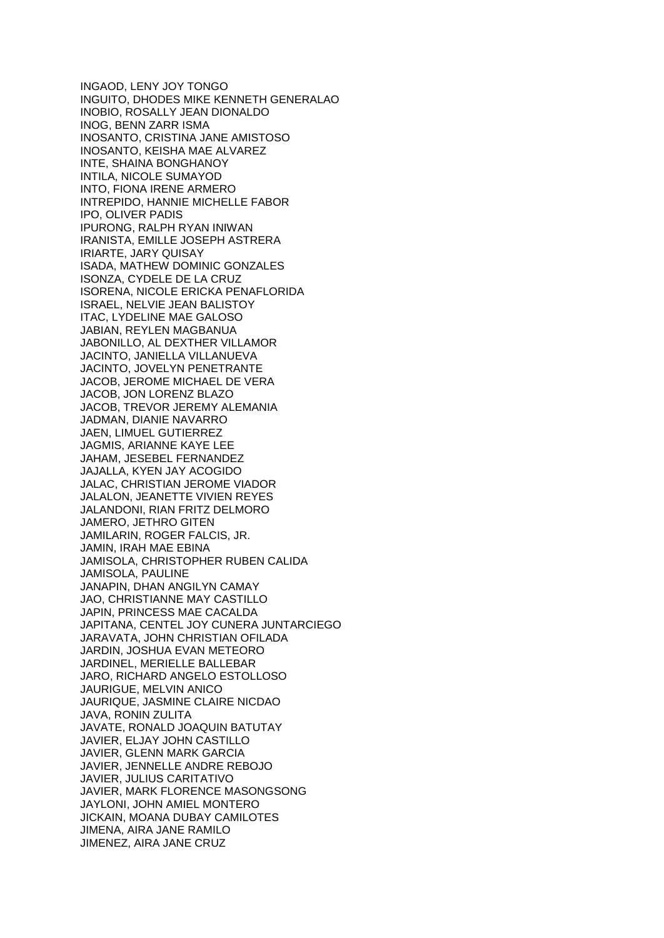INGAOD, LENY JOY TONGO INGUITO, DHODES MIKE KENNETH GENERALAO INOBIO, ROSALLY JEAN DIONALDO INOG, BENN ZARR ISMA INOSANTO, CRISTINA JANE AMISTOSO INOSANTO, KEISHA MAE ALVAREZ INTE, SHAINA BONGHANOY INTILA, NICOLE SUMAYOD INTO, FIONA IRENE ARMERO INTREPIDO, HANNIE MICHELLE FABOR IPO, OLIVER PADIS IPURONG, RALPH RYAN INIWAN IRANISTA, EMILLE JOSEPH ASTRERA IRIARTE, JARY QUISAY ISADA, MATHEW DOMINIC GONZALES ISONZA, CYDELE DE LA CRUZ ISORENA, NICOLE ERICKA PENAFLORIDA ISRAEL, NELVIE JEAN BALISTOY ITAC, LYDELINE MAE GALOSO JABIAN, REYLEN MAGBANUA JABONILLO, AL DEXTHER VILLAMOR JACINTO, JANIELLA VILLANUEVA JACINTO, JOVELYN PENETRANTE JACOB, JEROME MICHAEL DE VERA JACOB, JON LORENZ BLAZO JACOB, TREVOR JEREMY ALEMANIA JADMAN, DIANIE NAVARRO JAEN, LIMUEL GUTIERREZ JAGMIS, ARIANNE KAYE LEE JAHAM, JESEBEL FERNANDEZ JAJALLA, KYEN JAY ACOGIDO JALAC, CHRISTIAN JEROME VIADOR JALALON, JEANETTE VIVIEN REYES JALANDONI, RIAN FRITZ DELMORO JAMERO, JETHRO GITEN JAMILARIN, ROGER FALCIS, JR. JAMIN, IRAH MAE EBINA JAMISOLA, CHRISTOPHER RUBEN CALIDA JAMISOLA, PAULINE JANAPIN, DHAN ANGILYN CAMAY JAO, CHRISTIANNE MAY CASTILLO JAPIN, PRINCESS MAE CACALDA JAPITANA, CENTEL JOY CUNERA JUNTARCIEGO JARAVATA, JOHN CHRISTIAN OFILADA JARDIN, JOSHUA EVAN METEORO JARDINEL, MERIELLE BALLEBAR JARO, RICHARD ANGELO ESTOLLOSO JAURIGUE, MELVIN ANICO JAURIQUE, JASMINE CLAIRE NICDAO JAVA, RONIN ZULITA JAVATE, RONALD JOAQUIN BATUTAY JAVIER, ELJAY JOHN CASTILLO JAVIER, GLENN MARK GARCIA JAVIER, JENNELLE ANDRE REBOJO JAVIER, JULIUS CARITATIVO JAVIER, MARK FLORENCE MASONGSONG JAYLONI, JOHN AMIEL MONTERO JICKAIN, MOANA DUBAY CAMILOTES JIMENA, AIRA JANE RAMILO JIMENEZ, AIRA JANE CRUZ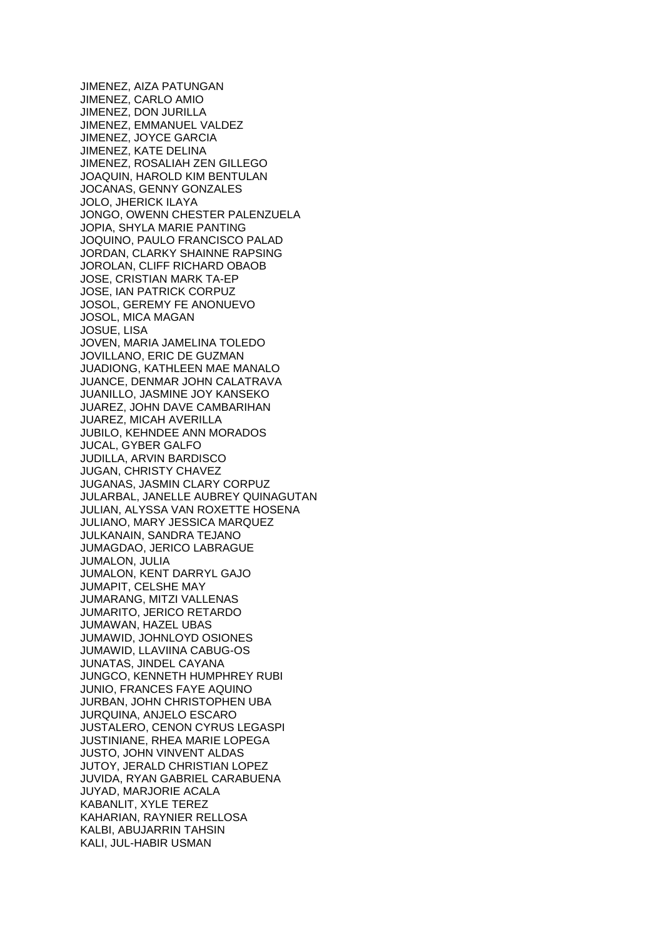JIMENEZ, AIZA PATUNGAN JIMENEZ, CARLO AMIO JIMENEZ, DON JURILLA JIMENEZ, EMMANUEL VALDEZ JIMENEZ, JOYCE GARCIA JIMENEZ, KATE DELINA JIMENEZ, ROSALIAH ZEN GILLEGO JOAQUIN, HAROLD KIM BENTULAN JOCANAS, GENNY GONZALES JOLO, JHERICK ILAYA JONGO, OWENN CHESTER PALENZUELA JOPIA, SHYLA MARIE PANTING JOQUINO, PAULO FRANCISCO PALAD JORDAN, CLARKY SHAINNE RAPSING JOROLAN, CLIFF RICHARD OBAOB JOSE, CRISTIAN MARK TA-EP JOSE, IAN PATRICK CORPUZ JOSOL, GEREMY FE ANONUEVO JOSOL, MICA MAGAN JOSUE, LISA JOVEN, MARIA JAMELINA TOLEDO JOVILLANO, ERIC DE GUZMAN JUADIONG, KATHLEEN MAE MANALO JUANCE, DENMAR JOHN CALATRAVA JUANILLO, JASMINE JOY KANSEKO JUAREZ, JOHN DAVE CAMBARIHAN JUAREZ, MICAH AVERILLA JUBILO, KEHNDEE ANN MORADOS JUCAL, GYBER GALFO JUDILLA, ARVIN BARDISCO JUGAN, CHRISTY CHAVEZ JUGANAS, JASMIN CLARY CORPUZ JULARBAL, JANELLE AUBREY QUINAGUTAN JULIAN, ALYSSA VAN ROXETTE HOSENA JULIANO, MARY JESSICA MARQUEZ JULKANAIN, SANDRA TEJANO JUMAGDAO, JERICO LABRAGUE JUMALON, JULIA JUMALON, KENT DARRYL GAJO JUMAPIT, CELSHE MAY JUMARANG, MITZI VALLENAS JUMARITO, JERICO RETARDO JUMAWAN, HAZEL UBAS JUMAWID, JOHNLOYD OSIONES JUMAWID, LLAVIINA CABUG-OS JUNATAS, JINDEL CAYANA JUNGCO, KENNETH HUMPHREY RUBI JUNIO, FRANCES FAYE AQUINO JURBAN, JOHN CHRISTOPHEN UBA JURQUINA, ANJELO ESCARO JUSTALERO, CENON CYRUS LEGASPI JUSTINIANE, RHEA MARIE LOPEGA JUSTO, JOHN VINVENT ALDAS JUTOY, JERALD CHRISTIAN LOPEZ JUVIDA, RYAN GABRIEL CARABUENA JUYAD, MARJORIE ACALA KABANLIT, XYLE TEREZ KAHARIAN, RAYNIER RELLOSA KALBI, ABUJARRIN TAHSIN KALI, JUL-HABIR USMAN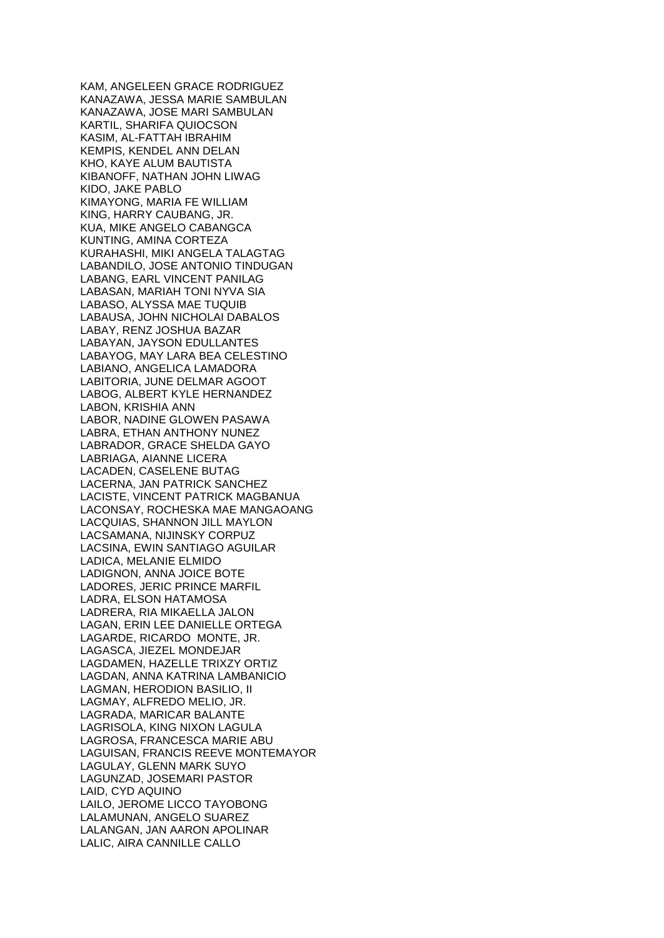KAM, ANGELEEN GRACE RODRIGUEZ KANAZAWA, JESSA MARIE SAMBULAN KANAZAWA, JOSE MARI SAMBULAN KARTIL, SHARIFA QUIOCSON KASIM, AL-FATTAH IBRAHIM KEMPIS, KENDEL ANN DELAN KHO, KAYE ALUM BAUTISTA KIBANOFF, NATHAN JOHN LIWAG KIDO, JAKE PABLO KIMAYONG, MARIA FE WILLIAM KING, HARRY CAUBANG, JR. KUA, MIKE ANGELO CABANGCA KUNTING, AMINA CORTEZA KURAHASHI, MIKI ANGELA TALAGTAG LABANDILO, JOSE ANTONIO TINDUGAN LABANG, EARL VINCENT PANILAG LABASAN, MARIAH TONI NYVA SIA LABASO, ALYSSA MAE TUQUIB LABAUSA, JOHN NICHOLAI DABALOS LABAY, RENZ JOSHUA BAZAR LABAYAN, JAYSON EDULLANTES LABAYOG, MAY LARA BEA CELESTINO LABIANO, ANGELICA LAMADORA LABITORIA, JUNE DELMAR AGOOT LABOG, ALBERT KYLE HERNANDEZ LABON, KRISHIA ANN LABOR, NADINE GLOWEN PASAWA LABRA, ETHAN ANTHONY NUNEZ LABRADOR, GRACE SHELDA GAYO LABRIAGA, AIANNE LICERA LACADEN, CASELENE BUTAG LACERNA, JAN PATRICK SANCHEZ LACISTE, VINCENT PATRICK MAGBANUA LACONSAY, ROCHESKA MAE MANGAOANG LACQUIAS, SHANNON JILL MAYLON LACSAMANA, NIJINSKY CORPUZ LACSINA, EWIN SANTIAGO AGUILAR LADICA, MELANIE ELMIDO LADIGNON, ANNA JOICE BOTE LADORES, JERIC PRINCE MARFIL LADRA, ELSON HATAMOSA LADRERA, RIA MIKAELLA JALON LAGAN, ERIN LEE DANIELLE ORTEGA LAGARDE, RICARDO MONTE, JR. LAGASCA, JIEZEL MONDEJAR LAGDAMEN, HAZELLE TRIXZY ORTIZ LAGDAN, ANNA KATRINA LAMBANICIO LAGMAN, HERODION BASILIO, II LAGMAY, ALFREDO MELIO, JR. LAGRADA, MARICAR BALANTE LAGRISOLA, KING NIXON LAGULA LAGROSA, FRANCESCA MARIE ABU LAGUISAN, FRANCIS REEVE MONTEMAYOR LAGULAY, GLENN MARK SUYO LAGUNZAD, JOSEMARI PASTOR LAID, CYD AQUINO LAILO, JEROME LICCO TAYOBONG LALAMUNAN, ANGELO SUAREZ LALANGAN, JAN AARON APOLINAR LALIC, AIRA CANNILLE CALLO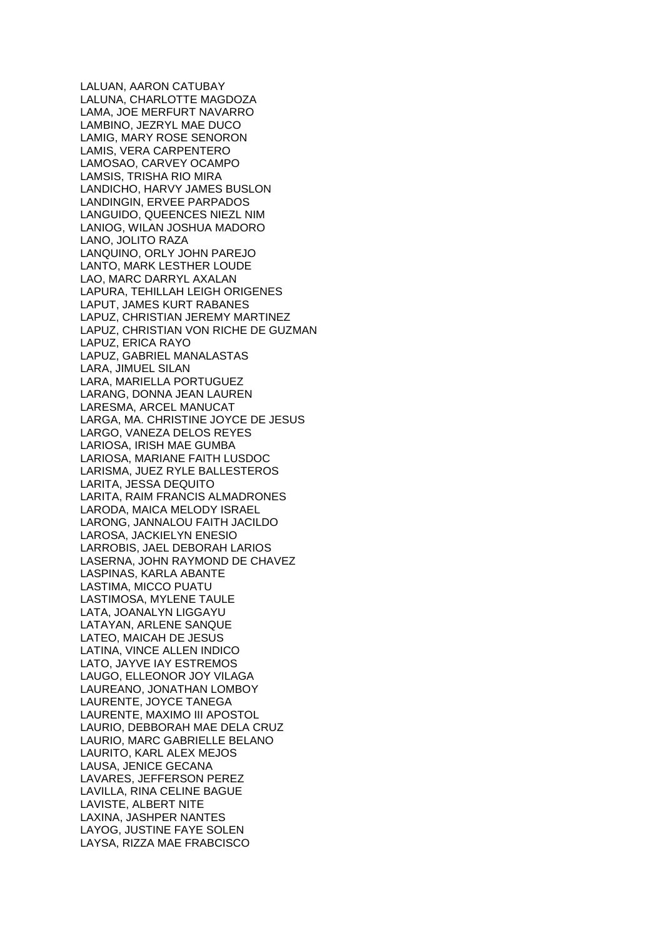LALUAN, AARON CATUBAY LALUNA, CHARLOTTE MAGDOZA LAMA, JOE MERFURT NAVARRO LAMBINO, JEZRYL MAE DUCO LAMIG, MARY ROSE SENORON LAMIS, VERA CARPENTERO LAMOSAO, CARVEY OCAMPO LAMSIS, TRISHA RIO MIRA LANDICHO, HARVY JAMES BUSLON LANDINGIN, ERVEE PARPADOS LANGUIDO, QUEENCES NIEZL NIM LANIOG, WILAN JOSHUA MADORO LANO, JOLITO RAZA LANQUINO, ORLY JOHN PAREJO LANTO, MARK LESTHER LOUDE LAO, MARC DARRYL AXALAN LAPURA, TEHILLAH LEIGH ORIGENES LAPUT, JAMES KURT RABANES LAPUZ, CHRISTIAN JEREMY MARTINEZ LAPUZ, CHRISTIAN VON RICHE DE GUZMAN LAPUZ, ERICA RAYO LAPUZ, GABRIEL MANALASTAS LARA, JIMUEL SILAN LARA, MARIELLA PORTUGUEZ LARANG, DONNA JEAN LAUREN LARESMA, ARCEL MANUCAT LARGA, MA. CHRISTINE JOYCE DE JESUS LARGO, VANEZA DELOS REYES LARIOSA, IRISH MAE GUMBA LARIOSA, MARIANE FAITH LUSDOC LARISMA, JUEZ RYLE BALLESTEROS LARITA, JESSA DEQUITO LARITA, RAIM FRANCIS ALMADRONES LARODA, MAICA MELODY ISRAEL LARONG, JANNALOU FAITH JACILDO LAROSA, JACKIELYN ENESIO LARROBIS, JAEL DEBORAH LARIOS LASERNA, JOHN RAYMOND DE CHAVEZ LASPINAS, KARLA ABANTE LASTIMA, MICCO PUATU LASTIMOSA, MYLENE TAULE LATA, JOANALYN LIGGAYU LATAYAN, ARLENE SANQUE LATEO, MAICAH DE JESUS LATINA, VINCE ALLEN INDICO LATO, JAYVE IAY ESTREMOS LAUGO, ELLEONOR JOY VILAGA LAUREANO, JONATHAN LOMBOY LAURENTE, JOYCE TANEGA LAURENTE, MAXIMO III APOSTOL LAURIO, DEBBORAH MAE DELA CRUZ LAURIO, MARC GABRIELLE BELANO LAURITO, KARL ALEX MEJOS LAUSA, JENICE GECANA LAVARES, JEFFERSON PEREZ LAVILLA, RINA CELINE BAGUE LAVISTE, ALBERT NITE LAXINA, JASHPER NANTES LAYOG, JUSTINE FAYE SOLEN LAYSA, RIZZA MAE FRABCISCO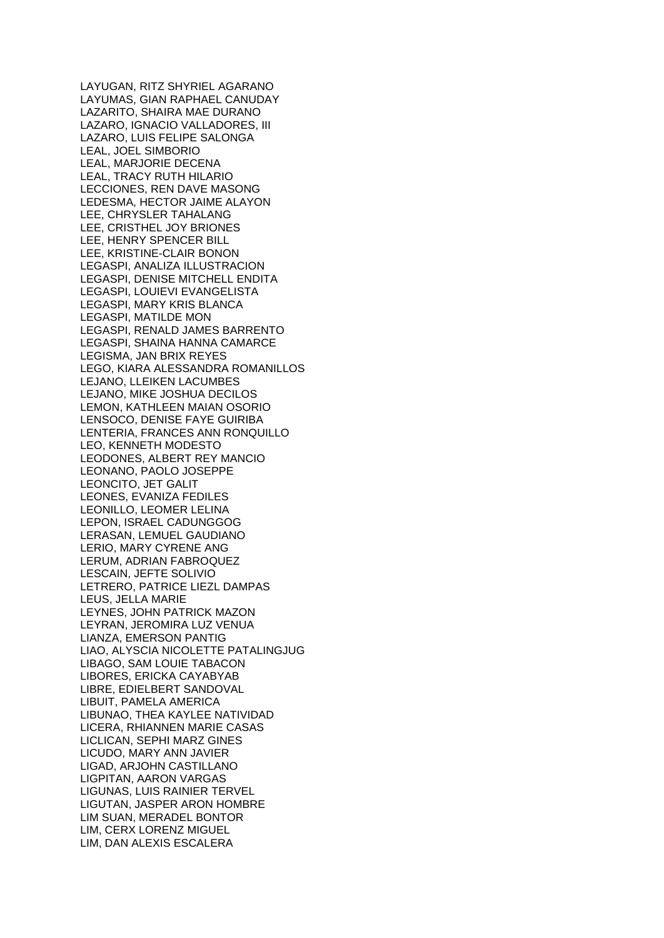LAYUGAN, RITZ SHYRIEL AGARANO LAYUMAS, GIAN RAPHAEL CANUDAY LAZARITO, SHAIRA MAE DURANO LAZARO, IGNACIO VALLADORES, III LAZARO, LUIS FELIPE SALONGA LEAL, JOEL SIMBORIO LEAL, MARJORIE DECENA LEAL, TRACY RUTH HILARIO LECCIONES, REN DAVE MASONG LEDESMA, HECTOR JAIME ALAYON LEE, CHRYSLER TAHALANG LEE, CRISTHEL JOY BRIONES LEE, HENRY SPENCER BILL LEE, KRISTINE-CLAIR BONON LEGASPI, ANALIZA ILLUSTRACION LEGASPI, DENISE MITCHELL ENDITA LEGASPI, LOUIEVI EVANGELISTA LEGASPI, MARY KRIS BLANCA LEGASPI, MATILDE MON LEGASPI, RENALD JAMES BARRENTO LEGASPI, SHAINA HANNA CAMARCE LEGISMA, JAN BRIX REYES LEGO, KIARA ALESSANDRA ROMANILLOS LEJANO, LLEIKEN LACUMBES LEJANO, MIKE JOSHUA DECILOS LEMON, KATHLEEN MAIAN OSORIO LENSOCO, DENISE FAYE GUIRIBA LENTERIA, FRANCES ANN RONQUILLO LEO, KENNETH MODESTO LEODONES, ALBERT REY MANCIO LEONANO, PAOLO JOSEPPE LEONCITO, JET GALIT LEONES, EVANIZA FEDILES LEONILLO, LEOMER LELINA LEPON, ISRAEL CADUNGGOG LERASAN, LEMUEL GAUDIANO LERIO, MARY CYRENE ANG LERUM, ADRIAN FABROQUEZ LESCAIN, JEFTE SOLIVIO LETRERO, PATRICE LIEZL DAMPAS LEUS, JELLA MARIE LEYNES, JOHN PATRICK MAZON LEYRAN, JEROMIRA LUZ VENUA LIANZA, EMERSON PANTIG LIAO, ALYSCIA NICOLETTE PATALINGJUG LIBAGO, SAM LOUIE TABACON LIBORES, ERICKA CAYABYAB LIBRE, EDIELBERT SANDOVAL LIBUIT, PAMELA AMERICA LIBUNAO, THEA KAYLEE NATIVIDAD LICERA, RHIANNEN MARIE CASAS LICLICAN, SEPHI MARZ GINES LICUDO, MARY ANN JAVIER LIGAD, ARJOHN CASTILLANO LIGPITAN, AARON VARGAS LIGUNAS, LUIS RAINIER TERVEL LIGUTAN, JASPER ARON HOMBRE LIM SUAN, MERADEL BONTOR LIM, CERX LORENZ MIGUEL LIM, DAN ALEXIS ESCALERA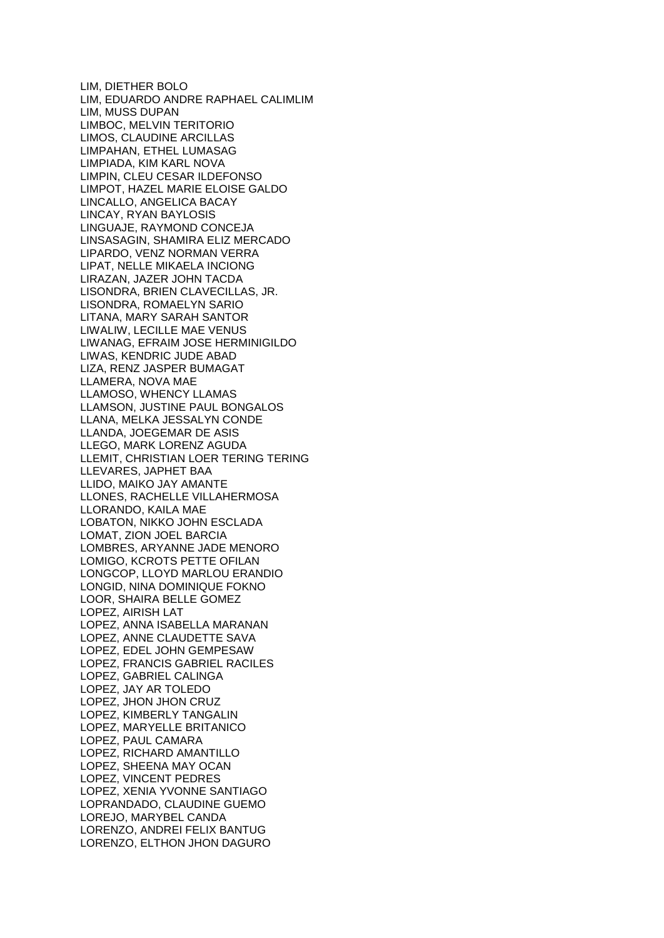LIM, DIETHER BOLO LIM, EDUARDO ANDRE RAPHAEL CALIMLIM LIM, MUSS DUPAN LIMBOC, MELVIN TERITORIO LIMOS, CLAUDINE ARCILLAS LIMPAHAN, ETHEL LUMASAG LIMPIADA, KIM KARL NOVA LIMPIN, CLEU CESAR ILDEFONSO LIMPOT, HAZEL MARIE ELOISE GALDO LINCALLO, ANGELICA BACAY LINCAY, RYAN BAYLOSIS LINGUAJE, RAYMOND CONCEJA LINSASAGIN, SHAMIRA ELIZ MERCADO LIPARDO, VENZ NORMAN VERRA LIPAT, NELLE MIKAELA INCIONG LIRAZAN, JAZER JOHN TACDA LISONDRA, BRIEN CLAVECILLAS, JR. LISONDRA, ROMAELYN SARIO LITANA, MARY SARAH SANTOR LIWALIW, LECILLE MAE VENUS LIWANAG, EFRAIM JOSE HERMINIGILDO LIWAS, KENDRIC JUDE ABAD LIZA, RENZ JASPER BUMAGAT LLAMERA, NOVA MAE LLAMOSO, WHENCY LLAMAS LLAMSON, JUSTINE PAUL BONGALOS LLANA, MELKA JESSALYN CONDE LLANDA, JOEGEMAR DE ASIS LLEGO, MARK LORENZ AGUDA LLEMIT, CHRISTIAN LOER TERING TERING LLEVARES, JAPHET BAA LLIDO, MAIKO JAY AMANTE LLONES, RACHELLE VILLAHERMOSA LLORANDO, KAILA MAE LOBATON, NIKKO JOHN ESCLADA LOMAT, ZION JOEL BARCIA LOMBRES, ARYANNE JADE MENORO LOMIGO, KCROTS PETTE OFILAN LONGCOP, LLOYD MARLOU ERANDIO LONGID, NINA DOMINIQUE FOKNO LOOR, SHAIRA BELLE GOMEZ LOPEZ, AIRISH LAT LOPEZ, ANNA ISABELLA MARANAN LOPEZ, ANNE CLAUDETTE SAVA LOPEZ, EDEL JOHN GEMPESAW LOPEZ, FRANCIS GABRIEL RACILES LOPEZ, GABRIEL CALINGA LOPEZ, JAY AR TOLEDO LOPEZ, JHON JHON CRUZ LOPEZ, KIMBERLY TANGALIN LOPEZ, MARYELLE BRITANICO LOPEZ, PAUL CAMARA LOPEZ, RICHARD AMANTILLO LOPEZ, SHEENA MAY OCAN LOPEZ, VINCENT PEDRES LOPEZ, XENIA YVONNE SANTIAGO LOPRANDADO, CLAUDINE GUEMO LOREJO, MARYBEL CANDA LORENZO, ANDREI FELIX BANTUG LORENZO, ELTHON JHON DAGURO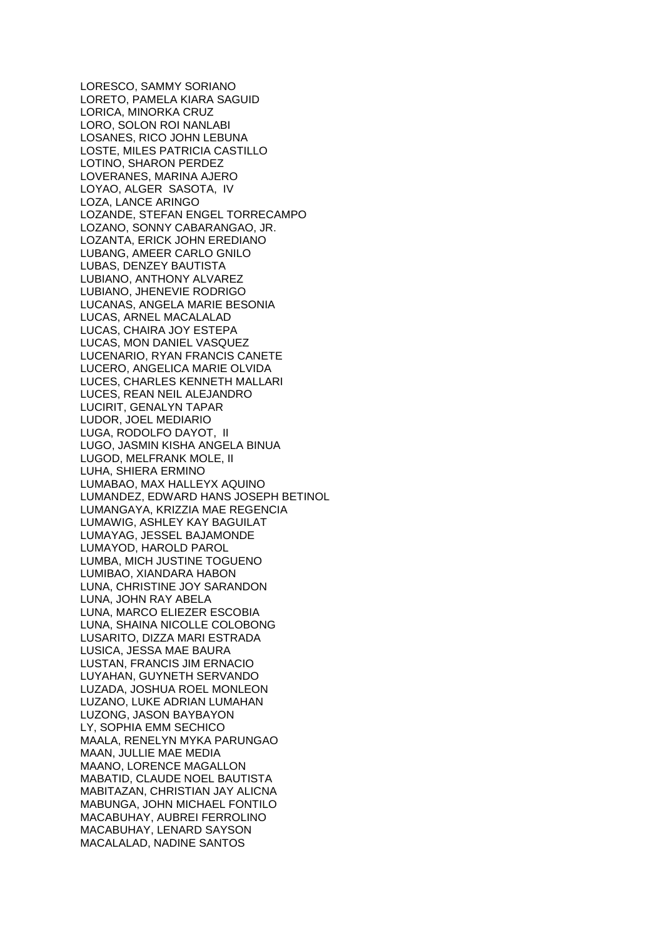LORESCO, SAMMY SORIANO LORETO, PAMELA KIARA SAGUID LORICA, MINORKA CRUZ LORO, SOLON ROI NANLABI LOSANES, RICO JOHN LEBUNA LOSTE, MILES PATRICIA CASTILLO LOTINO, SHARON PERDEZ LOVERANES, MARINA AJERO LOYAO, ALGER SASOTA, IV LOZA, LANCE ARINGO LOZANDE, STEFAN ENGEL TORRECAMPO LOZANO, SONNY CABARANGAO, JR. LOZANTA, ERICK JOHN EREDIANO LUBANG, AMEER CARLO GNILO LUBAS, DENZEY BAUTISTA LUBIANO, ANTHONY ALVAREZ LUBIANO, JHENEVIE RODRIGO LUCANAS, ANGELA MARIE BESONIA LUCAS, ARNEL MACALALAD LUCAS, CHAIRA JOY ESTEPA LUCAS, MON DANIEL VASQUEZ LUCENARIO, RYAN FRANCIS CANETE LUCERO, ANGELICA MARIE OLVIDA LUCES, CHARLES KENNETH MALLARI LUCES, REAN NEIL ALEJANDRO LUCIRIT, GENALYN TAPAR LUDOR, JOEL MEDIARIO LUGA, RODOLFO DAYOT, II LUGO, JASMIN KISHA ANGELA BINUA LUGOD, MELFRANK MOLE, II LUHA, SHIERA ERMINO LUMABAO, MAX HALLEYX AQUINO LUMANDEZ, EDWARD HANS JOSEPH BETINOL LUMANGAYA, KRIZZIA MAE REGENCIA LUMAWIG, ASHLEY KAY BAGUILAT LUMAYAG, JESSEL BAJAMONDE LUMAYOD, HAROLD PAROL LUMBA, MICH JUSTINE TOGUENO LUMIBAO, XIANDARA HABON LUNA, CHRISTINE JOY SARANDON LUNA, JOHN RAY ABELA LUNA, MARCO ELIEZER ESCOBIA LUNA, SHAINA NICOLLE COLOBONG LUSARITO, DIZZA MARI ESTRADA LUSICA, JESSA MAE BAURA LUSTAN, FRANCIS JIM ERNACIO LUYAHAN, GUYNETH SERVANDO LUZADA, JOSHUA ROEL MONLEON LUZANO, LUKE ADRIAN LUMAHAN LUZONG, JASON BAYBAYON LY, SOPHIA EMM SECHICO MAALA, RENELYN MYKA PARUNGAO MAAN, JULLIE MAE MEDIA MAANO, LORENCE MAGALLON MABATID, CLAUDE NOEL BAUTISTA MABITAZAN, CHRISTIAN JAY ALICNA MABUNGA, JOHN MICHAEL FONTILO MACABUHAY, AUBREI FERROLINO MACABUHAY, LENARD SAYSON MACALALAD, NADINE SANTOS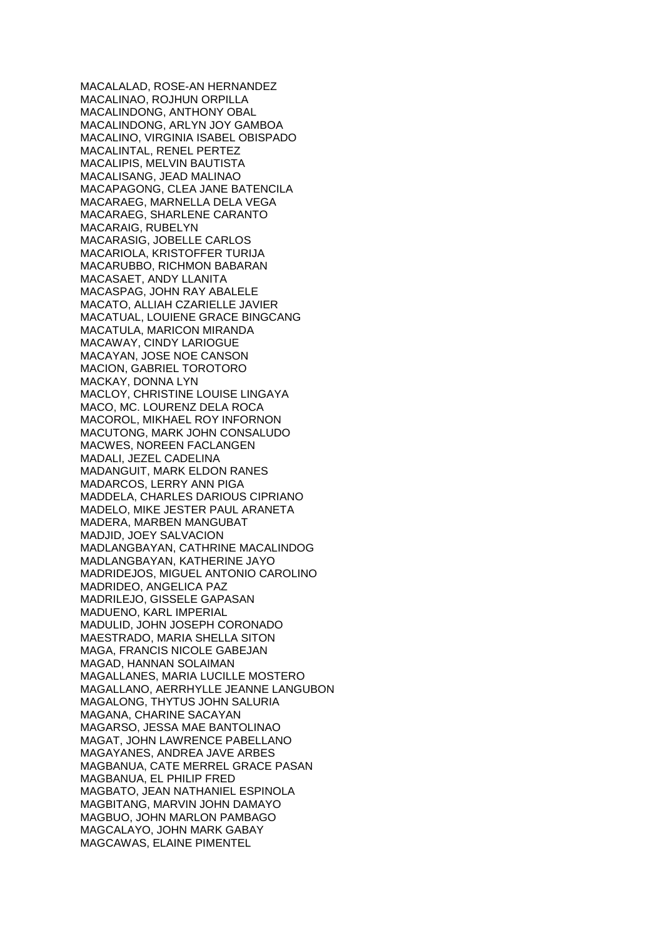MACALALAD, ROSE-AN HERNANDEZ MACALINAO, ROJHUN ORPILLA MACALINDONG, ANTHONY OBAL MACALINDONG, ARLYN JOY GAMBOA MACALINO, VIRGINIA ISABEL OBISPADO MACALINTAL, RENEL PERTEZ MACALIPIS, MELVIN BAUTISTA MACALISANG, JEAD MALINAO MACAPAGONG, CLEA JANE BATENCILA MACARAEG, MARNELLA DELA VEGA MACARAEG, SHARLENE CARANTO MACARAIG, RUBELYN MACARASIG, JOBELLE CARLOS MACARIOLA, KRISTOFFER TURIJA MACARUBBO, RICHMON BABARAN MACASAET, ANDY LLANITA MACASPAG, JOHN RAY ABALELE MACATO, ALLIAH CZARIELLE JAVIER MACATUAL, LOUIENE GRACE BINGCANG MACATULA, MARICON MIRANDA MACAWAY, CINDY LARIOGUE MACAYAN, JOSE NOE CANSON MACION, GABRIEL TOROTORO MACKAY, DONNA LYN MACLOY, CHRISTINE LOUISE LINGAYA MACO, MC. LOURENZ DELA ROCA MACOROL, MIKHAEL ROY INFORNON MACUTONG, MARK JOHN CONSALUDO MACWES, NOREEN FACLANGEN MADALI, JEZEL CADELINA MADANGUIT, MARK ELDON RANES MADARCOS, LERRY ANN PIGA MADDELA, CHARLES DARIOUS CIPRIANO MADELO, MIKE JESTER PAUL ARANETA MADERA, MARBEN MANGUBAT MADJID, JOEY SALVACION MADLANGBAYAN, CATHRINE MACALINDOG MADLANGBAYAN, KATHERINE JAYO MADRIDEJOS, MIGUEL ANTONIO CAROLINO MADRIDEO, ANGELICA PAZ MADRILEJO, GISSELE GAPASAN MADUENO, KARL IMPERIAL MADULID, JOHN JOSEPH CORONADO MAESTRADO, MARIA SHELLA SITON MAGA, FRANCIS NICOLE GABEJAN MAGAD, HANNAN SOLAIMAN MAGALLANES, MARIA LUCILLE MOSTERO MAGALLANO, AERRHYLLE JEANNE LANGUBON MAGALONG, THYTUS JOHN SALURIA MAGANA, CHARINE SACAYAN MAGARSO, JESSA MAE BANTOLINAO MAGAT, JOHN LAWRENCE PABELLANO MAGAYANES, ANDREA JAVE ARBES MAGBANUA, CATE MERREL GRACE PASAN MAGBANUA, EL PHILIP FRED MAGBATO, JEAN NATHANIEL ESPINOLA MAGBITANG, MARVIN JOHN DAMAYO MAGBUO, JOHN MARLON PAMBAGO MAGCALAYO, JOHN MARK GABAY MAGCAWAS, ELAINE PIMENTEL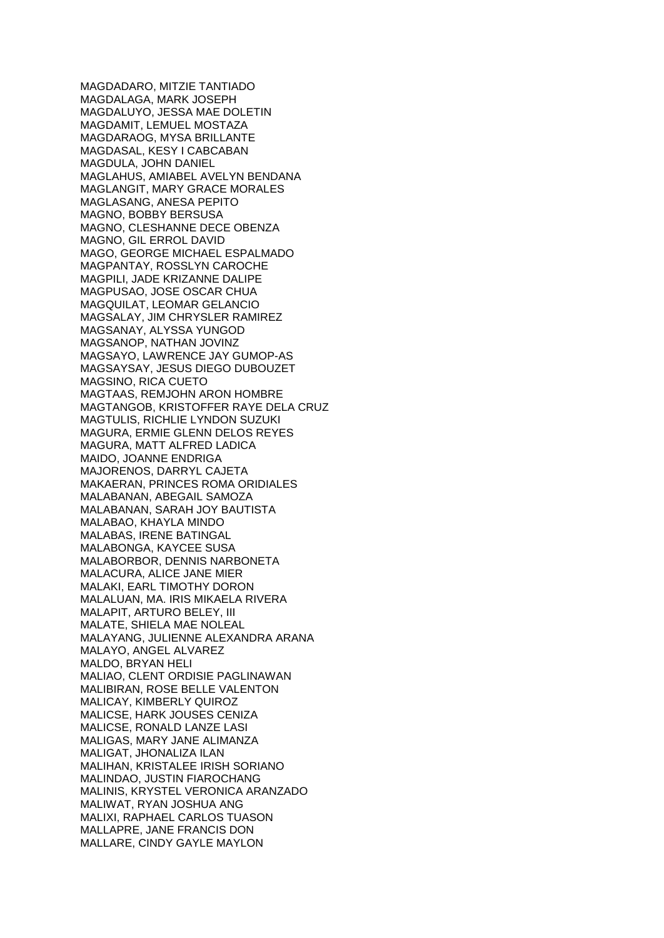MAGDADARO, MITZIE TANTIADO MAGDALAGA, MARK JOSEPH MAGDALUYO, JESSA MAE DOLETIN MAGDAMIT, LEMUEL MOSTAZA MAGDARAOG, MYSA BRILLANTE MAGDASAL, KESY I CABCABAN MAGDULA, JOHN DANIEL MAGLAHUS, AMIABEL AVELYN BENDANA MAGLANGIT, MARY GRACE MORALES MAGLASANG, ANESA PEPITO MAGNO, BOBBY BERSUSA MAGNO, CLESHANNE DECE OBENZA MAGNO, GIL ERROL DAVID MAGO, GEORGE MICHAEL ESPALMADO MAGPANTAY, ROSSLYN CAROCHE MAGPILI, JADE KRIZANNE DALIPE MAGPUSAO, JOSE OSCAR CHUA MAGQUILAT, LEOMAR GELANCIO MAGSALAY, JIM CHRYSLER RAMIREZ MAGSANAY, ALYSSA YUNGOD MAGSANOP, NATHAN JOVINZ MAGSAYO, LAWRENCE JAY GUMOP-AS MAGSAYSAY, JESUS DIEGO DUBOUZET MAGSINO, RICA CUETO MAGTAAS, REMJOHN ARON HOMBRE MAGTANGOB, KRISTOFFER RAYE DELA CRUZ MAGTULIS, RICHLIE LYNDON SUZUKI MAGURA, ERMIE GLENN DELOS REYES MAGURA, MATT ALFRED LADICA MAIDO, JOANNE ENDRIGA MAJORENOS, DARRYL CAJETA MAKAERAN, PRINCES ROMA ORIDIALES MALABANAN, ABEGAIL SAMOZA MALABANAN, SARAH JOY BAUTISTA MALABAO, KHAYLA MINDO MALABAS, IRENE BATINGAL MALABONGA, KAYCEE SUSA MALABORBOR, DENNIS NARBONETA MALACURA, ALICE JANE MIER MALAKI, EARL TIMOTHY DORON MALALUAN, MA. IRIS MIKAELA RIVERA MALAPIT, ARTURO BELEY, III MALATE, SHIELA MAE NOLEAL MALAYANG, JULIENNE ALEXANDRA ARANA MALAYO, ANGEL ALVAREZ MALDO, BRYAN HELI MALIAO, CLENT ORDISIE PAGLINAWAN MALIBIRAN, ROSE BELLE VALENTON MALICAY, KIMBERLY QUIROZ MALICSE, HARK JOUSES CENIZA MALICSE, RONALD LANZE LASI MALIGAS, MARY JANE ALIMANZA MALIGAT, JHONALIZA ILAN MALIHAN, KRISTALEE IRISH SORIANO MALINDAO, JUSTIN FIAROCHANG MALINIS, KRYSTEL VERONICA ARANZADO MALIWAT, RYAN JOSHUA ANG MALIXI, RAPHAEL CARLOS TUASON MALLAPRE, JANE FRANCIS DON MALLARE, CINDY GAYLE MAYLON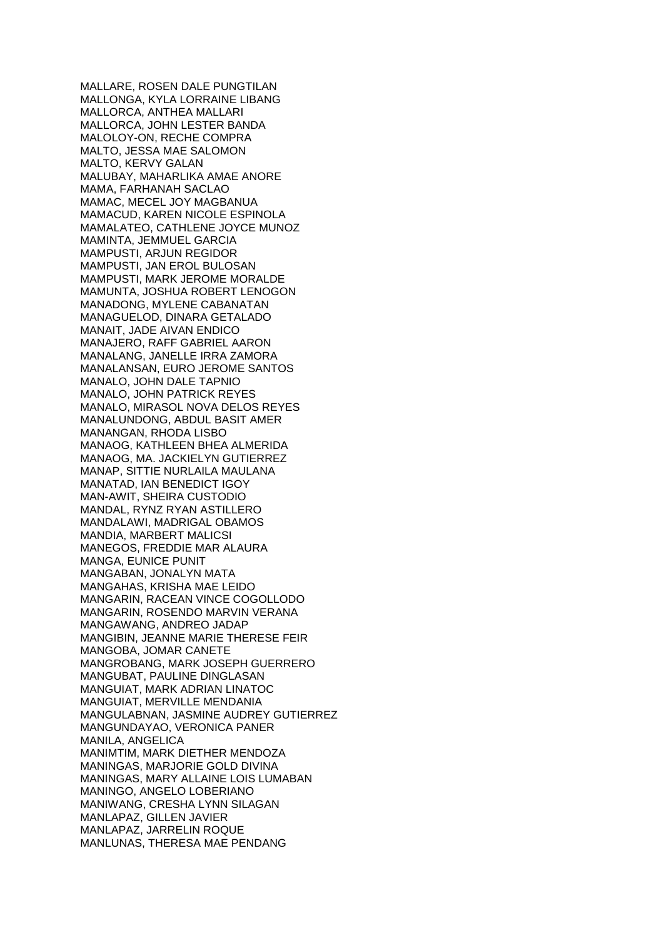MALLARE, ROSEN DALE PUNGTILAN MALLONGA, KYLA LORRAINE LIBANG MALLORCA, ANTHEA MALLARI MALLORCA, JOHN LESTER BANDA MALOLOY-ON, RECHE COMPRA MALTO, JESSA MAE SALOMON MALTO, KERVY GALAN MALUBAY, MAHARLIKA AMAE ANORE MAMA, FARHANAH SACLAO MAMAC, MECEL JOY MAGBANUA MAMACUD, KAREN NICOLE ESPINOLA MAMALATEO, CATHLENE JOYCE MUNOZ MAMINTA, JEMMUEL GARCIA MAMPUSTI, ARJUN REGIDOR MAMPUSTI, JAN EROL BULOSAN MAMPUSTI, MARK JEROME MORALDE MAMUNTA, JOSHUA ROBERT LENOGON MANADONG, MYLENE CABANATAN MANAGUELOD, DINARA GETALADO MANAIT, JADE AIVAN ENDICO MANAJERO, RAFF GABRIEL AARON MANALANG, JANELLE IRRA ZAMORA MANALANSAN, EURO JEROME SANTOS MANALO, JOHN DALE TAPNIO MANALO, JOHN PATRICK REYES MANALO, MIRASOL NOVA DELOS REYES MANALUNDONG, ABDUL BASIT AMER MANANGAN, RHODA LISBO MANAOG, KATHLEEN BHEA ALMERIDA MANAOG, MA. JACKIELYN GUTIERREZ MANAP, SITTIE NURLAILA MAULANA MANATAD, IAN BENEDICT IGOY MAN-AWIT, SHEIRA CUSTODIO MANDAL, RYNZ RYAN ASTILLERO MANDALAWI, MADRIGAL OBAMOS MANDIA, MARBERT MALICSI MANEGOS, FREDDIE MAR ALAURA MANGA, EUNICE PUNIT MANGABAN, JONALYN MATA MANGAHAS, KRISHA MAE LEIDO MANGARIN, RACEAN VINCE COGOLLODO MANGARIN, ROSENDO MARVIN VERANA MANGAWANG, ANDREO JADAP MANGIBIN, JEANNE MARIE THERESE FEIR MANGOBA, JOMAR CANETE MANGROBANG, MARK JOSEPH GUERRERO MANGUBAT, PAULINE DINGLASAN MANGUIAT, MARK ADRIAN LINATOC MANGUIAT, MERVILLE MENDANIA MANGULABNAN, JASMINE AUDREY GUTIERREZ MANGUNDAYAO, VERONICA PANER MANILA, ANGELICA MANIMTIM, MARK DIETHER MENDOZA MANINGAS, MARJORIE GOLD DIVINA MANINGAS, MARY ALLAINE LOIS LUMABAN MANINGO, ANGELO LOBERIANO MANIWANG, CRESHA LYNN SILAGAN MANLAPAZ, GILLEN JAVIER MANLAPAZ, JARRELIN ROQUE MANLUNAS, THERESA MAE PENDANG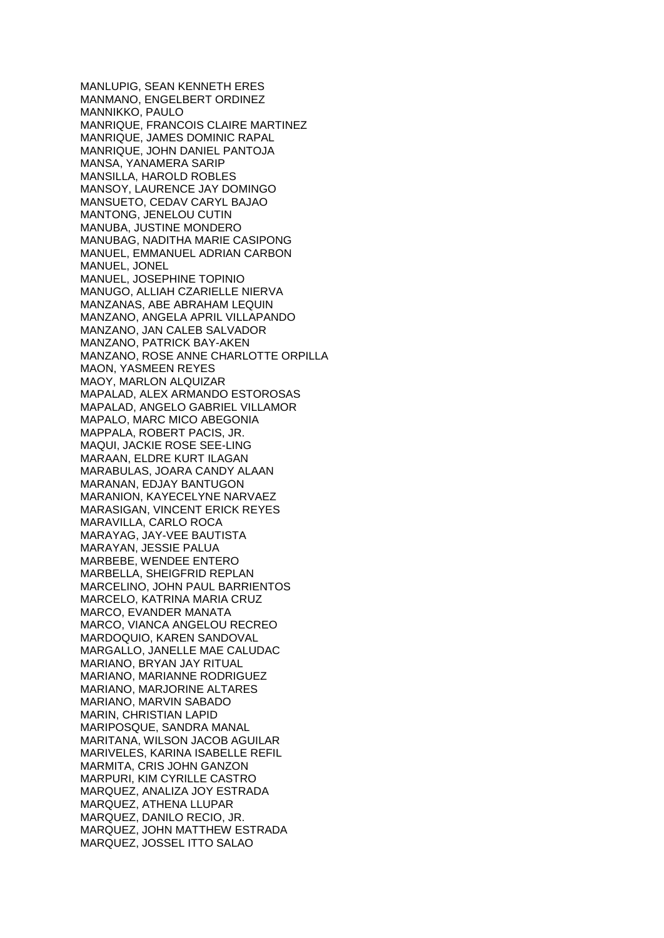MANLUPIG, SEAN KENNETH ERES MANMANO, ENGELBERT ORDINEZ MANNIKKO, PAULO MANRIQUE, FRANCOIS CLAIRE MARTINEZ MANRIQUE, JAMES DOMINIC RAPAL MANRIQUE, JOHN DANIEL PANTOJA MANSA, YANAMERA SARIP MANSILLA, HAROLD ROBLES MANSOY, LAURENCE JAY DOMINGO MANSUETO, CEDAV CARYL BAJAO MANTONG, JENELOU CUTIN MANUBA, JUSTINE MONDERO MANUBAG, NADITHA MARIE CASIPONG MANUEL, EMMANUEL ADRIAN CARBON MANUEL, JONEL MANUEL, JOSEPHINE TOPINIO MANUGO, ALLIAH CZARIELLE NIERVA MANZANAS, ABE ABRAHAM LEQUIN MANZANO, ANGELA APRIL VILLAPANDO MANZANO, JAN CALEB SALVADOR MANZANO, PATRICK BAY-AKEN MANZANO, ROSE ANNE CHARLOTTE ORPILLA MAON, YASMEEN REYES MAOY, MARLON ALQUIZAR MAPALAD, ALEX ARMANDO ESTOROSAS MAPALAD, ANGELO GABRIEL VILLAMOR MAPALO, MARC MICO ABEGONIA MAPPALA, ROBERT PACIS, JR. MAQUI, JACKIE ROSE SEE-LING MARAAN, ELDRE KURT ILAGAN MARABULAS, JOARA CANDY ALAAN MARANAN, EDJAY BANTUGON MARANION, KAYECELYNE NARVAEZ MARASIGAN, VINCENT ERICK REYES MARAVILLA, CARLO ROCA MARAYAG, JAY-VEE BAUTISTA MARAYAN, JESSIE PALUA MARBEBE, WENDEE ENTERO MARBELLA, SHEIGFRID REPLAN MARCELINO, JOHN PAUL BARRIENTOS MARCELO, KATRINA MARIA CRUZ MARCO, EVANDER MANATA MARCO, VIANCA ANGELOU RECREO MARDOQUIO, KAREN SANDOVAL MARGALLO, JANELLE MAE CALUDAC MARIANO, BRYAN JAY RITUAL MARIANO, MARIANNE RODRIGUEZ MARIANO, MARJORINE ALTARES MARIANO, MARVIN SABADO MARIN, CHRISTIAN LAPID MARIPOSQUE, SANDRA MANAL MARITANA, WILSON JACOB AGUILAR MARIVELES, KARINA ISABELLE REFIL MARMITA, CRIS JOHN GANZON MARPURI, KIM CYRILLE CASTRO MARQUEZ, ANALIZA JOY ESTRADA MARQUEZ, ATHENA LLUPAR MARQUEZ, DANILO RECIO, JR. MARQUEZ, JOHN MATTHEW ESTRADA MARQUEZ, JOSSEL ITTO SALAO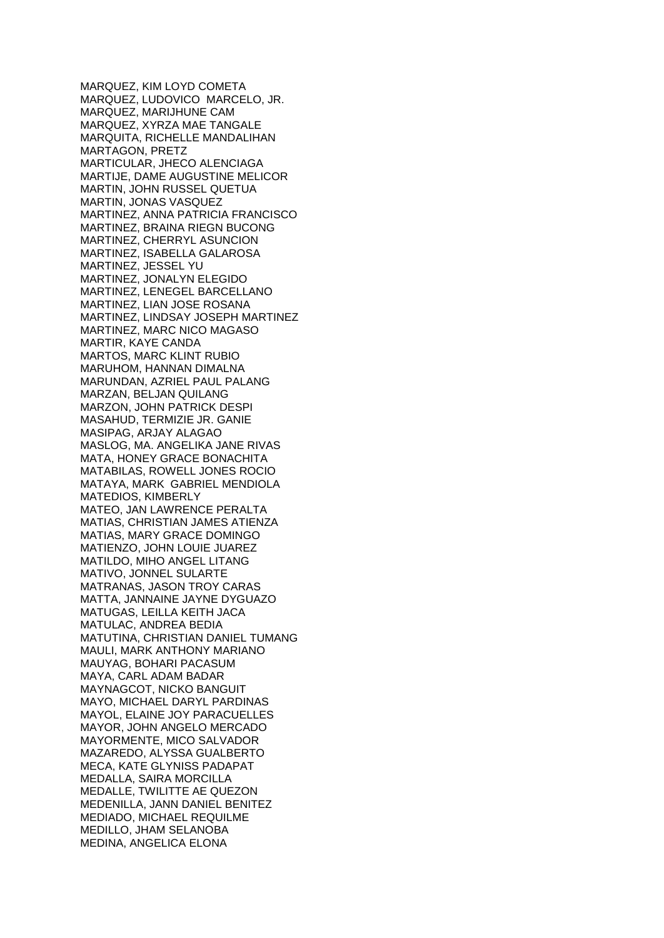MARQUEZ, KIM LOYD COMETA MARQUEZ, LUDOVICO MARCELO, JR. MARQUEZ, MARIJHUNE CAM MARQUEZ, XYRZA MAE TANGALE MARQUITA, RICHELLE MANDALIHAN MARTAGON, PRETZ MARTICULAR, JHECO ALENCIAGA MARTIJE, DAME AUGUSTINE MELICOR MARTIN, JOHN RUSSEL QUETUA MARTIN, JONAS VASQUEZ MARTINEZ, ANNA PATRICIA FRANCISCO MARTINEZ, BRAINA RIEGN BUCONG MARTINEZ, CHERRYL ASUNCION MARTINEZ, ISABELLA GALAROSA MARTINEZ, JESSEL YU MARTINEZ, JONALYN ELEGIDO MARTINEZ, LENEGEL BARCELLANO MARTINEZ, LIAN JOSE ROSANA MARTINEZ, LINDSAY JOSEPH MARTINEZ MARTINEZ, MARC NICO MAGASO MARTIR, KAYE CANDA MARTOS, MARC KLINT RUBIO MARUHOM, HANNAN DIMALNA MARUNDAN, AZRIEL PAUL PALANG MARZAN, BELJAN QUILANG MARZON, JOHN PATRICK DESPI MASAHUD, TERMIZIE JR. GANIE MASIPAG, ARJAY ALAGAO MASLOG, MA. ANGELIKA JANE RIVAS MATA, HONEY GRACE BONACHITA MATABILAS, ROWELL JONES ROCIO MATAYA, MARK GABRIEL MENDIOLA MATEDIOS, KIMBERLY MATEO, JAN LAWRENCE PERALTA MATIAS, CHRISTIAN JAMES ATIENZA MATIAS, MARY GRACE DOMINGO MATIENZO, JOHN LOUIE JUAREZ MATILDO, MIHO ANGEL LITANG MATIVO, JONNEL SULARTE MATRANAS, JASON TROY CARAS MATTA, JANNAINE JAYNE DYGUAZO MATUGAS, LEILLA KEITH JACA MATULAC, ANDREA BEDIA MATUTINA, CHRISTIAN DANIEL TUMANG MAULI, MARK ANTHONY MARIANO MAUYAG, BOHARI PACASUM MAYA, CARL ADAM BADAR MAYNAGCOT, NICKO BANGUIT MAYO, MICHAEL DARYL PARDINAS MAYOL, ELAINE JOY PARACUELLES MAYOR, JOHN ANGELO MERCADO MAYORMENTE, MICO SALVADOR MAZAREDO, ALYSSA GUALBERTO MECA, KATE GLYNISS PADAPAT MEDALLA, SAIRA MORCILLA MEDALLE, TWILITTE AE QUEZON MEDENILLA, JANN DANIEL BENITEZ MEDIADO, MICHAEL REQUILME MEDILLO, JHAM SELANOBA MEDINA, ANGELICA ELONA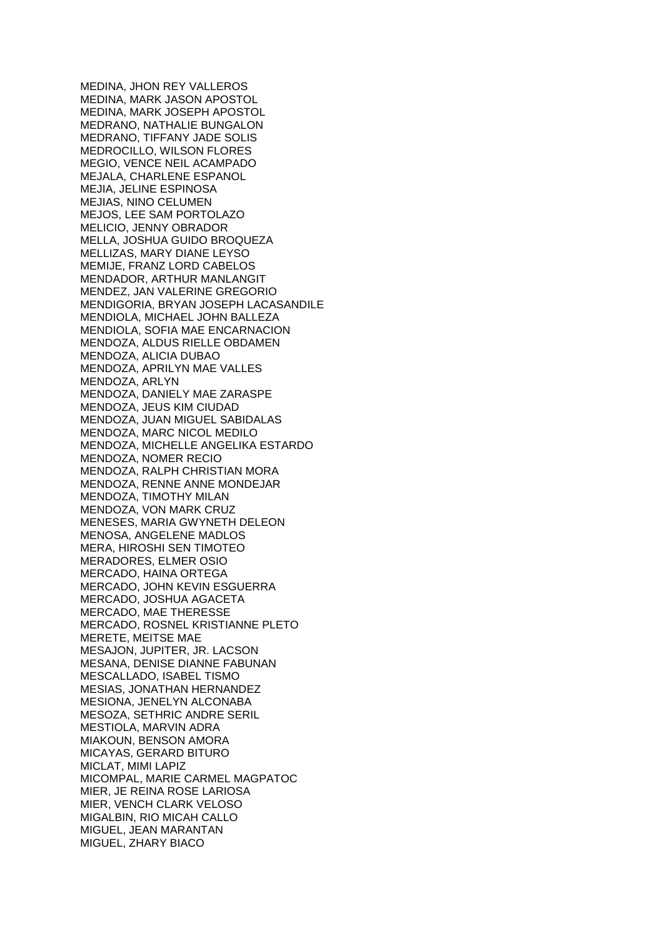MEDINA, JHON REY VALLEROS MEDINA, MARK JASON APOSTOL MEDINA, MARK JOSEPH APOSTOL MEDRANO, NATHALIE BUNGALON MEDRANO, TIFFANY JADE SOLIS MEDROCILLO, WILSON FLORES MEGIO, VENCE NEIL ACAMPADO MEJALA, CHARLENE ESPANOL MEJIA, JELINE ESPINOSA MEJIAS, NINO CELUMEN MEJOS, LEE SAM PORTOLAZO MELICIO, JENNY OBRADOR MELLA, JOSHUA GUIDO BROQUEZA MELLIZAS, MARY DIANE LEYSO MEMIJE, FRANZ LORD CABELOS MENDADOR, ARTHUR MANLANGIT MENDEZ, JAN VALERINE GREGORIO MENDIGORIA, BRYAN JOSEPH LACASANDILE MENDIOLA, MICHAEL JOHN BALLEZA MENDIOLA, SOFIA MAE ENCARNACION MENDOZA, ALDUS RIELLE OBDAMEN MENDOZA, ALICIA DUBAO MENDOZA, APRILYN MAE VALLES MENDOZA, ARLYN MENDOZA, DANIELY MAE ZARASPE MENDOZA, JEUS KIM CIUDAD MENDOZA, JUAN MIGUEL SABIDALAS MENDOZA, MARC NICOL MEDILO MENDOZA, MICHELLE ANGELIKA ESTARDO MENDOZA, NOMER RECIO MENDOZA, RALPH CHRISTIAN MORA MENDOZA, RENNE ANNE MONDEJAR MENDOZA, TIMOTHY MILAN MENDOZA, VON MARK CRUZ MENESES, MARIA GWYNETH DELEON MENOSA, ANGELENE MADLOS MERA, HIROSHI SEN TIMOTEO MERADORES, ELMER OSIO MERCADO, HAINA ORTEGA MERCADO, JOHN KEVIN ESGUERRA MERCADO, JOSHUA AGACETA MERCADO, MAE THERESSE MERCADO, ROSNEL KRISTIANNE PLETO MERETE, MEITSE MAE MESAJON, JUPITER, JR. LACSON MESANA, DENISE DIANNE FABUNAN MESCALLADO, ISABEL TISMO MESIAS, JONATHAN HERNANDEZ MESIONA, JENELYN ALCONABA MESOZA, SETHRIC ANDRE SERIL MESTIOLA, MARVIN ADRA MIAKOUN, BENSON AMORA MICAYAS, GERARD BITURO MICLAT, MIMI LAPIZ MICOMPAL, MARIE CARMEL MAGPATOC MIER, JE REINA ROSE LARIOSA MIER, VENCH CLARK VELOSO MIGALBIN, RIO MICAH CALLO MIGUEL, JEAN MARANTAN MIGUEL, ZHARY BIACO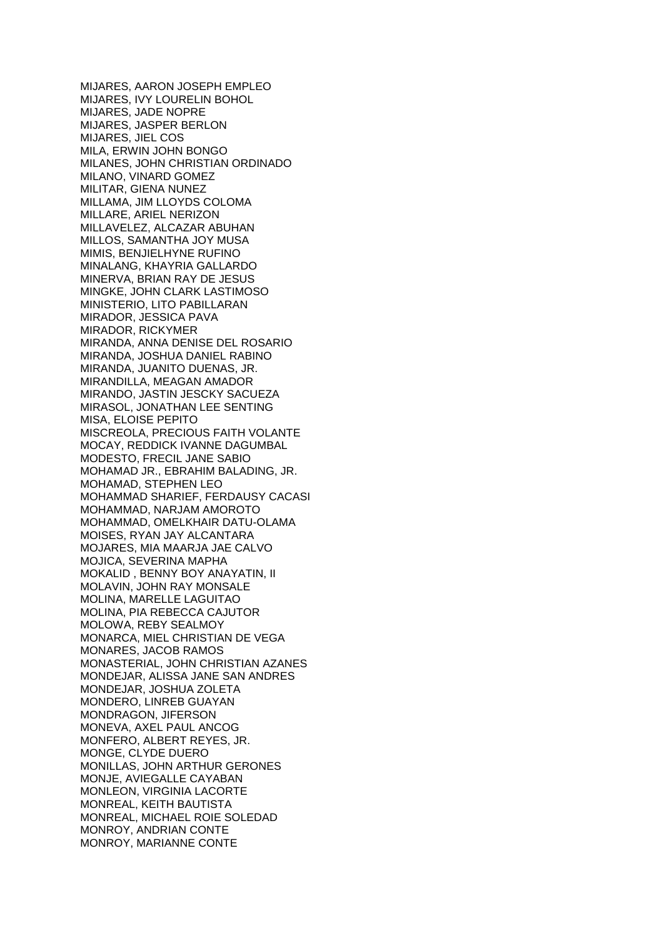MIJARES, AARON JOSEPH EMPLEO MIJARES, IVY LOURELIN BOHOL MIJARES, JADE NOPRE MIJARES, JASPER BERLON MIJARES, JIEL COS MILA, ERWIN JOHN BONGO MILANES, JOHN CHRISTIAN ORDINADO MILANO, VINARD GOMEZ MILITAR, GIENA NUNEZ MILLAMA, JIM LLOYDS COLOMA MILLARE, ARIEL NERIZON MILLAVELEZ, ALCAZAR ABUHAN MILLOS, SAMANTHA JOY MUSA MIMIS, BENJIELHYNE RUFINO MINALANG, KHAYRIA GALLARDO MINERVA, BRIAN RAY DE JESUS MINGKE, JOHN CLARK LASTIMOSO MINISTERIO, LITO PABILLARAN MIRADOR, JESSICA PAVA MIRADOR, RICKYMER MIRANDA, ANNA DENISE DEL ROSARIO MIRANDA, JOSHUA DANIEL RABINO MIRANDA, JUANITO DUENAS, JR. MIRANDILLA, MEAGAN AMADOR MIRANDO, JASTIN JESCKY SACUEZA MIRASOL, JONATHAN LEE SENTING MISA, ELOISE PEPITO MISCREOLA, PRECIOUS FAITH VOLANTE MOCAY, REDDICK IVANNE DAGUMBAL MODESTO, FRECIL JANE SABIO MOHAMAD JR., EBRAHIM BALADING, JR. MOHAMAD, STEPHEN LEO MOHAMMAD SHARIEF, FERDAUSY CACASI MOHAMMAD, NARJAM AMOROTO MOHAMMAD, OMELKHAIR DATU-OLAMA MOISES, RYAN JAY ALCANTARA MOJARES, MIA MAARJA JAE CALVO MOJICA, SEVERINA MAPHA MOKALID , BENNY BOY ANAYATIN, II MOLAVIN, JOHN RAY MONSALE MOLINA, MARELLE LAGUITAO MOLINA, PIA REBECCA CAJUTOR MOLOWA, REBY SEALMOY MONARCA, MIEL CHRISTIAN DE VEGA MONARES, JACOB RAMOS MONASTERIAL, JOHN CHRISTIAN AZANES MONDEJAR, ALISSA JANE SAN ANDRES MONDEJAR, JOSHUA ZOLETA MONDERO, LINREB GUAYAN MONDRAGON, JIFERSON MONEVA, AXEL PAUL ANCOG MONFERO, ALBERT REYES, JR. MONGE, CLYDE DUERO MONILLAS, JOHN ARTHUR GERONES MONJE, AVIEGALLE CAYABAN MONLEON, VIRGINIA LACORTE MONREAL, KEITH BAUTISTA MONREAL, MICHAEL ROIE SOLEDAD MONROY, ANDRIAN CONTE MONROY, MARIANNE CONTE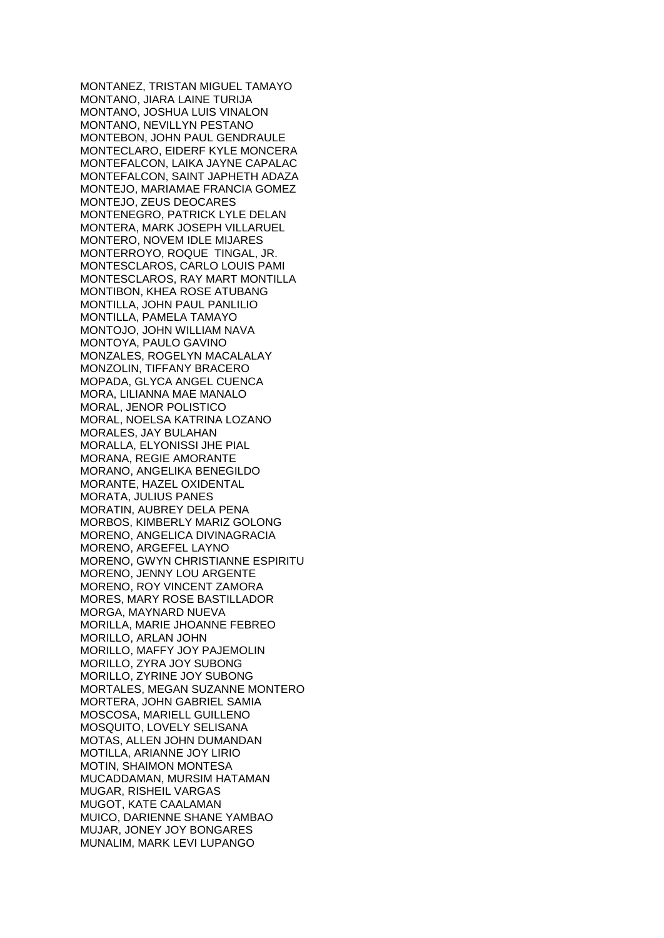MONTANEZ, TRISTAN MIGUEL TAMAYO MONTANO, JIARA LAINE TURIJA MONTANO, JOSHUA LUIS VINALON MONTANO, NEVILLYN PESTANO MONTEBON, JOHN PAUL GENDRAULE MONTECLARO, EIDERF KYLE MONCERA MONTEFALCON, LAIKA JAYNE CAPALAC MONTEFALCON, SAINT JAPHETH ADAZA MONTEJO, MARIAMAE FRANCIA GOMEZ MONTEJO, ZEUS DEOCARES MONTENEGRO, PATRICK LYLE DELAN MONTERA, MARK JOSEPH VILLARUEL MONTERO, NOVEM IDLE MIJARES MONTERROYO, ROQUE TINGAL, JR. MONTESCLAROS, CARLO LOUIS PAMI MONTESCLAROS, RAY MART MONTILLA MONTIBON, KHEA ROSE ATUBANG MONTILLA, JOHN PAUL PANLILIO MONTILLA, PAMELA TAMAYO MONTOJO, JOHN WILLIAM NAVA MONTOYA, PAULO GAVINO MONZALES, ROGELYN MACALALAY MONZOLIN, TIFFANY BRACERO MOPADA, GLYCA ANGEL CUENCA MORA, LILIANNA MAE MANALO MORAL, JENOR POLISTICO MORAL, NOELSA KATRINA LOZANO MORALES, JAY BULAHAN MORALLA, ELYONISSI JHE PIAL MORANA, REGIE AMORANTE MORANO, ANGELIKA BENEGILDO MORANTE, HAZEL OXIDENTAL MORATA, JULIUS PANES MORATIN, AUBREY DELA PENA MORBOS, KIMBERLY MARIZ GOLONG MORENO, ANGELICA DIVINAGRACIA MORENO, ARGEFEL LAYNO MORENO, GWYN CHRISTIANNE ESPIRITU MORENO, JENNY LOU ARGENTE MORENO, ROY VINCENT ZAMORA MORES, MARY ROSE BASTILLADOR MORGA, MAYNARD NUEVA MORILLA, MARIE JHOANNE FEBREO MORILLO, ARLAN JOHN MORILLO, MAFFY JOY PAJEMOLIN MORILLO, ZYRA JOY SUBONG MORILLO, ZYRINE JOY SUBONG MORTALES, MEGAN SUZANNE MONTERO MORTERA, JOHN GABRIEL SAMIA MOSCOSA, MARIELL GUILLENO MOSQUITO, LOVELY SELISANA MOTAS, ALLEN JOHN DUMANDAN MOTILLA, ARIANNE JOY LIRIO MOTIN, SHAIMON MONTESA MUCADDAMAN, MURSIM HATAMAN MUGAR, RISHEIL VARGAS MUGOT, KATE CAALAMAN MUICO, DARIENNE SHANE YAMBAO MUJAR, JONEY JOY BONGARES MUNALIM, MARK LEVI LUPANGO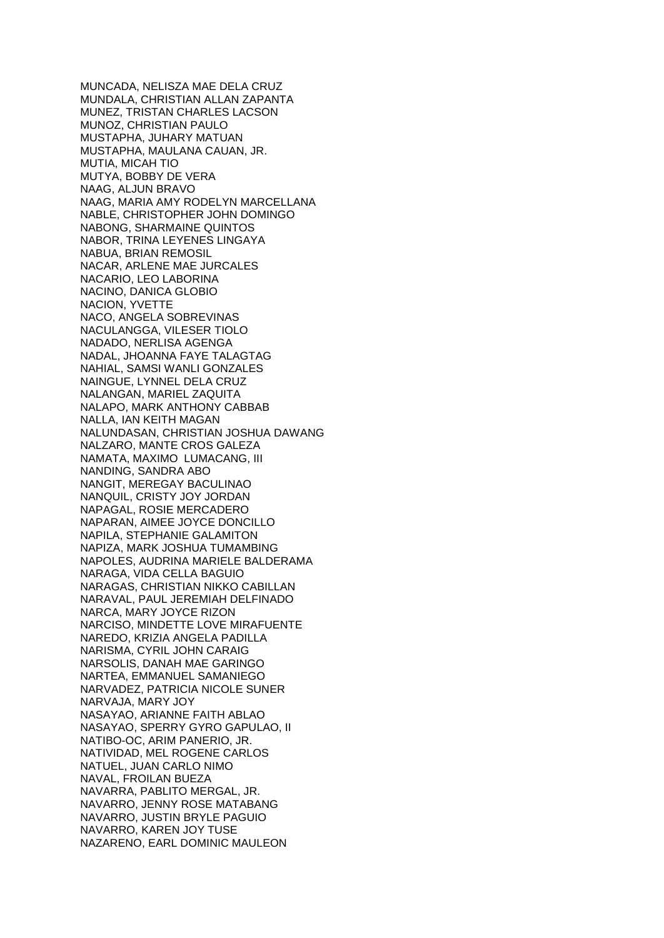MUNCADA, NELISZA MAE DELA CRUZ MUNDALA, CHRISTIAN ALLAN ZAPANTA MUNEZ, TRISTAN CHARLES LACSON MUNOZ, CHRISTIAN PAULO MUSTAPHA, JUHARY MATUAN MUSTAPHA, MAULANA CAUAN, JR. MUTIA, MICAH TIO MUTYA, BOBBY DE VERA NAAG, ALJUN BRAVO NAAG, MARIA AMY RODELYN MARCELLANA NABLE, CHRISTOPHER JOHN DOMINGO NABONG, SHARMAINE QUINTOS NABOR, TRINA LEYENES LINGAYA NABUA, BRIAN REMOSIL NACAR, ARLENE MAE JURCALES NACARIO, LEO LABORINA NACINO, DANICA GLOBIO NACION, YVETTE NACO, ANGELA SOBREVINAS NACULANGGA, VILESER TIOLO NADADO, NERLISA AGENGA NADAL, JHOANNA FAYE TALAGTAG NAHIAL, SAMSI WANLI GONZALES NAINGUE, LYNNEL DELA CRUZ NALANGAN, MARIEL ZAQUITA NALAPO, MARK ANTHONY CABBAB NALLA, IAN KEITH MAGAN NALUNDASAN, CHRISTIAN JOSHUA DAWANG NALZARO, MANTE CROS GALEZA NAMATA, MAXIMO LUMACANG, III NANDING, SANDRA ABO NANGIT, MEREGAY BACULINAO NANQUIL, CRISTY JOY JORDAN NAPAGAL, ROSIE MERCADERO NAPARAN, AIMEE JOYCE DONCILLO NAPILA, STEPHANIE GALAMITON NAPIZA, MARK JOSHUA TUMAMBING NAPOLES, AUDRINA MARIELE BALDERAMA NARAGA, VIDA CELLA BAGUIO NARAGAS, CHRISTIAN NIKKO CABILLAN NARAVAL, PAUL JEREMIAH DELFINADO NARCA, MARY JOYCE RIZON NARCISO, MINDETTE LOVE MIRAFUENTE NAREDO, KRIZIA ANGELA PADILLA NARISMA, CYRIL JOHN CARAIG NARSOLIS, DANAH MAE GARINGO NARTEA, EMMANUEL SAMANIEGO NARVADEZ, PATRICIA NICOLE SUNER NARVAJA, MARY JOY NASAYAO, ARIANNE FAITH ABLAO NASAYAO, SPERRY GYRO GAPULAO, II NATIBO-OC, ARIM PANERIO, JR. NATIVIDAD, MEL ROGENE CARLOS NATUEL, JUAN CARLO NIMO NAVAL, FROILAN BUEZA NAVARRA, PABLITO MERGAL, JR. NAVARRO, JENNY ROSE MATABANG NAVARRO, JUSTIN BRYLE PAGUIO NAVARRO, KAREN JOY TUSE NAZARENO, EARL DOMINIC MAULEON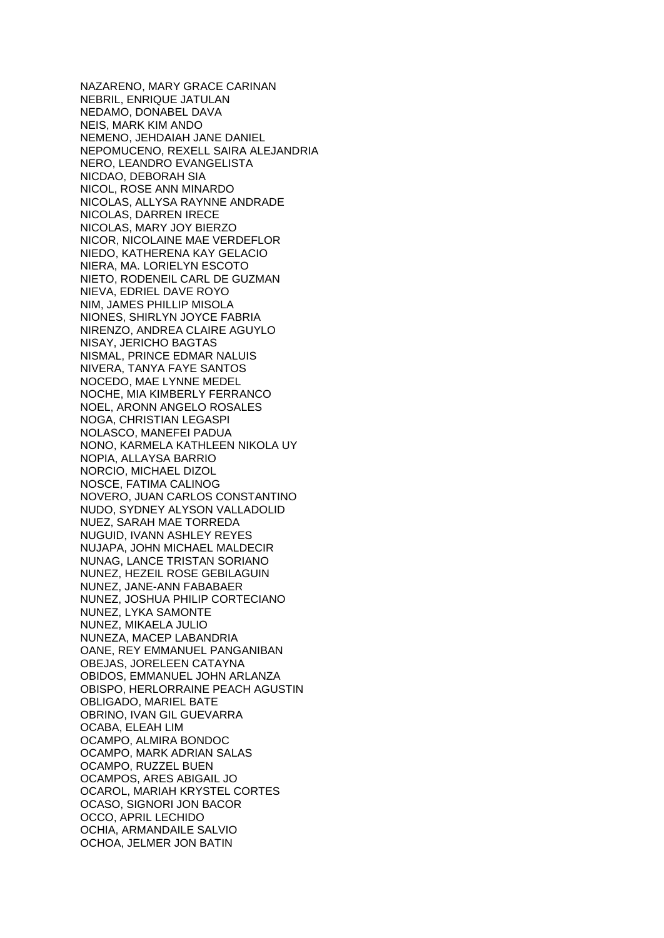NAZARENO, MARY GRACE CARINAN NEBRIL, ENRIQUE JATULAN NEDAMO, DONABEL DAVA NEIS, MARK KIM ANDO NEMENO, JEHDAIAH JANE DANIEL NEPOMUCENO, REXELL SAIRA ALEJANDRIA NERO, LEANDRO EVANGELISTA NICDAO, DEBORAH SIA NICOL, ROSE ANN MINARDO NICOLAS, ALLYSA RAYNNE ANDRADE NICOLAS, DARREN IRECE NICOLAS, MARY JOY BIERZO NICOR, NICOLAINE MAE VERDEFLOR NIEDO, KATHERENA KAY GELACIO NIERA, MA. LORIELYN ESCOTO NIETO, RODENEIL CARL DE GUZMAN NIEVA, EDRIEL DAVE ROYO NIM, JAMES PHILLIP MISOLA NIONES, SHIRLYN JOYCE FABRIA NIRENZO, ANDREA CLAIRE AGUYLO NISAY, JERICHO BAGTAS NISMAL, PRINCE EDMAR NALUIS NIVERA, TANYA FAYE SANTOS NOCEDO, MAE LYNNE MEDEL NOCHE, MIA KIMBERLY FERRANCO NOEL, ARONN ANGELO ROSALES NOGA, CHRISTIAN LEGASPI NOLASCO, MANEFEI PADUA NONO, KARMELA KATHLEEN NIKOLA UY NOPIA, ALLAYSA BARRIO NORCIO, MICHAEL DIZOL NOSCE, FATIMA CALINOG NOVERO, JUAN CARLOS CONSTANTINO NUDO, SYDNEY ALYSON VALLADOLID NUEZ, SARAH MAE TORREDA NUGUID, IVANN ASHLEY REYES NUJAPA, JOHN MICHAEL MALDECIR NUNAG, LANCE TRISTAN SORIANO NUNEZ, HEZEIL ROSE GEBILAGUIN NUNEZ, JANE-ANN FABABAER NUNEZ, JOSHUA PHILIP CORTECIANO NUNEZ, LYKA SAMONTE NUNEZ, MIKAELA JULIO NUNEZA, MACEP LABANDRIA OANE, REY EMMANUEL PANGANIBAN OBEJAS, JORELEEN CATAYNA OBIDOS, EMMANUEL JOHN ARLANZA OBISPO, HERLORRAINE PEACH AGUSTIN OBLIGADO, MARIEL BATE OBRINO, IVAN GIL GUEVARRA OCABA, ELEAH LIM OCAMPO, ALMIRA BONDOC OCAMPO, MARK ADRIAN SALAS OCAMPO, RUZZEL BUEN OCAMPOS, ARES ABIGAIL JO OCAROL, MARIAH KRYSTEL CORTES OCASO, SIGNORI JON BACOR OCCO, APRIL LECHIDO OCHIA, ARMANDAILE SALVIO OCHOA, JELMER JON BATIN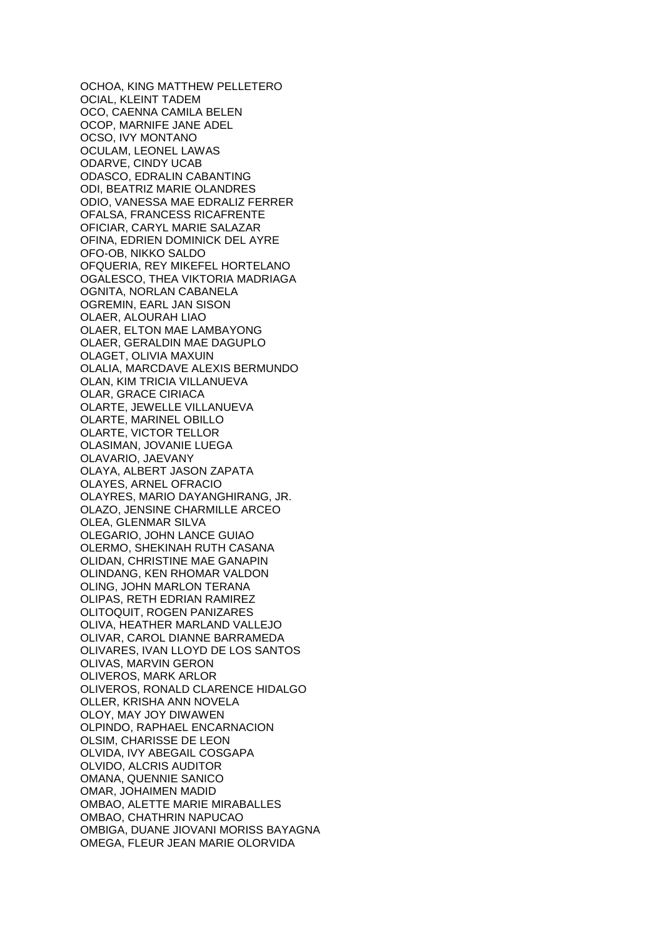OCHOA, KING MATTHEW PELLETERO OCIAL, KLEINT TADEM OCO, CAENNA CAMILA BELEN OCOP, MARNIFE JANE ADEL OCSO, IVY MONTANO OCULAM, LEONEL LAWAS ODARVE, CINDY UCAB ODASCO, EDRALIN CABANTING ODI, BEATRIZ MARIE OLANDRES ODIO, VANESSA MAE EDRALIZ FERRER OFALSA, FRANCESS RICAFRENTE OFICIAR, CARYL MARIE SALAZAR OFINA, EDRIEN DOMINICK DEL AYRE OFO-OB, NIKKO SALDO OFQUERIA, REY MIKEFEL HORTELANO OGALESCO, THEA VIKTORIA MADRIAGA OGNITA, NORLAN CABANELA OGREMIN, EARL JAN SISON OLAER, ALOURAH LIAO OLAER, ELTON MAE LAMBAYONG OLAER, GERALDIN MAE DAGUPLO OLAGET, OLIVIA MAXUIN OLALIA, MARCDAVE ALEXIS BERMUNDO OLAN, KIM TRICIA VILLANUEVA OLAR, GRACE CIRIACA OLARTE, JEWELLE VILLANUEVA OLARTE, MARINEL OBILLO OLARTE, VICTOR TELLOR OLASIMAN, JOVANIE LUEGA OLAVARIO, JAEVANY OLAYA, ALBERT JASON ZAPATA OLAYES, ARNEL OFRACIO OLAYRES, MARIO DAYANGHIRANG, JR. OLAZO, JENSINE CHARMILLE ARCEO OLEA, GLENMAR SILVA OLEGARIO, JOHN LANCE GUIAO OLERMO, SHEKINAH RUTH CASANA OLIDAN, CHRISTINE MAE GANAPIN OLINDANG, KEN RHOMAR VALDON OLING, JOHN MARLON TERANA OLIPAS, RETH EDRIAN RAMIREZ OLITOQUIT, ROGEN PANIZARES OLIVA, HEATHER MARLAND VALLEJO OLIVAR, CAROL DIANNE BARRAMEDA OLIVARES, IVAN LLOYD DE LOS SANTOS OLIVAS, MARVIN GERON OLIVEROS, MARK ARLOR OLIVEROS, RONALD CLARENCE HIDALGO OLLER, KRISHA ANN NOVELA OLOY, MAY JOY DIWAWEN OLPINDO, RAPHAEL ENCARNACION OLSIM, CHARISSE DE LEON OLVIDA, IVY ABEGAIL COSGAPA OLVIDO, ALCRIS AUDITOR OMANA, QUENNIE SANICO OMAR, JOHAIMEN MADID OMBAO, ALETTE MARIE MIRABALLES OMBAO, CHATHRIN NAPUCAO OMBIGA, DUANE JIOVANI MORISS BAYAGNA OMEGA, FLEUR JEAN MARIE OLORVIDA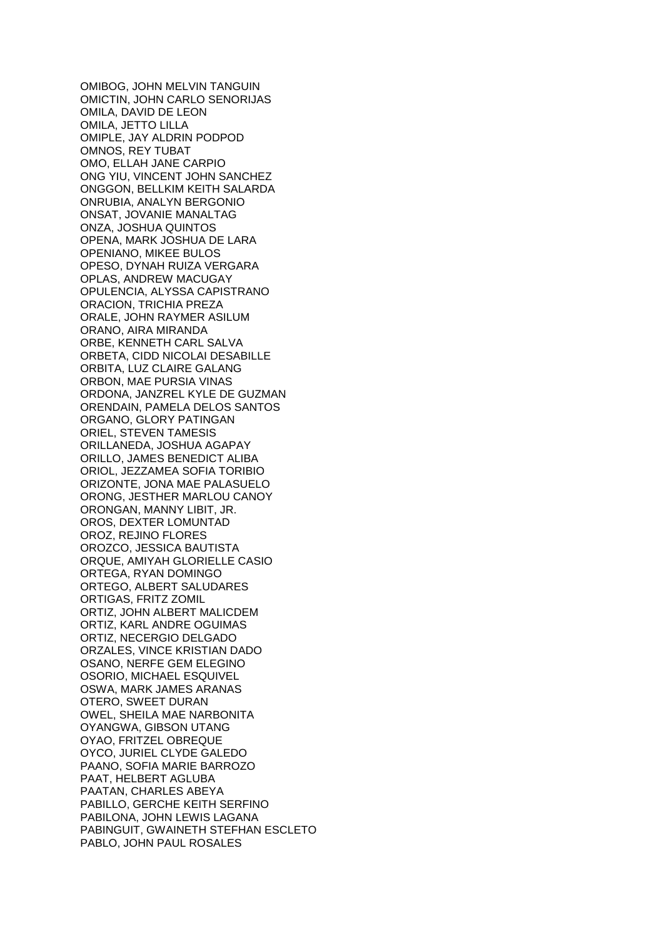OMIBOG, JOHN MELVIN TANGUIN OMICTIN, JOHN CARLO SENORIJAS OMILA, DAVID DE LEON OMILA, JETTO LILLA OMIPLE, JAY ALDRIN PODPOD OMNOS, REY TUBAT OMO, ELLAH JANE CARPIO ONG YIU, VINCENT JOHN SANCHEZ ONGGON, BELLKIM KEITH SALARDA ONRUBIA, ANALYN BERGONIO ONSAT, JOVANIE MANALTAG ONZA, JOSHUA QUINTOS OPENA, MARK JOSHUA DE LARA OPENIANO, MIKEE BULOS OPESO, DYNAH RUIZA VERGARA OPLAS, ANDREW MACUGAY OPULENCIA, ALYSSA CAPISTRANO ORACION, TRICHIA PREZA ORALE, JOHN RAYMER ASILUM ORANO, AIRA MIRANDA ORBE, KENNETH CARL SALVA ORBETA, CIDD NICOLAI DESABILLE ORBITA, LUZ CLAIRE GALANG ORBON, MAE PURSIA VINAS ORDONA, JANZREL KYLE DE GUZMAN ORENDAIN, PAMELA DELOS SANTOS ORGANO, GLORY PATINGAN ORIEL, STEVEN TAMESIS ORILLANEDA, JOSHUA AGAPAY ORILLO, JAMES BENEDICT ALIBA ORIOL, JEZZAMEA SOFIA TORIBIO ORIZONTE, JONA MAE PALASUELO ORONG, JESTHER MARLOU CANOY ORONGAN, MANNY LIBIT, JR. OROS, DEXTER LOMUNTAD OROZ, REJINO FLORES OROZCO, JESSICA BAUTISTA ORQUE, AMIYAH GLORIELLE CASIO ORTEGA, RYAN DOMINGO ORTEGO, ALBERT SALUDARES ORTIGAS, FRITZ ZOMIL ORTIZ, JOHN ALBERT MALICDEM ORTIZ, KARL ANDRE OGUIMAS ORTIZ, NECERGIO DELGADO ORZALES, VINCE KRISTIAN DADO OSANO, NERFE GEM ELEGINO OSORIO, MICHAEL ESQUIVEL OSWA, MARK JAMES ARANAS OTERO, SWEET DURAN OWEL, SHEILA MAE NARBONITA OYANGWA, GIBSON UTANG OYAO, FRITZEL OBREQUE OYCO, JURIEL CLYDE GALEDO PAANO, SOFIA MARIE BARROZO PAAT, HELBERT AGLUBA PAATAN, CHARLES ABEYA PABILLO, GERCHE KEITH SERFINO PABILONA, JOHN LEWIS LAGANA PABINGUIT, GWAINETH STEFHAN ESCLETO PABLO, JOHN PAUL ROSALES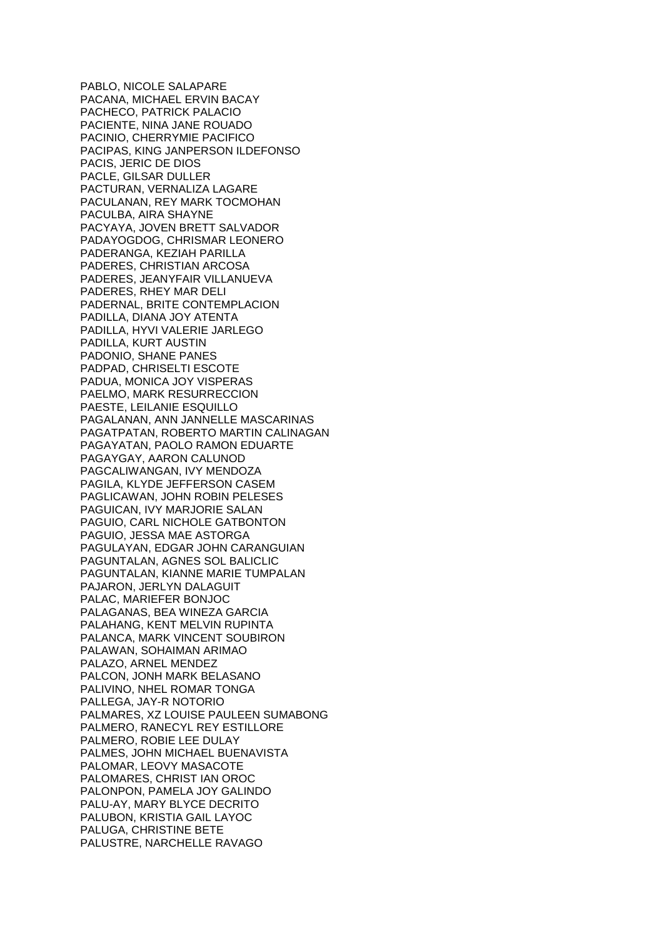PABLO, NICOLE SALAPARE PACANA, MICHAEL ERVIN BACAY PACHECO, PATRICK PALACIO PACIENTE, NINA JANE ROUADO PACINIO, CHERRYMIE PACIFICO PACIPAS, KING JANPERSON ILDEFONSO PACIS, JERIC DE DIOS PACLE, GILSAR DULLER PACTURAN, VERNALIZA LAGARE PACULANAN, REY MARK TOCMOHAN PACULBA, AIRA SHAYNE PACYAYA, JOVEN BRETT SALVADOR PADAYOGDOG, CHRISMAR LEONERO PADERANGA, KEZIAH PARILLA PADERES, CHRISTIAN ARCOSA PADERES, JEANYFAIR VILLANUEVA PADERES, RHEY MAR DELI PADERNAL, BRITE CONTEMPLACION PADILLA, DIANA JOY ATENTA PADILLA, HYVI VALERIE JARLEGO PADILLA, KURT AUSTIN PADONIO, SHANE PANES PADPAD, CHRISELTI ESCOTE PADUA, MONICA JOY VISPERAS PAELMO, MARK RESURRECCION PAESTE, LEILANIE ESQUILLO PAGALANAN, ANN JANNELLE MASCARINAS PAGATPATAN, ROBERTO MARTIN CALINAGAN PAGAYATAN, PAOLO RAMON EDUARTE PAGAYGAY, AARON CALUNOD PAGCALIWANGAN, IVY MENDOZA PAGILA, KLYDE JEFFERSON CASEM PAGLICAWAN, JOHN ROBIN PELESES PAGUICAN, IVY MARJORIE SALAN PAGUIO, CARL NICHOLE GATBONTON PAGUIO, JESSA MAE ASTORGA PAGULAYAN, EDGAR JOHN CARANGUIAN PAGUNTALAN, AGNES SOL BALICLIC PAGUNTALAN, KIANNE MARIE TUMPALAN PAJARON, JERLYN DALAGUIT PALAC, MARIEFER BONJOC PALAGANAS, BEA WINEZA GARCIA PALAHANG, KENT MELVIN RUPINTA PALANCA, MARK VINCENT SOUBIRON PALAWAN, SOHAIMAN ARIMAO PALAZO, ARNEL MENDEZ PALCON, JONH MARK BELASANO PALIVINO, NHEL ROMAR TONGA PALLEGA, JAY-R NOTORIO PALMARES, XZ LOUISE PAULEEN SUMABONG PALMERO, RANECYL REY ESTILLORE PALMERO, ROBIE LEE DULAY PALMES, JOHN MICHAEL BUENAVISTA PALOMAR, LEOVY MASACOTE PALOMARES, CHRIST IAN OROC PALONPON, PAMELA JOY GALINDO PALU-AY, MARY BLYCE DECRITO PALUBON, KRISTIA GAIL LAYOC PALUGA, CHRISTINE BETE PALUSTRE, NARCHELLE RAVAGO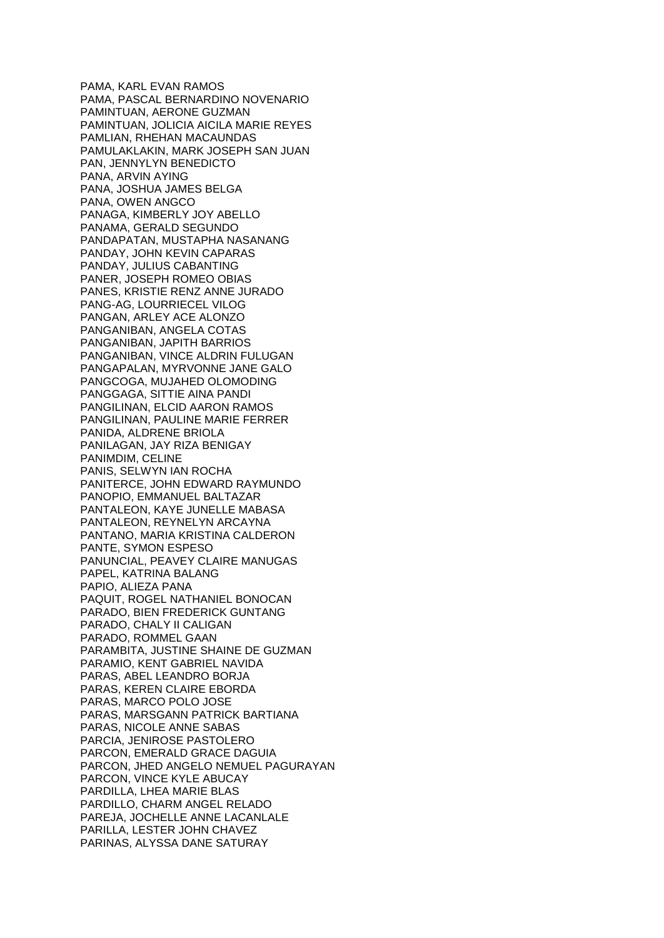PAMA, KARL EVAN RAMOS PAMA, PASCAL BERNARDINO NOVENARIO PAMINTUAN, AERONE GUZMAN PAMINTUAN, JOLICIA AICILA MARIE REYES PAMLIAN, RHEHAN MACAUNDAS PAMULAKLAKIN, MARK JOSEPH SAN JUAN PAN, JENNYLYN BENEDICTO PANA, ARVIN AYING PANA, JOSHUA JAMES BELGA PANA, OWEN ANGCO PANAGA, KIMBERLY JOY ABELLO PANAMA, GERALD SEGUNDO PANDAPATAN, MUSTAPHA NASANANG PANDAY, JOHN KEVIN CAPARAS PANDAY, JULIUS CABANTING PANER, JOSEPH ROMEO OBIAS PANES, KRISTIE RENZ ANNE JURADO PANG-AG, LOURRIECEL VILOG PANGAN, ARLEY ACE ALONZO PANGANIBAN, ANGELA COTAS PANGANIBAN, JAPITH BARRIOS PANGANIBAN, VINCE ALDRIN FULUGAN PANGAPALAN, MYRVONNE JANE GALO PANGCOGA, MUJAHED OLOMODING PANGGAGA, SITTIE AINA PANDI PANGILINAN, ELCID AARON RAMOS PANGILINAN, PAULINE MARIE FERRER PANIDA, ALDRENE BRIOLA PANILAGAN, JAY RIZA BENIGAY PANIMDIM, CELINE PANIS, SELWYN IAN ROCHA PANITERCE, JOHN EDWARD RAYMUNDO PANOPIO, EMMANUEL BALTAZAR PANTALEON, KAYE JUNELLE MABASA PANTALEON, REYNELYN ARCAYNA PANTANO, MARIA KRISTINA CALDERON PANTE, SYMON ESPESO PANUNCIAL, PEAVEY CLAIRE MANUGAS PAPEL, KATRINA BALANG PAPIO, ALIEZA PANA PAQUIT, ROGEL NATHANIEL BONOCAN PARADO, BIEN FREDERICK GUNTANG PARADO, CHALY II CALIGAN PARADO, ROMMEL GAAN PARAMBITA, JUSTINE SHAINE DE GUZMAN PARAMIO, KENT GABRIEL NAVIDA PARAS, ABEL LEANDRO BORJA PARAS, KEREN CLAIRE EBORDA PARAS, MARCO POLO JOSE PARAS, MARSGANN PATRICK BARTIANA PARAS, NICOLE ANNE SABAS PARCIA, JENIROSE PASTOLERO PARCON, EMERALD GRACE DAGUIA PARCON, JHED ANGELO NEMUEL PAGURAYAN PARCON, VINCE KYLE ABUCAY PARDILLA, LHEA MARIE BLAS PARDILLO, CHARM ANGEL RELADO PAREJA, JOCHELLE ANNE LACANLALE PARILLA, LESTER JOHN CHAVEZ PARINAS, ALYSSA DANE SATURAY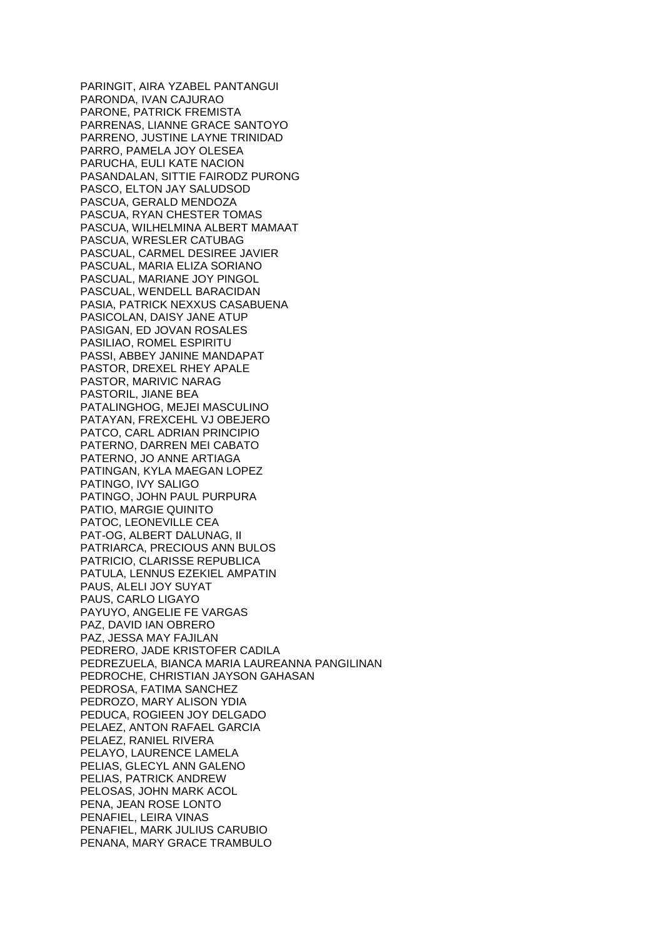PARINGIT, AIRA YZABEL PANTANGUI PARONDA, IVAN CAJURAO PARONE, PATRICK FREMISTA PARRENAS, LIANNE GRACE SANTOYO PARRENO, JUSTINE LAYNE TRINIDAD PARRO, PAMELA JOY OLESEA PARUCHA, EULI KATE NACION PASANDALAN, SITTIE FAIRODZ PURONG PASCO, ELTON JAY SALUDSOD PASCUA, GERALD MENDOZA PASCUA, RYAN CHESTER TOMAS PASCUA, WILHELMINA ALBERT MAMAAT PASCUA, WRESLER CATUBAG PASCUAL, CARMEL DESIREE JAVIER PASCUAL, MARIA ELIZA SORIANO PASCUAL, MARIANE JOY PINGOL PASCUAL, WENDELL BARACIDAN PASIA, PATRICK NEXXUS CASABUENA PASICOLAN, DAISY JANE ATUP PASIGAN, ED JOVAN ROSALES PASILIAO, ROMEL ESPIRITU PASSI, ABBEY JANINE MANDAPAT PASTOR, DREXEL RHEY APALE PASTOR, MARIVIC NARAG PASTORIL, JIANE BEA PATALINGHOG, MEJEI MASCULINO PATAYAN, FREXCEHL VJ OBEJERO PATCO, CARL ADRIAN PRINCIPIO PATERNO, DARREN MEI CABATO PATERNO, JO ANNE ARTIAGA PATINGAN, KYLA MAEGAN LOPEZ PATINGO, IVY SALIGO PATINGO, JOHN PAUL PURPURA PATIO, MARGIE QUINITO PATOC, LEONEVILLE CEA PAT-OG, ALBERT DALUNAG, II PATRIARCA, PRECIOUS ANN BULOS PATRICIO, CLARISSE REPUBLICA PATULA, LENNUS EZEKIEL AMPATIN PAUS, ALELI JOY SUYAT PAUS, CARLO LIGAYO PAYUYO, ANGELIE FE VARGAS PAZ, DAVID IAN OBRERO PAZ, JESSA MAY FAJILAN PEDRERO, JADE KRISTOFER CADILA PEDREZUELA, BIANCA MARIA LAUREANNA PANGILINAN PEDROCHE, CHRISTIAN JAYSON GAHASAN PEDROSA, FATIMA SANCHEZ PEDROZO, MARY ALISON YDIA PEDUCA, ROGIEEN JOY DELGADO PELAEZ, ANTON RAFAEL GARCIA PELAEZ, RANIEL RIVERA PELAYO, LAURENCE LAMELA PELIAS, GLECYL ANN GALENO PELIAS, PATRICK ANDREW PELOSAS, JOHN MARK ACOL PENA, JEAN ROSE LONTO PENAFIEL, LEIRA VINAS PENAFIEL, MARK JULIUS CARUBIO PENANA, MARY GRACE TRAMBULO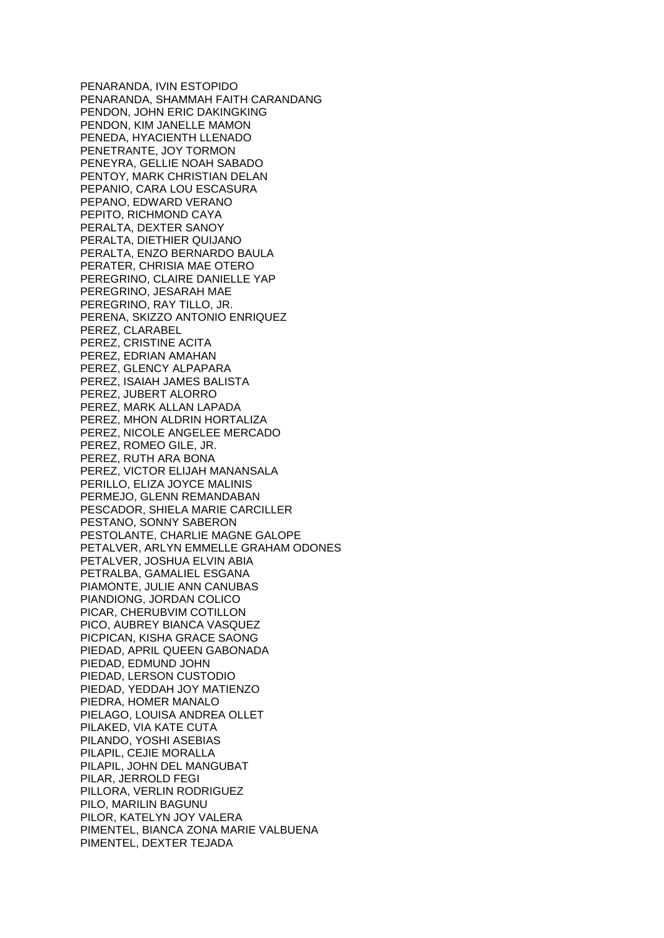PENARANDA, IVIN ESTOPIDO PENARANDA, SHAMMAH FAITH CARANDANG PENDON, JOHN ERIC DAKINGKING PENDON, KIM JANELLE MAMON PENEDA, HYACIENTH LLENADO PENETRANTE, JOY TORMON PENEYRA, GELLIE NOAH SABADO PENTOY, MARK CHRISTIAN DELAN PEPANIO, CARA LOU ESCASURA PEPANO, EDWARD VERANO PEPITO, RICHMOND CAYA PERALTA, DEXTER SANOY PERALTA, DIETHIER QUIJANO PERALTA, ENZO BERNARDO BAULA PERATER, CHRISIA MAE OTERO PEREGRINO, CLAIRE DANIELLE YAP PEREGRINO, JESARAH MAE PEREGRINO, RAY TILLO, JR. PERENA, SKIZZO ANTONIO ENRIQUEZ PEREZ, CLARABEL PEREZ, CRISTINE ACITA PEREZ, EDRIAN AMAHAN PEREZ, GLENCY ALPAPARA PEREZ, ISAIAH JAMES BALISTA PEREZ, JUBERT ALORRO PEREZ, MARK ALLAN LAPADA PEREZ, MHON ALDRIN HORTALIZA PEREZ, NICOLE ANGELEE MERCADO PEREZ, ROMEO GILE, JR. PEREZ, RUTH ARA BONA PEREZ, VICTOR ELIJAH MANANSALA PERILLO, ELIZA JOYCE MALINIS PERMEJO, GLENN REMANDABAN PESCADOR, SHIELA MARIE CARCILLER PESTANO, SONNY SABERON PESTOLANTE, CHARLIE MAGNE GALOPE PETALVER, ARLYN EMMELLE GRAHAM ODONES PETALVER, JOSHUA ELVIN ABIA PETRALBA, GAMALIEL ESGANA PIAMONTE, JULIE ANN CANUBAS PIANDIONG, JORDAN COLICO PICAR, CHERUBVIM COTILLON PICO, AUBREY BIANCA VASQUEZ PICPICAN, KISHA GRACE SAONG PIEDAD, APRIL QUEEN GABONADA PIEDAD, EDMUND JOHN PIEDAD, LERSON CUSTODIO PIEDAD, YEDDAH JOY MATIENZO PIEDRA, HOMER MANALO PIELAGO, LOUISA ANDREA OLLET PILAKED, VIA KATE CUTA PILANDO, YOSHI ASEBIAS PILAPIL, CEJIE MORALLA PILAPIL, JOHN DEL MANGUBAT PILAR, JERROLD FEGI PILLORA, VERLIN RODRIGUEZ PILO, MARILIN BAGUNU PILOR, KATELYN JOY VALERA PIMENTEL, BIANCA ZONA MARIE VALBUENA PIMENTEL, DEXTER TEJADA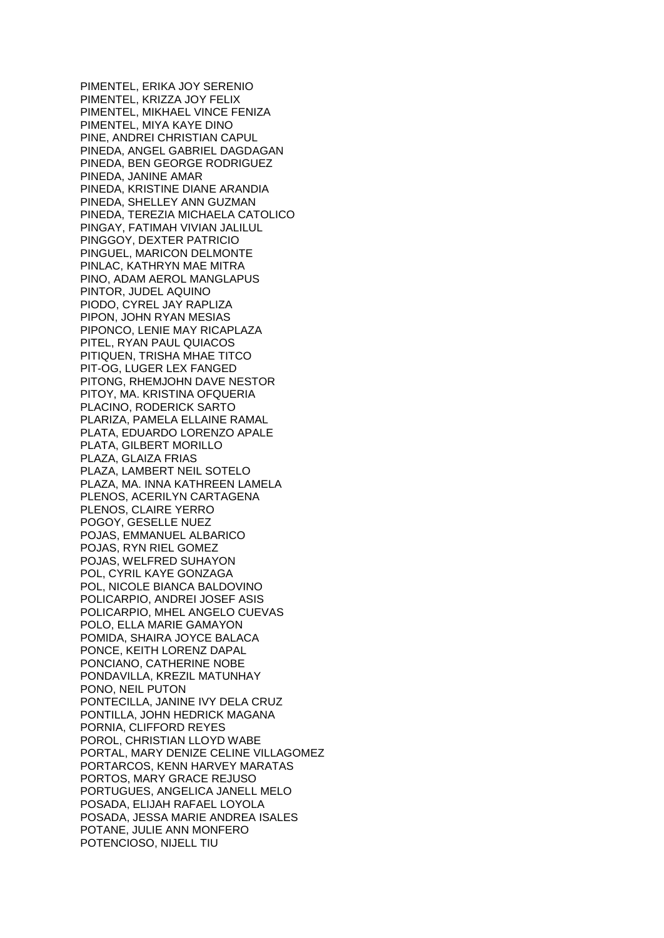PIMENTEL, ERIKA JOY SERENIO PIMENTEL, KRIZZA JOY FELIX PIMENTEL, MIKHAEL VINCE FENIZA PIMENTEL, MIYA KAYE DINO PINE, ANDREI CHRISTIAN CAPUL PINEDA, ANGEL GABRIEL DAGDAGAN PINEDA, BEN GEORGE RODRIGUEZ PINEDA, JANINE AMAR PINEDA, KRISTINE DIANE ARANDIA PINEDA, SHELLEY ANN GUZMAN PINEDA, TEREZIA MICHAELA CATOLICO PINGAY, FATIMAH VIVIAN JALILUL PINGGOY, DEXTER PATRICIO PINGUEL, MARICON DELMONTE PINLAC, KATHRYN MAE MITRA PINO, ADAM AEROL MANGLAPUS PINTOR, JUDEL AQUINO PIODO, CYREL JAY RAPLIZA PIPON, JOHN RYAN MESIAS PIPONCO, LENIE MAY RICAPLAZA PITEL, RYAN PAUL QUIACOS PITIQUEN, TRISHA MHAE TITCO PIT-OG, LUGER LEX FANGED PITONG, RHEMJOHN DAVE NESTOR PITOY, MA. KRISTINA OFQUERIA PLACINO, RODERICK SARTO PLARIZA, PAMELA ELLAINE RAMAL PLATA, EDUARDO LORENZO APALE PLATA, GILBERT MORILLO PLAZA, GLAIZA FRIAS PLAZA, LAMBERT NEIL SOTELO PLAZA, MA. INNA KATHREEN LAMELA PLENOS, ACERILYN CARTAGENA PLENOS, CLAIRE YERRO POGOY, GESELLE NUEZ POJAS, EMMANUEL ALBARICO POJAS, RYN RIEL GOMEZ POJAS, WELFRED SUHAYON POL, CYRIL KAYE GONZAGA POL, NICOLE BIANCA BALDOVINO POLICARPIO, ANDREI JOSEF ASIS POLICARPIO, MHEL ANGELO CUEVAS POLO, ELLA MARIE GAMAYON POMIDA, SHAIRA JOYCE BALACA PONCE, KEITH LORENZ DAPAL PONCIANO, CATHERINE NOBE PONDAVILLA, KREZIL MATUNHAY PONO, NEIL PUTON PONTECILLA, JANINE IVY DELA CRUZ PONTILLA, JOHN HEDRICK MAGANA PORNIA, CLIFFORD REYES POROL, CHRISTIAN LLOYD WABE PORTAL, MARY DENIZE CELINE VILLAGOMEZ PORTARCOS, KENN HARVEY MARATAS PORTOS, MARY GRACE REJUSO PORTUGUES, ANGELICA JANELL MELO POSADA, ELIJAH RAFAEL LOYOLA POSADA, JESSA MARIE ANDREA ISALES POTANE, JULIE ANN MONFERO POTENCIOSO, NIJELL TIU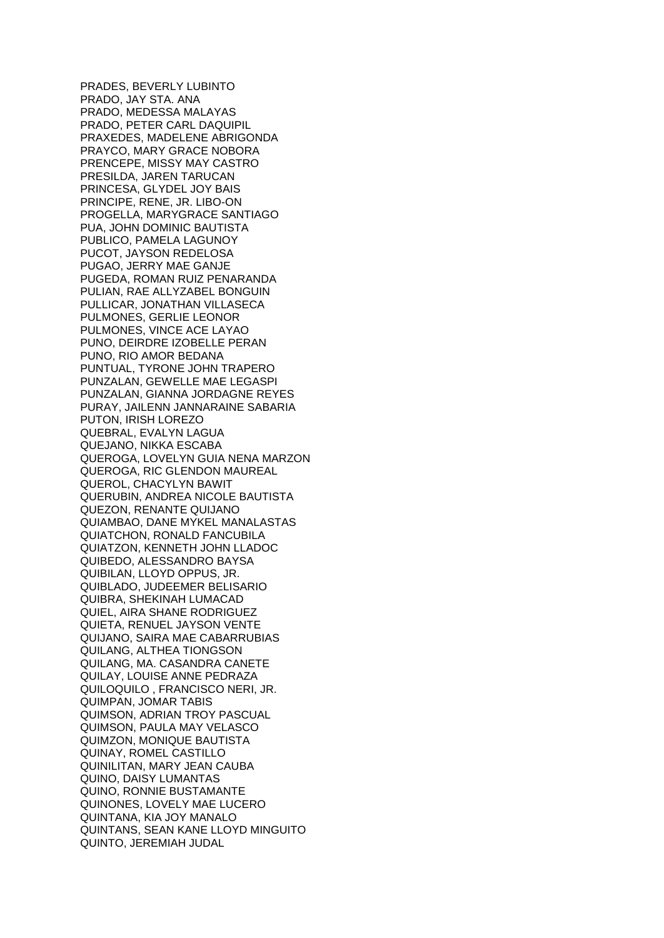PRADES, BEVERLY LUBINTO PRADO, JAY STA. ANA PRADO, MEDESSA MALAYAS PRADO, PETER CARL DAQUIPIL PRAXEDES, MADELENE ABRIGONDA PRAYCO, MARY GRACE NOBORA PRENCEPE, MISSY MAY CASTRO PRESILDA, JAREN TARUCAN PRINCESA, GLYDEL JOY BAIS PRINCIPE, RENE, JR. LIBO-ON PROGELLA, MARYGRACE SANTIAGO PUA, JOHN DOMINIC BAUTISTA PUBLICO, PAMELA LAGUNOY PUCOT, JAYSON REDELOSA PUGAO, JERRY MAE GANJE PUGEDA, ROMAN RUIZ PENARANDA PULIAN, RAE ALLYZABEL BONGUIN PULLICAR, JONATHAN VILLASECA PULMONES, GERLIE LEONOR PULMONES, VINCE ACE LAYAO PUNO, DEIRDRE IZOBELLE PERAN PUNO, RIO AMOR BEDANA PUNTUAL, TYRONE JOHN TRAPERO PUNZALAN, GEWELLE MAE LEGASPI PUNZALAN, GIANNA JORDAGNE REYES PURAY, JAILENN JANNARAINE SABARIA PUTON, IRISH LOREZO QUEBRAL, EVALYN LAGUA QUEJANO, NIKKA ESCABA QUEROGA, LOVELYN GUIA NENA MARZON QUEROGA, RIC GLENDON MAUREAL QUEROL, CHACYLYN BAWIT QUERUBIN, ANDREA NICOLE BAUTISTA QUEZON, RENANTE QUIJANO QUIAMBAO, DANE MYKEL MANALASTAS QUIATCHON, RONALD FANCUBILA QUIATZON, KENNETH JOHN LLADOC QUIBEDO, ALESSANDRO BAYSA QUIBILAN, LLOYD OPPUS, JR. QUIBLADO, JUDEEMER BELISARIO QUIBRA, SHEKINAH LUMACAD QUIEL, AIRA SHANE RODRIGUEZ QUIETA, RENUEL JAYSON VENTE QUIJANO, SAIRA MAE CABARRUBIAS QUILANG, ALTHEA TIONGSON QUILANG, MA. CASANDRA CANETE QUILAY, LOUISE ANNE PEDRAZA QUILOQUILO , FRANCISCO NERI, JR. QUIMPAN, JOMAR TABIS QUIMSON, ADRIAN TROY PASCUAL QUIMSON, PAULA MAY VELASCO QUIMZON, MONIQUE BAUTISTA QUINAY, ROMEL CASTILLO QUINILITAN, MARY JEAN CAUBA QUINO, DAISY LUMANTAS QUINO, RONNIE BUSTAMANTE QUINONES, LOVELY MAE LUCERO QUINTANA, KIA JOY MANALO QUINTANS, SEAN KANE LLOYD MINGUITO QUINTO, JEREMIAH JUDAL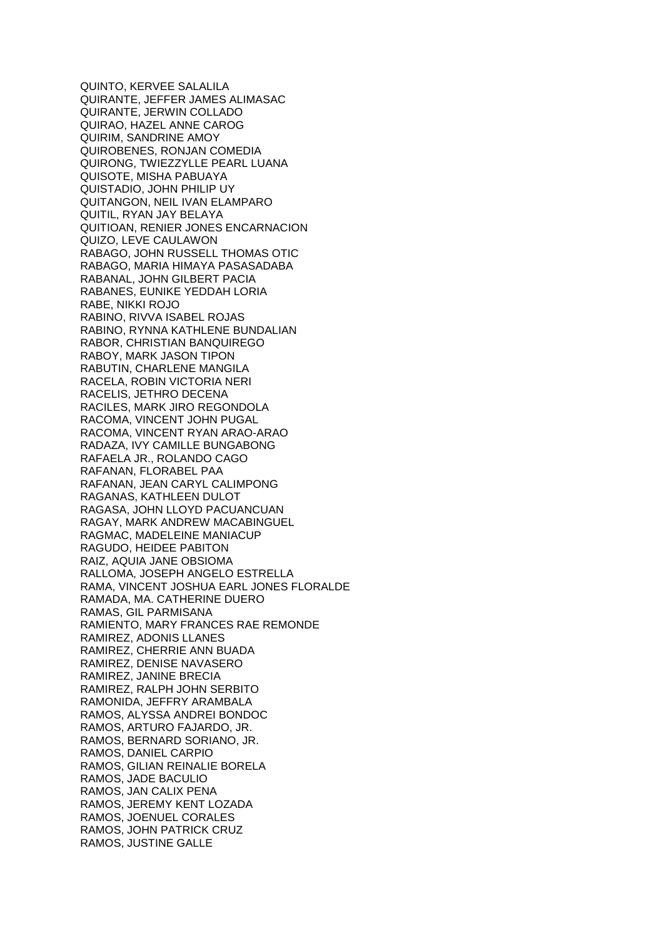QUINTO, KERVEE SALALILA QUIRANTE, JEFFER JAMES ALIMASAC QUIRANTE, JERWIN COLLADO QUIRAO, HAZEL ANNE CAROG QUIRIM, SANDRINE AMOY QUIROBENES, RONJAN COMEDIA QUIRONG, TWIEZZYLLE PEARL LUANA QUISOTE, MISHA PABUAYA QUISTADIO, JOHN PHILIP UY QUITANGON, NEIL IVAN ELAMPARO QUITIL, RYAN JAY BELAYA QUITIOAN, RENIER JONES ENCARNACION QUIZO, LEVE CAULAWON RABAGO, JOHN RUSSELL THOMAS OTIC RABAGO, MARIA HIMAYA PASASADABA RABANAL, JOHN GILBERT PACIA RABANES, EUNIKE YEDDAH LORIA RABE, NIKKI ROJO RABINO, RIVVA ISABEL ROJAS RABINO, RYNNA KATHLENE BUNDALIAN RABOR, CHRISTIAN BANQUIREGO RABOY, MARK JASON TIPON RABUTIN, CHARLENE MANGILA RACELA, ROBIN VICTORIA NERI RACELIS, JETHRO DECENA RACILES, MARK JIRO REGONDOLA RACOMA, VINCENT JOHN PUGAL RACOMA, VINCENT RYAN ARAO-ARAO RADAZA, IVY CAMILLE BUNGABONG RAFAELA JR., ROLANDO CAGO RAFANAN, FLORABEL PAA RAFANAN, JEAN CARYL CALIMPONG RAGANAS, KATHLEEN DULOT RAGASA, JOHN LLOYD PACUANCUAN RAGAY, MARK ANDREW MACABINGUEL RAGMAC, MADELEINE MANIACUP RAGUDO, HEIDEE PABITON RAIZ, AQUIA JANE OBSIOMA RALLOMA, JOSEPH ANGELO ESTRELLA RAMA, VINCENT JOSHUA EARL JONES FLORALDE RAMADA, MA. CATHERINE DUERO RAMAS, GIL PARMISANA RAMIENTO, MARY FRANCES RAE REMONDE RAMIREZ, ADONIS LLANES RAMIREZ, CHERRIE ANN BUADA RAMIREZ, DENISE NAVASERO RAMIREZ, JANINE BRECIA RAMIREZ, RALPH JOHN SERBITO RAMONIDA, JEFFRY ARAMBALA RAMOS, ALYSSA ANDREI BONDOC RAMOS, ARTURO FAJARDO, JR. RAMOS, BERNARD SORIANO, JR. RAMOS, DANIEL CARPIO RAMOS, GILIAN REINALIE BORELA RAMOS, JADE BACULIO RAMOS, JAN CALIX PENA RAMOS, JEREMY KENT LOZADA RAMOS, JOENUEL CORALES RAMOS, JOHN PATRICK CRUZ RAMOS, JUSTINE GALLE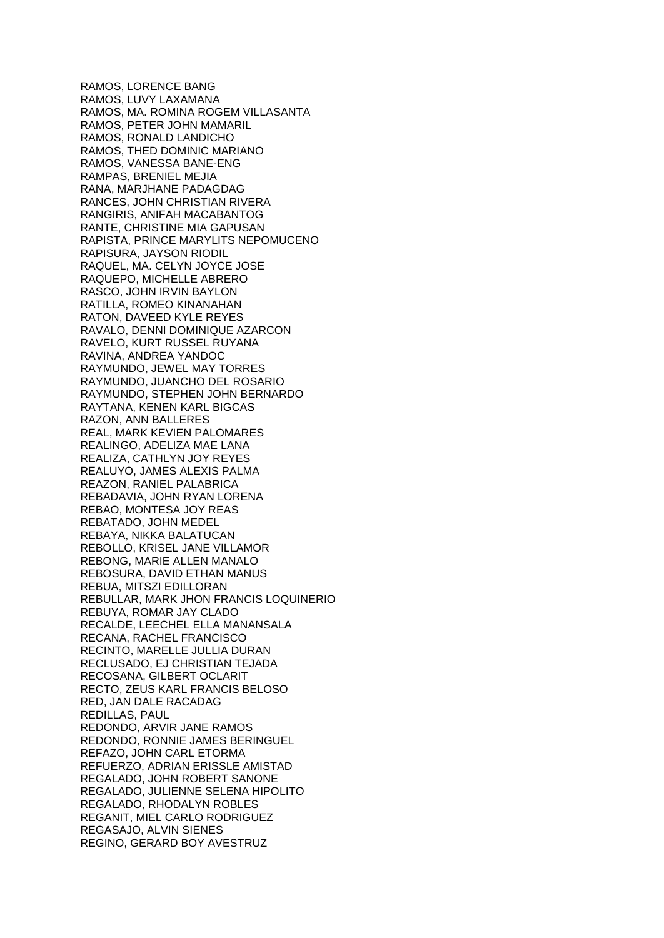RAMOS, LORENCE BANG RAMOS, LUVY LAXAMANA RAMOS, MA. ROMINA ROGEM VILLASANTA RAMOS, PETER JOHN MAMARIL RAMOS, RONALD LANDICHO RAMOS, THED DOMINIC MARIANO RAMOS, VANESSA BANE-ENG RAMPAS, BRENIEL MEJIA RANA, MARJHANE PADAGDAG RANCES, JOHN CHRISTIAN RIVERA RANGIRIS, ANIFAH MACABANTOG RANTE, CHRISTINE MIA GAPUSAN RAPISTA, PRINCE MARYLITS NEPOMUCENO RAPISURA, JAYSON RIODIL RAQUEL, MA. CELYN JOYCE JOSE RAQUEPO, MICHELLE ABRERO RASCO, JOHN IRVIN BAYLON RATILLA, ROMEO KINANAHAN RATON, DAVEED KYLE REYES RAVALO, DENNI DOMINIQUE AZARCON RAVELO, KURT RUSSEL RUYANA RAVINA, ANDREA YANDOC RAYMUNDO, JEWEL MAY TORRES RAYMUNDO, JUANCHO DEL ROSARIO RAYMUNDO, STEPHEN JOHN BERNARDO RAYTANA, KENEN KARL BIGCAS RAZON, ANN BALLERES REAL, MARK KEVIEN PALOMARES REALINGO, ADELIZA MAE LANA REALIZA, CATHLYN JOY REYES REALUYO, JAMES ALEXIS PALMA REAZON, RANIEL PALABRICA REBADAVIA, JOHN RYAN LORENA REBAO, MONTESA JOY REAS REBATADO, JOHN MEDEL REBAYA, NIKKA BALATUCAN REBOLLO, KRISEL JANE VILLAMOR REBONG, MARIE ALLEN MANALO REBOSURA, DAVID ETHAN MANUS REBUA, MITSZI EDILLORAN REBULLAR, MARK JHON FRANCIS LOQUINERIO REBUYA, ROMAR JAY CLADO RECALDE, LEECHEL ELLA MANANSALA RECANA, RACHEL FRANCISCO RECINTO, MARELLE JULLIA DURAN RECLUSADO, EJ CHRISTIAN TEJADA RECOSANA, GILBERT OCLARIT RECTO, ZEUS KARL FRANCIS BELOSO RED, JAN DALE RACADAG REDILLAS, PAUL REDONDO, ARVIR JANE RAMOS REDONDO, RONNIE JAMES BERINGUEL REFAZO, JOHN CARL ETORMA REFUERZO, ADRIAN ERISSLE AMISTAD REGALADO, JOHN ROBERT SANONE REGALADO, JULIENNE SELENA HIPOLITO REGALADO, RHODALYN ROBLES REGANIT, MIEL CARLO RODRIGUEZ REGASAJO, ALVIN SIENES REGINO, GERARD BOY AVESTRUZ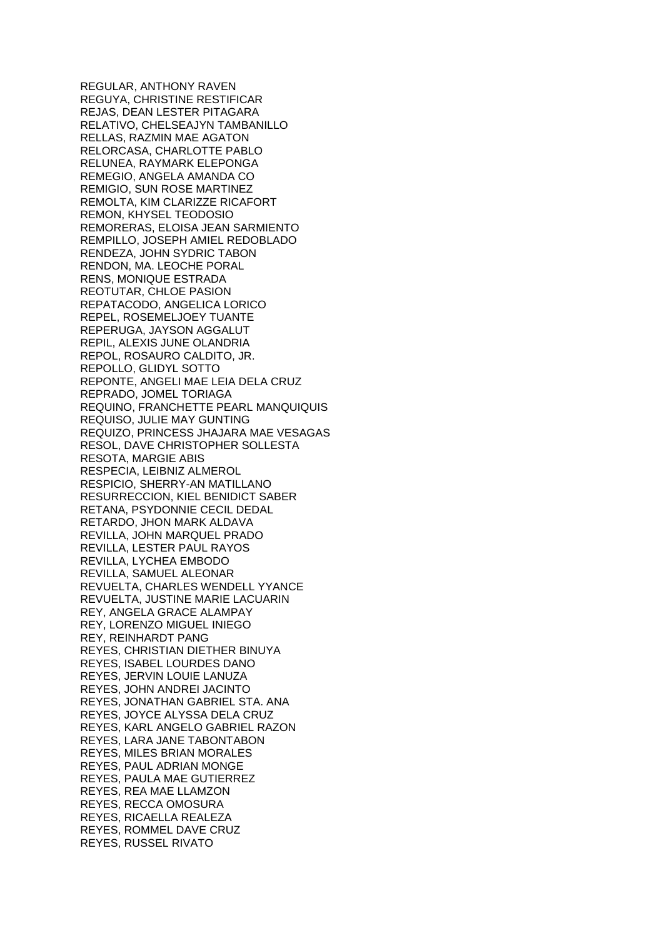REGULAR, ANTHONY RAVEN REGUYA, CHRISTINE RESTIFICAR REJAS, DEAN LESTER PITAGARA RELATIVO, CHELSEAJYN TAMBANILLO RELLAS, RAZMIN MAE AGATON RELORCASA, CHARLOTTE PABLO RELUNEA, RAYMARK ELEPONGA REMEGIO, ANGELA AMANDA CO REMIGIO, SUN ROSE MARTINEZ REMOLTA, KIM CLARIZZE RICAFORT REMON, KHYSEL TEODOSIO REMORERAS, ELOISA JEAN SARMIENTO REMPILLO, JOSEPH AMIEL REDOBLADO RENDEZA, JOHN SYDRIC TABON RENDON, MA. LEOCHE PORAL RENS, MONIQUE ESTRADA REOTUTAR, CHLOE PASION REPATACODO, ANGELICA LORICO REPEL, ROSEMELJOEY TUANTE REPERUGA, JAYSON AGGALUT REPIL, ALEXIS JUNE OLANDRIA REPOL, ROSAURO CALDITO, JR. REPOLLO, GLIDYL SOTTO REPONTE, ANGELI MAE LEIA DELA CRUZ REPRADO, JOMEL TORIAGA REQUINO, FRANCHETTE PEARL MANQUIQUIS REQUISO, JULIE MAY GUNTING REQUIZO, PRINCESS JHAJARA MAE VESAGAS RESOL, DAVE CHRISTOPHER SOLLESTA RESOTA, MARGIE ABIS RESPECIA, LEIBNIZ ALMEROL RESPICIO, SHERRY-AN MATILLANO RESURRECCION, KIEL BENIDICT SABER RETANA, PSYDONNIE CECIL DEDAL RETARDO, JHON MARK ALDAVA REVILLA, JOHN MARQUEL PRADO REVILLA, LESTER PAUL RAYOS REVILLA, LYCHEA EMBODO REVILLA, SAMUEL ALEONAR REVUELTA, CHARLES WENDELL YYANCE REVUELTA, JUSTINE MARIE LACUARIN REY, ANGELA GRACE ALAMPAY REY, LORENZO MIGUEL INIEGO REY, REINHARDT PANG REYES, CHRISTIAN DIETHER BINUYA REYES, ISABEL LOURDES DANO REYES, JERVIN LOUIE LANUZA REYES, JOHN ANDREI JACINTO REYES, JONATHAN GABRIEL STA. ANA REYES, JOYCE ALYSSA DELA CRUZ REYES, KARL ANGELO GABRIEL RAZON REYES, LARA JANE TABONTABON REYES, MILES BRIAN MORALES REYES, PAUL ADRIAN MONGE REYES, PAULA MAE GUTIERREZ REYES, REA MAE LLAMZON REYES, RECCA OMOSURA REYES, RICAELLA REALEZA REYES, ROMMEL DAVE CRUZ REYES, RUSSEL RIVATO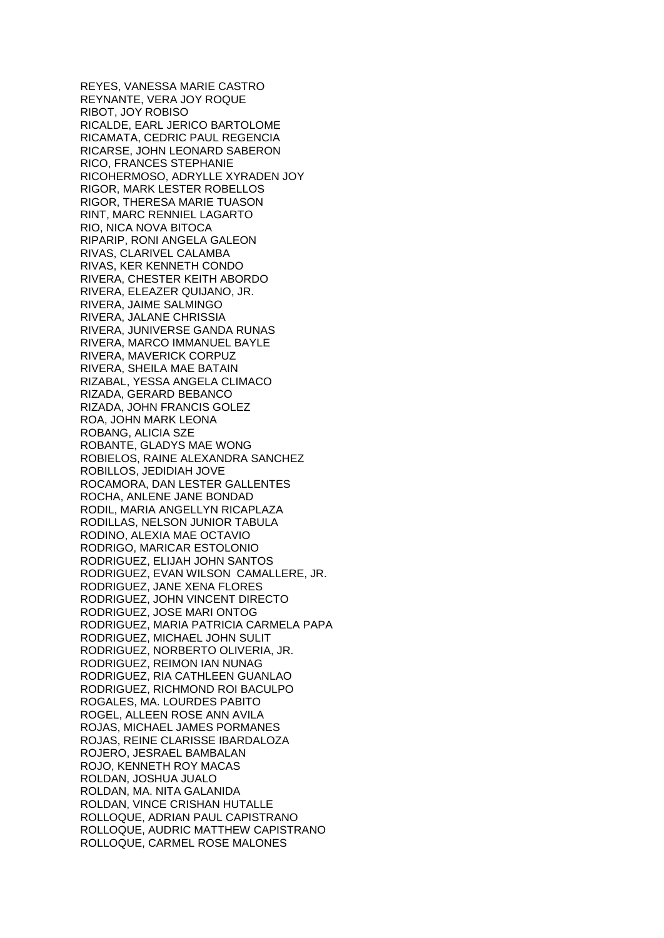REYES, VANESSA MARIE CASTRO REYNANTE, VERA JOY ROQUE RIBOT, JOY ROBISO RICALDE, EARL JERICO BARTOLOME RICAMATA, CEDRIC PAUL REGENCIA RICARSE, JOHN LEONARD SABERON RICO, FRANCES STEPHANIE RICOHERMOSO, ADRYLLE XYRADEN JOY RIGOR, MARK LESTER ROBELLOS RIGOR, THERESA MARIE TUASON RINT, MARC RENNIEL LAGARTO RIO, NICA NOVA BITOCA RIPARIP, RONI ANGELA GALEON RIVAS, CLARIVEL CALAMBA RIVAS, KER KENNETH CONDO RIVERA, CHESTER KEITH ABORDO RIVERA, ELEAZER QUIJANO, JR. RIVERA, JAIME SALMINGO RIVERA, JALANE CHRISSIA RIVERA, JUNIVERSE GANDA RUNAS RIVERA, MARCO IMMANUEL BAYLE RIVERA, MAVERICK CORPUZ RIVERA, SHEILA MAE BATAIN RIZABAL, YESSA ANGELA CLIMACO RIZADA, GERARD BEBANCO RIZADA, JOHN FRANCIS GOLEZ ROA, JOHN MARK LEONA ROBANG, ALICIA SZE ROBANTE, GLADYS MAE WONG ROBIELOS, RAINE ALEXANDRA SANCHEZ ROBILLOS, JEDIDIAH JOVE ROCAMORA, DAN LESTER GALLENTES ROCHA, ANLENE JANE BONDAD RODIL, MARIA ANGELLYN RICAPLAZA RODILLAS, NELSON JUNIOR TABULA RODINO, ALEXIA MAE OCTAVIO RODRIGO, MARICAR ESTOLONIO RODRIGUEZ, ELIJAH JOHN SANTOS RODRIGUEZ, EVAN WILSON CAMALLERE, JR. RODRIGUEZ, JANE XENA FLORES RODRIGUEZ, JOHN VINCENT DIRECTO RODRIGUEZ, JOSE MARI ONTOG RODRIGUEZ, MARIA PATRICIA CARMELA PAPA RODRIGUEZ, MICHAEL JOHN SULIT RODRIGUEZ, NORBERTO OLIVERIA, JR. RODRIGUEZ, REIMON IAN NUNAG RODRIGUEZ, RIA CATHLEEN GUANLAO RODRIGUEZ, RICHMOND ROI BACULPO ROGALES, MA. LOURDES PABITO ROGEL, ALLEEN ROSE ANN AVILA ROJAS, MICHAEL JAMES PORMANES ROJAS, REINE CLARISSE IBARDALOZA ROJERO, JESRAEL BAMBALAN ROJO, KENNETH ROY MACAS ROLDAN, JOSHUA JUALO ROLDAN, MA. NITA GALANIDA ROLDAN, VINCE CRISHAN HUTALLE ROLLOQUE, ADRIAN PAUL CAPISTRANO ROLLOQUE, AUDRIC MATTHEW CAPISTRANO ROLLOQUE, CARMEL ROSE MALONES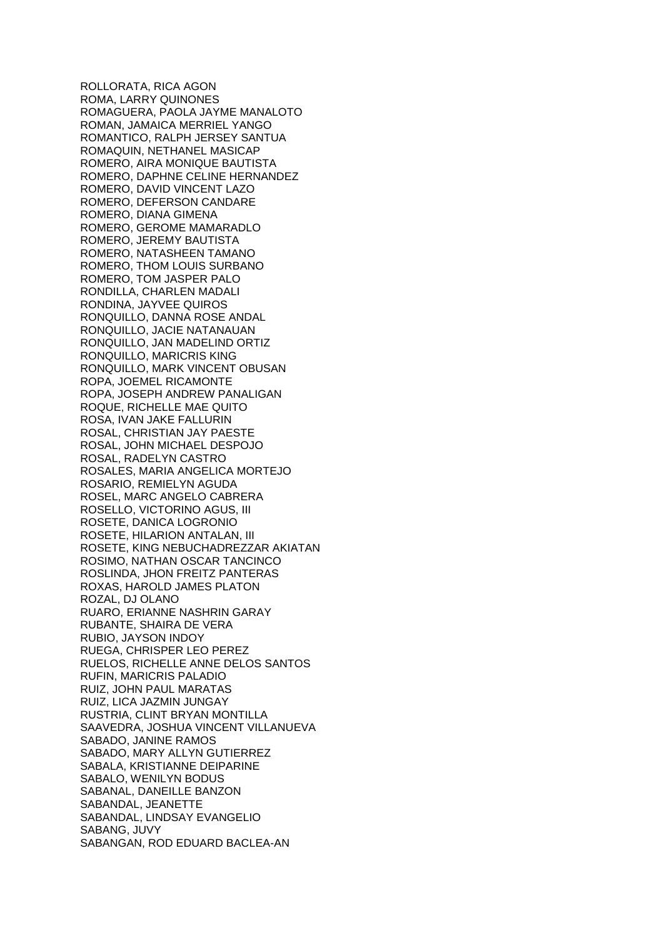ROLLORATA, RICA AGON ROMA, LARRY QUINONES ROMAGUERA, PAOLA JAYME MANALOTO ROMAN, JAMAICA MERRIEL YANGO ROMANTICO, RALPH JERSEY SANTUA ROMAQUIN, NETHANEL MASICAP ROMERO, AIRA MONIQUE BAUTISTA ROMERO, DAPHNE CELINE HERNANDEZ ROMERO, DAVID VINCENT LAZO ROMERO, DEFERSON CANDARE ROMERO, DIANA GIMENA ROMERO, GEROME MAMARADLO ROMERO, JEREMY BAUTISTA ROMERO, NATASHEEN TAMANO ROMERO, THOM LOUIS SURBANO ROMERO, TOM JASPER PALO RONDILLA, CHARLEN MADALI RONDINA, JAYVEE QUIROS RONQUILLO, DANNA ROSE ANDAL RONQUILLO, JACIE NATANAUAN RONQUILLO, JAN MADELIND ORTIZ RONQUILLO, MARICRIS KING RONQUILLO, MARK VINCENT OBUSAN ROPA, JOEMEL RICAMONTE ROPA, JOSEPH ANDREW PANALIGAN ROQUE, RICHELLE MAE QUITO ROSA, IVAN JAKE FALLURIN ROSAL, CHRISTIAN JAY PAESTE ROSAL, JOHN MICHAEL DESPOJO ROSAL, RADELYN CASTRO ROSALES, MARIA ANGELICA MORTEJO ROSARIO, REMIELYN AGUDA ROSEL, MARC ANGELO CABRERA ROSELLO, VICTORINO AGUS, III ROSETE, DANICA LOGRONIO ROSETE, HILARION ANTALAN, III ROSETE, KING NEBUCHADREZZAR AKIATAN ROSIMO, NATHAN OSCAR TANCINCO ROSLINDA, JHON FREITZ PANTERAS ROXAS, HAROLD JAMES PLATON ROZAL, DJ OLANO RUARO, ERIANNE NASHRIN GARAY RUBANTE, SHAIRA DE VERA RUBIO, JAYSON INDOY RUEGA, CHRISPER LEO PEREZ RUELOS, RICHELLE ANNE DELOS SANTOS RUFIN, MARICRIS PALADIO RUIZ, JOHN PAUL MARATAS RUIZ, LICA JAZMIN JUNGAY RUSTRIA, CLINT BRYAN MONTILLA SAAVEDRA, JOSHUA VINCENT VILLANUEVA SABADO, JANINE RAMOS SABADO, MARY ALLYN GUTIERREZ SABALA, KRISTIANNE DEIPARINE SABALO, WENILYN BODUS SABANAL, DANEILLE BANZON SABANDAL, JEANETTE SABANDAL, LINDSAY EVANGELIO SABANG, JUVY SABANGAN, ROD EDUARD BACLEA-AN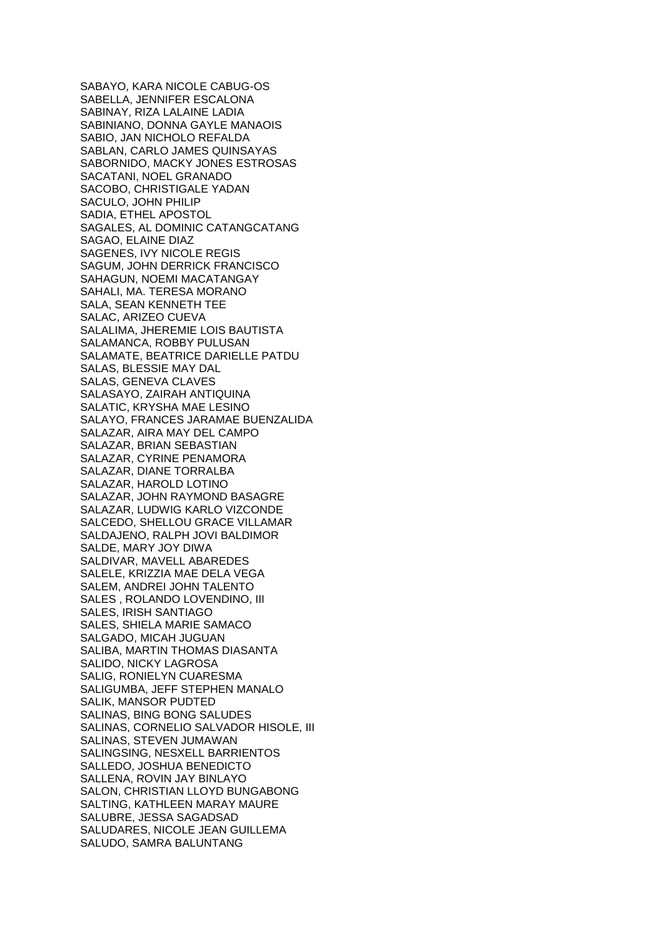SABAYO, KARA NICOLE CABUG-OS SABELLA, JENNIFER ESCALONA SABINAY, RIZA LALAINE LADIA SABINIANO, DONNA GAYLE MANAOIS SABIO, JAN NICHOLO REFALDA SABLAN, CARLO JAMES QUINSAYAS SABORNIDO, MACKY JONES ESTROSAS SACATANI, NOEL GRANADO SACOBO, CHRISTIGALE YADAN SACULO, JOHN PHILIP SADIA, ETHEL APOSTOL SAGALES, AL DOMINIC CATANGCATANG SAGAO, ELAINE DIAZ SAGENES, IVY NICOLE REGIS SAGUM, JOHN DERRICK FRANCISCO SAHAGUN, NOEMI MACATANGAY SAHALI, MA. TERESA MORANO SALA, SEAN KENNETH TEE SALAC, ARIZEO CUEVA SALALIMA, JHEREMIE LOIS BAUTISTA SALAMANCA, ROBBY PULUSAN SALAMATE, BEATRICE DARIELLE PATDU SALAS, BLESSIE MAY DAL SALAS, GENEVA CLAVES SALASAYO, ZAIRAH ANTIQUINA SALATIC, KRYSHA MAE LESINO SALAYO, FRANCES JARAMAE BUENZALIDA SALAZAR, AIRA MAY DEL CAMPO SALAZAR, BRIAN SEBASTIAN SALAZAR, CYRINE PENAMORA SALAZAR, DIANE TORRALBA SALAZAR, HAROLD LOTINO SALAZAR, JOHN RAYMOND BASAGRE SALAZAR, LUDWIG KARLO VIZCONDE SALCEDO, SHELLOU GRACE VILLAMAR SALDAJENO, RALPH JOVI BALDIMOR SALDE, MARY JOY DIWA SALDIVAR, MAVELL ABAREDES SALELE, KRIZZIA MAE DELA VEGA SALEM, ANDREI JOHN TALENTO SALES , ROLANDO LOVENDINO, III SALES, IRISH SANTIAGO SALES, SHIELA MARIE SAMACO SALGADO, MICAH JUGUAN SALIBA, MARTIN THOMAS DIASANTA SALIDO, NICKY LAGROSA SALIG, RONIELYN CUARESMA SALIGUMBA, JEFF STEPHEN MANALO SALIK, MANSOR PUDTED SALINAS, BING BONG SALUDES SALINAS, CORNELIO SALVADOR HISOLE, III SALINAS, STEVEN JUMAWAN SALINGSING, NESXELL BARRIENTOS SALLEDO, JOSHUA BENEDICTO SALLENA, ROVIN JAY BINLAYO SALON, CHRISTIAN LLOYD BUNGABONG SALTING, KATHLEEN MARAY MAURE SALUBRE, JESSA SAGADSAD SALUDARES, NICOLE JEAN GUILLEMA SALUDO, SAMRA BALUNTANG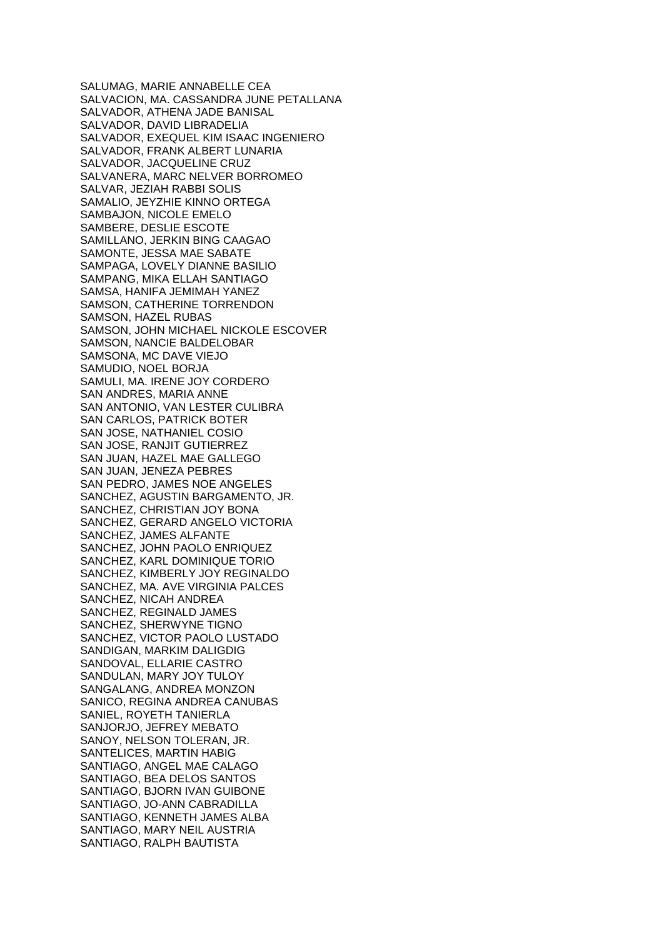SALUMAG, MARIE ANNABELLE CEA SALVACION, MA. CASSANDRA JUNE PETALLANA SALVADOR, ATHENA JADE BANISAL SALVADOR, DAVID LIBRADELIA SALVADOR, EXEQUEL KIM ISAAC INGENIERO SALVADOR, FRANK ALBERT LUNARIA SALVADOR, JACQUELINE CRUZ SALVANERA, MARC NELVER BORROMEO SALVAR, JEZIAH RABBI SOLIS SAMALIO, JEYZHIE KINNO ORTEGA SAMBAJON, NICOLE EMELO SAMBERE, DESLIE ESCOTE SAMILLANO, JERKIN BING CAAGAO SAMONTE, JESSA MAE SABATE SAMPAGA, LOVELY DIANNE BASILIO SAMPANG, MIKA ELLAH SANTIAGO SAMSA, HANIFA JEMIMAH YANEZ SAMSON, CATHERINE TORRENDON SAMSON, HAZEL RUBAS SAMSON, JOHN MICHAEL NICKOLE ESCOVER SAMSON, NANCIE BALDELOBAR SAMSONA, MC DAVE VIEJO SAMUDIO, NOEL BORJA SAMULI, MA. IRENE JOY CORDERO SAN ANDRES, MARIA ANNE SAN ANTONIO, VAN LESTER CULIBRA SAN CARLOS, PATRICK BOTER SAN JOSE, NATHANIEL COSIO SAN JOSE, RANJIT GUTIERREZ SAN JUAN, HAZEL MAE GALLEGO SAN JUAN, JENEZA PEBRES SAN PEDRO, JAMES NOE ANGELES SANCHEZ, AGUSTIN BARGAMENTO, JR. SANCHEZ, CHRISTIAN JOY BONA SANCHEZ, GERARD ANGELO VICTORIA SANCHEZ, JAMES ALFANTE SANCHEZ, JOHN PAOLO ENRIQUEZ SANCHEZ, KARL DOMINIQUE TORIO SANCHEZ, KIMBERLY JOY REGINALDO SANCHEZ, MA. AVE VIRGINIA PALCES SANCHEZ, NICAH ANDREA SANCHEZ, REGINALD JAMES SANCHEZ, SHERWYNE TIGNO SANCHEZ, VICTOR PAOLO LUSTADO SANDIGAN, MARKIM DALIGDIG SANDOVAL, ELLARIE CASTRO SANDULAN, MARY JOY TULOY SANGALANG, ANDREA MONZON SANICO, REGINA ANDREA CANUBAS SANIEL, ROYETH TANIERLA SANJORJO, JEFREY MEBATO SANOY, NELSON TOLERAN, JR. SANTELICES, MARTIN HABIG SANTIAGO, ANGEL MAE CALAGO SANTIAGO, BEA DELOS SANTOS SANTIAGO, BJORN IVAN GUIBONE SANTIAGO, JO-ANN CABRADILLA SANTIAGO, KENNETH JAMES ALBA SANTIAGO, MARY NEIL AUSTRIA SANTIAGO, RALPH BAUTISTA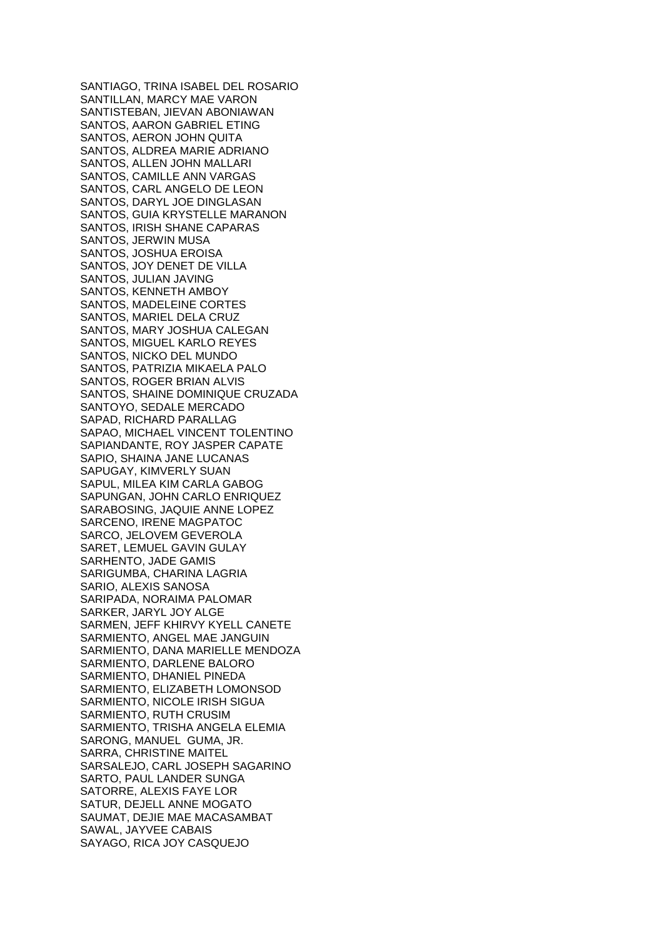SANTIAGO, TRINA ISABEL DEL ROSARIO SANTILLAN, MARCY MAE VARON SANTISTEBAN, JIEVAN ABONIAWAN SANTOS, AARON GABRIEL ETING SANTOS, AERON JOHN QUITA SANTOS, ALDREA MARIE ADRIANO SANTOS, ALLEN JOHN MALLARI SANTOS, CAMILLE ANN VARGAS SANTOS, CARL ANGELO DE LEON SANTOS, DARYL JOE DINGLASAN SANTOS, GUIA KRYSTELLE MARANON SANTOS, IRISH SHANE CAPARAS SANTOS, JERWIN MUSA SANTOS, JOSHUA EROISA SANTOS, JOY DENET DE VILLA SANTOS, JULIAN JAVING SANTOS, KENNETH AMBOY SANTOS, MADELEINE CORTES SANTOS, MARIEL DELA CRUZ SANTOS, MARY JOSHUA CALEGAN SANTOS, MIGUEL KARLO REYES SANTOS, NICKO DEL MUNDO SANTOS, PATRIZIA MIKAELA PALO SANTOS, ROGER BRIAN ALVIS SANTOS, SHAINE DOMINIQUE CRUZADA SANTOYO, SEDALE MERCADO SAPAD, RICHARD PARALLAG SAPAO, MICHAEL VINCENT TOLENTINO SAPIANDANTE, ROY JASPER CAPATE SAPIO, SHAINA JANE LUCANAS SAPUGAY, KIMVERLY SUAN SAPUL, MILEA KIM CARLA GABOG SAPUNGAN, JOHN CARLO ENRIQUEZ SARABOSING, JAQUIE ANNE LOPEZ SARCENO, IRENE MAGPATOC SARCO, JELOVEM GEVEROLA SARET, LEMUEL GAVIN GULAY SARHENTO, JADE GAMIS SARIGUMBA, CHARINA LAGRIA SARIO, ALEXIS SANOSA SARIPADA, NORAIMA PALOMAR SARKER, JARYL JOY ALGE SARMEN, JEFF KHIRVY KYELL CANETE SARMIENTO, ANGEL MAE JANGUIN SARMIENTO, DANA MARIELLE MENDOZA SARMIENTO, DARLENE BALORO SARMIENTO, DHANIEL PINEDA SARMIENTO, ELIZABETH LOMONSOD SARMIENTO, NICOLE IRISH SIGUA SARMIENTO, RUTH CRUSIM SARMIENTO, TRISHA ANGELA ELEMIA SARONG, MANUEL GUMA, JR. SARRA, CHRISTINE MAITEL SARSALEJO, CARL JOSEPH SAGARINO SARTO, PAUL LANDER SUNGA SATORRE, ALEXIS FAYE LOR SATUR, DEJELL ANNE MOGATO SAUMAT, DEJIE MAE MACASAMBAT SAWAL, JAYVEE CABAIS SAYAGO, RICA JOY CASQUEJO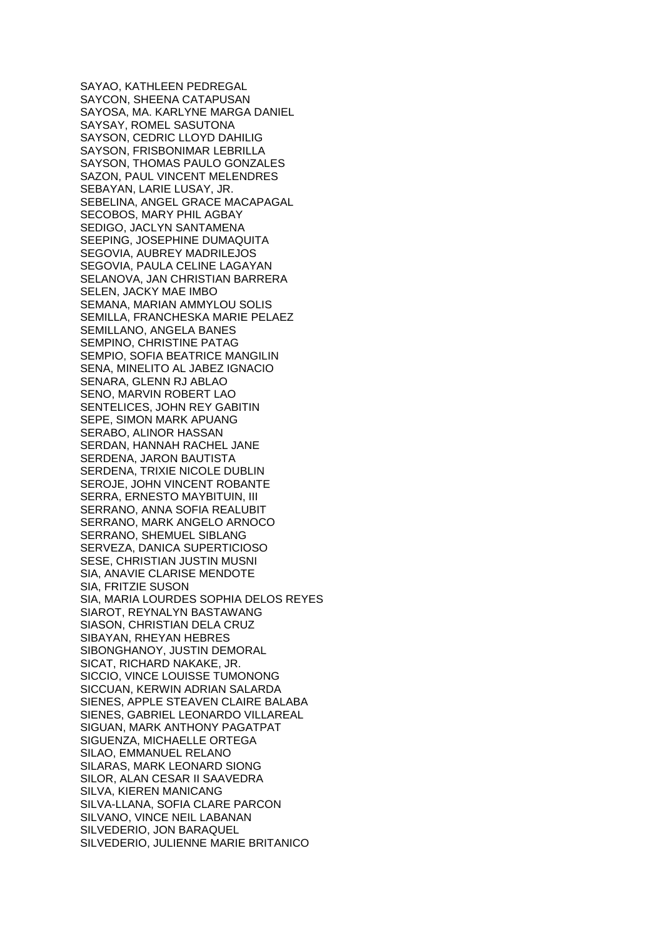SAYAO, KATHLEEN PEDREGAL SAYCON, SHEENA CATAPUSAN SAYOSA, MA. KARLYNE MARGA DANIEL SAYSAY, ROMEL SASUTONA SAYSON, CEDRIC LLOYD DAHILIG SAYSON, FRISBONIMAR LEBRILLA SAYSON, THOMAS PAULO GONZALES SAZON, PAUL VINCENT MELENDRES SEBAYAN, LARIE LUSAY, JR. SEBELINA, ANGEL GRACE MACAPAGAL SECOBOS, MARY PHIL AGBAY SEDIGO, JACLYN SANTAMENA SEEPING, JOSEPHINE DUMAQUITA SEGOVIA, AUBREY MADRILEJOS SEGOVIA, PAULA CELINE LAGAYAN SELANOVA, JAN CHRISTIAN BARRERA SELEN, JACKY MAE IMBO SEMANA, MARIAN AMMYLOU SOLIS SEMILLA, FRANCHESKA MARIE PELAEZ SEMILLANO, ANGELA BANES SEMPINO, CHRISTINE PATAG SEMPIO, SOFIA BEATRICE MANGILIN SENA, MINELITO AL JABEZ IGNACIO SENARA, GLENN RJ ABLAO SENO, MARVIN ROBERT LAO SENTELICES, JOHN REY GABITIN SEPE, SIMON MARK APUANG SERABO, ALINOR HASSAN SERDAN, HANNAH RACHEL JANE SERDENA, JARON BAUTISTA SERDENA, TRIXIE NICOLE DUBLIN SEROJE, JOHN VINCENT ROBANTE SERRA, ERNESTO MAYBITUIN, III SERRANO, ANNA SOFIA REALUBIT SERRANO, MARK ANGELO ARNOCO SERRANO, SHEMUEL SIBLANG SERVEZA, DANICA SUPERTICIOSO SESE, CHRISTIAN JUSTIN MUSNI SIA, ANAVIE CLARISE MENDOTE SIA, FRITZIE SUSON SIA, MARIA LOURDES SOPHIA DELOS REYES SIAROT, REYNALYN BASTAWANG SIASON, CHRISTIAN DELA CRUZ SIBAYAN, RHEYAN HEBRES SIBONGHANOY, JUSTIN DEMORAL SICAT, RICHARD NAKAKE, JR. SICCIO, VINCE LOUISSE TUMONONG SICCUAN, KERWIN ADRIAN SALARDA SIENES, APPLE STEAVEN CLAIRE BALABA SIENES, GABRIEL LEONARDO VILLAREAL SIGUAN, MARK ANTHONY PAGATPAT SIGUENZA, MICHAELLE ORTEGA SILAO, EMMANUEL RELANO SILARAS, MARK LEONARD SIONG SILOR, ALAN CESAR II SAAVEDRA SILVA, KIEREN MANICANG SILVA-LLANA, SOFIA CLARE PARCON SILVANO, VINCE NEIL LABANAN SILVEDERIO, JON BARAQUEL SILVEDERIO, JULIENNE MARIE BRITANICO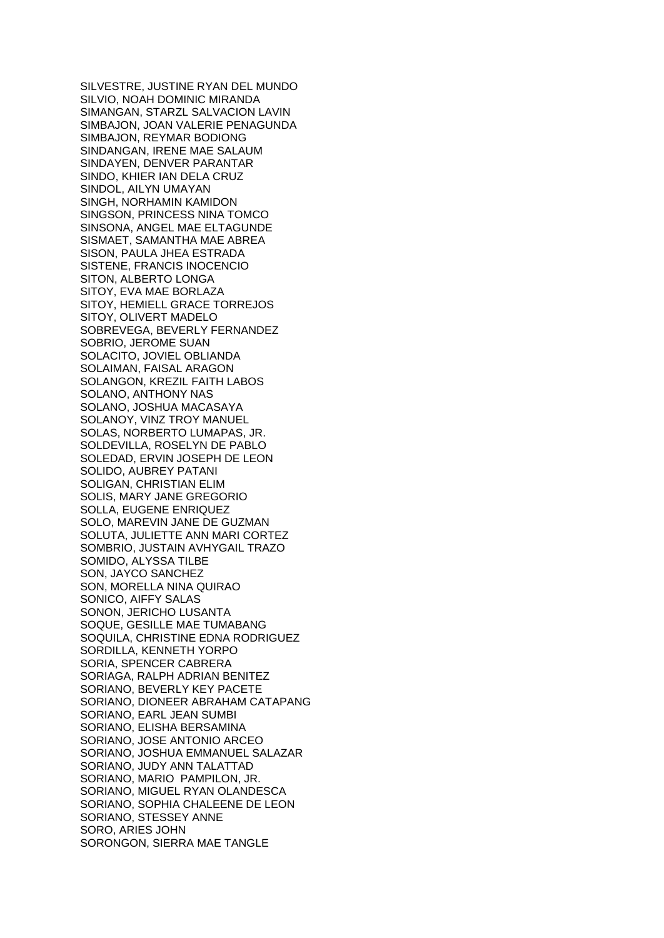SILVESTRE, JUSTINE RYAN DEL MUNDO SILVIO, NOAH DOMINIC MIRANDA SIMANGAN, STARZL SALVACION LAVIN SIMBAJON, JOAN VALERIE PENAGUNDA SIMBAJON, REYMAR BODIONG SINDANGAN, IRENE MAE SALAUM SINDAYEN, DENVER PARANTAR SINDO, KHIER IAN DELA CRUZ SINDOL, AILYN UMAYAN SINGH, NORHAMIN KAMIDON SINGSON, PRINCESS NINA TOMCO SINSONA, ANGEL MAE ELTAGUNDE SISMAET, SAMANTHA MAE ABREA SISON, PAULA JHEA ESTRADA SISTENE, FRANCIS INOCENCIO SITON, ALBERTO LONGA SITOY, EVA MAE BORLAZA SITOY, HEMIELL GRACE TORREJOS SITOY, OLIVERT MADELO SOBREVEGA, BEVERLY FERNANDEZ SOBRIO, JEROME SUAN SOLACITO, JOVIEL OBLIANDA SOLAIMAN, FAISAL ARAGON SOLANGON, KREZIL FAITH LABOS SOLANO, ANTHONY NAS SOLANO, JOSHUA MACASAYA SOLANOY, VINZ TROY MANUEL SOLAS, NORBERTO LUMAPAS, JR. SOLDEVILLA, ROSELYN DE PABLO SOLEDAD, ERVIN JOSEPH DE LEON SOLIDO, AUBREY PATANI SOLIGAN, CHRISTIAN ELIM SOLIS, MARY JANE GREGORIO SOLLA, EUGENE ENRIQUEZ SOLO, MAREVIN JANE DE GUZMAN SOLUTA, JULIETTE ANN MARI CORTEZ SOMBRIO, JUSTAIN AVHYGAIL TRAZO SOMIDO, ALYSSA TILBE SON, JAYCO SANCHEZ SON, MORELLA NINA QUIRAO SONICO, AIFFY SALAS SONON, JERICHO LUSANTA SOQUE, GESILLE MAE TUMABANG SOQUILA, CHRISTINE EDNA RODRIGUEZ SORDILLA, KENNETH YORPO SORIA, SPENCER CABRERA SORIAGA, RALPH ADRIAN BENITEZ SORIANO, BEVERLY KEY PACETE SORIANO, DIONEER ABRAHAM CATAPANG SORIANO, EARL JEAN SUMBI SORIANO, ELISHA BERSAMINA SORIANO, JOSE ANTONIO ARCEO SORIANO, JOSHUA EMMANUEL SALAZAR SORIANO, JUDY ANN TALATTAD SORIANO, MARIO PAMPILON, JR. SORIANO, MIGUEL RYAN OLANDESCA SORIANO, SOPHIA CHALEENE DE LEON SORIANO, STESSEY ANNE SORO, ARIES JOHN SORONGON, SIERRA MAE TANGLE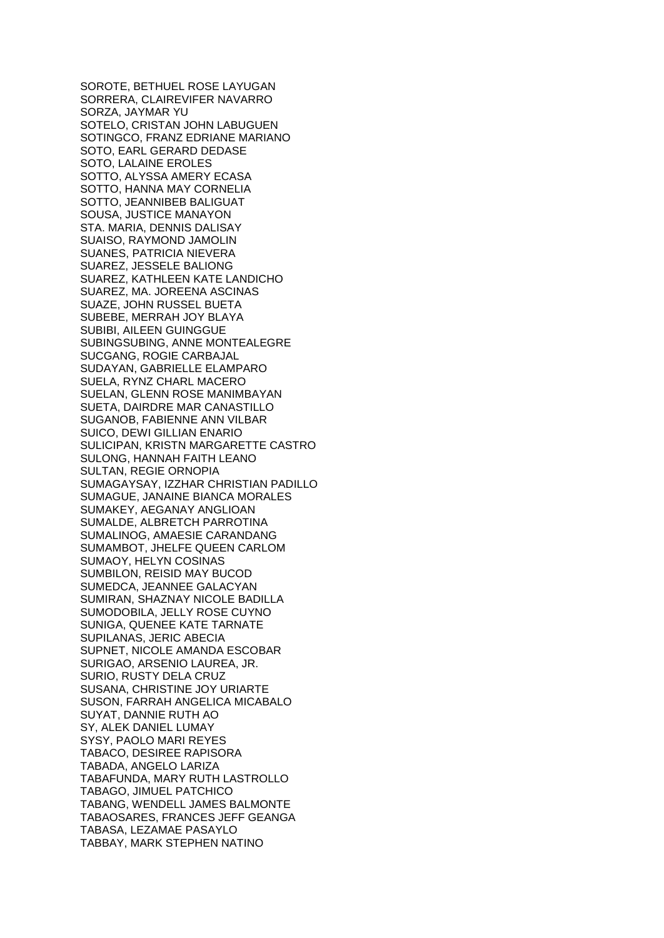SOROTE, BETHUEL ROSE LAYUGAN SORRERA, CLAIREVIFER NAVARRO SORZA, JAYMAR YU SOTELO, CRISTAN JOHN LABUGUEN SOTINGCO, FRANZ EDRIANE MARIANO SOTO, EARL GERARD DEDASE SOTO, LALAINE EROLES SOTTO, ALYSSA AMERY ECASA SOTTO, HANNA MAY CORNELIA SOTTO, JEANNIBEB BALIGUAT SOUSA, JUSTICE MANAYON STA. MARIA, DENNIS DALISAY SUAISO, RAYMOND JAMOLIN SUANES, PATRICIA NIEVERA SUAREZ, JESSELE BALIONG SUAREZ, KATHLEEN KATE LANDICHO SUAREZ, MA. JOREENA ASCINAS SUAZE, JOHN RUSSEL BUETA SUBEBE, MERRAH JOY BLAYA SUBIBI, AILEEN GUINGGUE SUBINGSUBING, ANNE MONTEALEGRE SUCGANG, ROGIE CARBAJAL SUDAYAN, GABRIELLE ELAMPARO SUELA, RYNZ CHARL MACERO SUELAN, GLENN ROSE MANIMBAYAN SUETA, DAIRDRE MAR CANASTILLO SUGANOB, FABIENNE ANN VILBAR SUICO, DEWI GILLIAN ENARIO SULICIPAN, KRISTN MARGARETTE CASTRO SULONG, HANNAH FAITH LEANO SULTAN, REGIE ORNOPIA SUMAGAYSAY, IZZHAR CHRISTIAN PADILLO SUMAGUE, JANAINE BIANCA MORALES SUMAKEY, AEGANAY ANGLIOAN SUMALDE, ALBRETCH PARROTINA SUMALINOG, AMAESIE CARANDANG SUMAMBOT, JHELFE QUEEN CARLOM SUMAOY, HELYN COSINAS SUMBILON, REISID MAY BUCOD SUMEDCA, JEANNEE GALACYAN SUMIRAN, SHAZNAY NICOLE BADILLA SUMODOBILA, JELLY ROSE CUYNO SUNIGA, QUENEE KATE TARNATE SUPILANAS, JERIC ABECIA SUPNET, NICOLE AMANDA ESCOBAR SURIGAO, ARSENIO LAUREA, JR. SURIO, RUSTY DELA CRUZ SUSANA, CHRISTINE JOY URIARTE SUSON, FARRAH ANGELICA MICABALO SUYAT, DANNIE RUTH AO SY, ALEK DANIEL LUMAY SYSY, PAOLO MARI REYES TABACO, DESIREE RAPISORA TABADA, ANGELO LARIZA TABAFUNDA, MARY RUTH LASTROLLO TABAGO, JIMUEL PATCHICO TABANG, WENDELL JAMES BALMONTE TABAOSARES, FRANCES JEFF GEANGA TABASA, LEZAMAE PASAYLO TABBAY, MARK STEPHEN NATINO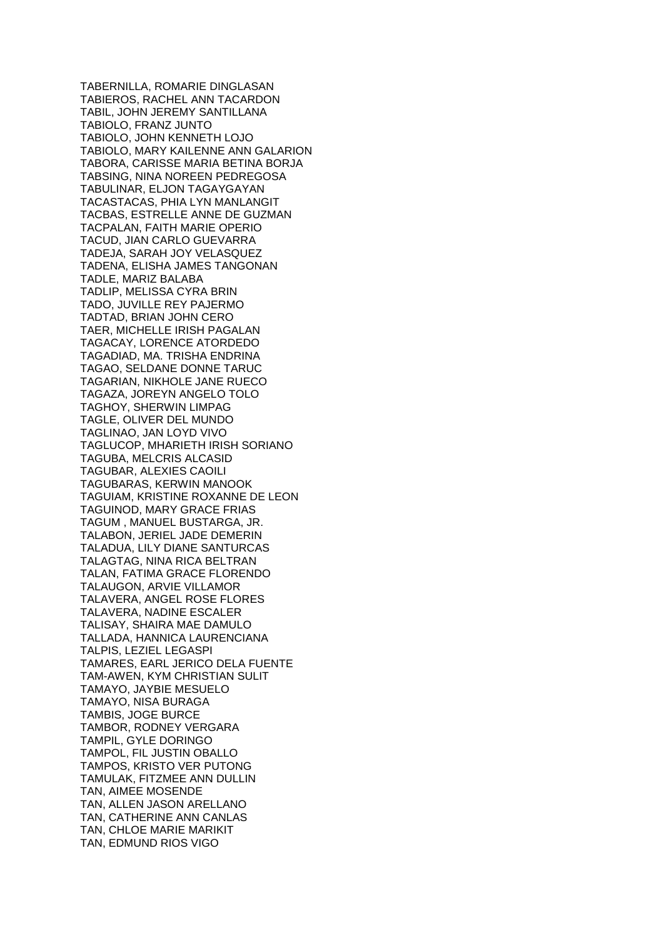TABERNILLA, ROMARIE DINGLASAN TABIEROS, RACHEL ANN TACARDON TABIL, JOHN JEREMY SANTILLANA TABIOLO, FRANZ JUNTO TABIOLO, JOHN KENNETH LOJO TABIOLO, MARY KAILENNE ANN GALARION TABORA, CARISSE MARIA BETINA BORJA TABSING, NINA NOREEN PEDREGOSA TABULINAR, ELJON TAGAYGAYAN TACASTACAS, PHIA LYN MANLANGIT TACBAS, ESTRELLE ANNE DE GUZMAN TACPALAN, FAITH MARIE OPERIO TACUD, JIAN CARLO GUEVARRA TADEJA, SARAH JOY VELASQUEZ TADENA, ELISHA JAMES TANGONAN TADLE, MARIZ BALABA TADLIP, MELISSA CYRA BRIN TADO, JUVILLE REY PAJERMO TADTAD, BRIAN JOHN CERO TAER, MICHELLE IRISH PAGALAN TAGACAY, LORENCE ATORDEDO TAGADIAD, MA. TRISHA ENDRINA TAGAO, SELDANE DONNE TARUC TAGARIAN, NIKHOLE JANE RUECO TAGAZA, JOREYN ANGELO TOLO TAGHOY, SHERWIN LIMPAG TAGLE, OLIVER DEL MUNDO TAGLINAO, JAN LOYD VIVO TAGLUCOP, MHARIETH IRISH SORIANO TAGUBA, MELCRIS ALCASID TAGUBAR, ALEXIES CAOILI TAGUBARAS, KERWIN MANOOK TAGUIAM, KRISTINE ROXANNE DE LEON TAGUINOD, MARY GRACE FRIAS TAGUM , MANUEL BUSTARGA, JR. TALABON, JERIEL JADE DEMERIN TALADUA, LILY DIANE SANTURCAS TALAGTAG, NINA RICA BELTRAN TALAN, FATIMA GRACE FLORENDO TALAUGON, ARVIE VILLAMOR TALAVERA, ANGEL ROSE FLORES TALAVERA, NADINE ESCALER TALISAY, SHAIRA MAE DAMULO TALLADA, HANNICA LAURENCIANA TALPIS, LEZIEL LEGASPI TAMARES, EARL JERICO DELA FUENTE TAM-AWEN, KYM CHRISTIAN SULIT TAMAYO, JAYBIE MESUELO TAMAYO, NISA BURAGA TAMBIS, JOGE BURCE TAMBOR, RODNEY VERGARA TAMPIL, GYLE DORINGO TAMPOL, FIL JUSTIN OBALLO TAMPOS, KRISTO VER PUTONG TAMULAK, FITZMEE ANN DULLIN TAN, AIMEE MOSENDE TAN, ALLEN JASON ARELLANO TAN, CATHERINE ANN CANLAS TAN, CHLOE MARIE MARIKIT TAN, EDMUND RIOS VIGO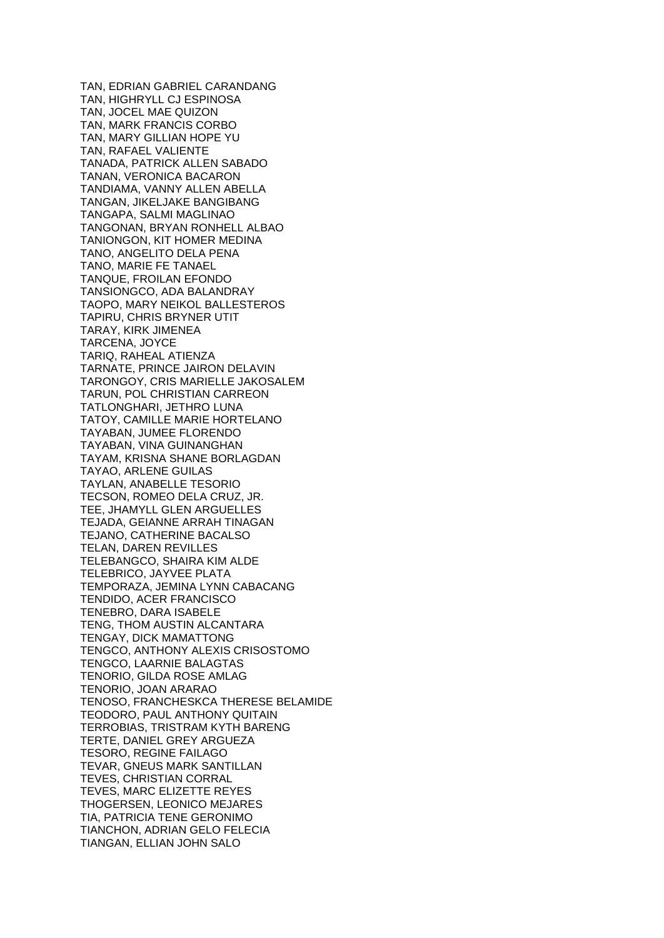TAN, EDRIAN GABRIEL CARANDANG TAN, HIGHRYLL CJ ESPINOSA TAN, JOCEL MAE QUIZON TAN, MARK FRANCIS CORBO TAN, MARY GILLIAN HOPE YU TAN, RAFAEL VALIENTE TANADA, PATRICK ALLEN SABADO TANAN, VERONICA BACARON TANDIAMA, VANNY ALLEN ABELLA TANGAN, JIKELJAKE BANGIBANG TANGAPA, SALMI MAGLINAO TANGONAN, BRYAN RONHELL ALBAO TANIONGON, KIT HOMER MEDINA TANO, ANGELITO DELA PENA TANO, MARIE FE TANAEL TANQUE, FROILAN EFONDO TANSIONGCO, ADA BALANDRAY TAOPO, MARY NEIKOL BALLESTEROS TAPIRU, CHRIS BRYNER UTIT TARAY, KIRK JIMENEA TARCENA, JOYCE TARIQ, RAHEAL ATIENZA TARNATE, PRINCE JAIRON DELAVIN TARONGOY, CRIS MARIELLE JAKOSALEM TARUN, POL CHRISTIAN CARREON TATLONGHARI, JETHRO LUNA TATOY, CAMILLE MARIE HORTELANO TAYABAN, JUMEE FLORENDO TAYABAN, VINA GUINANGHAN TAYAM, KRISNA SHANE BORLAGDAN TAYAO, ARLENE GUILAS TAYLAN, ANABELLE TESORIO TECSON, ROMEO DELA CRUZ, JR. TEE, JHAMYLL GLEN ARGUELLES TEJADA, GEIANNE ARRAH TINAGAN TEJANO, CATHERINE BACALSO TELAN, DAREN REVILLES TELEBANGCO, SHAIRA KIM ALDE TELEBRICO, JAYVEE PLATA TEMPORAZA, JEMINA LYNN CABACANG TENDIDO, ACER FRANCISCO TENEBRO, DARA ISABELE TENG, THOM AUSTIN ALCANTARA TENGAY, DICK MAMATTONG TENGCO, ANTHONY ALEXIS CRISOSTOMO TENGCO, LAARNIE BALAGTAS TENORIO, GILDA ROSE AMLAG TENORIO, JOAN ARARAO TENOSO, FRANCHESKCA THERESE BELAMIDE TEODORO, PAUL ANTHONY QUITAIN TERROBIAS, TRISTRAM KYTH BARENG TERTE, DANIEL GREY ARGUEZA TESORO, REGINE FAILAGO TEVAR, GNEUS MARK SANTILLAN TEVES, CHRISTIAN CORRAL TEVES, MARC ELIZETTE REYES THOGERSEN, LEONICO MEJARES TIA, PATRICIA TENE GERONIMO TIANCHON, ADRIAN GELO FELECIA TIANGAN, ELLIAN JOHN SALO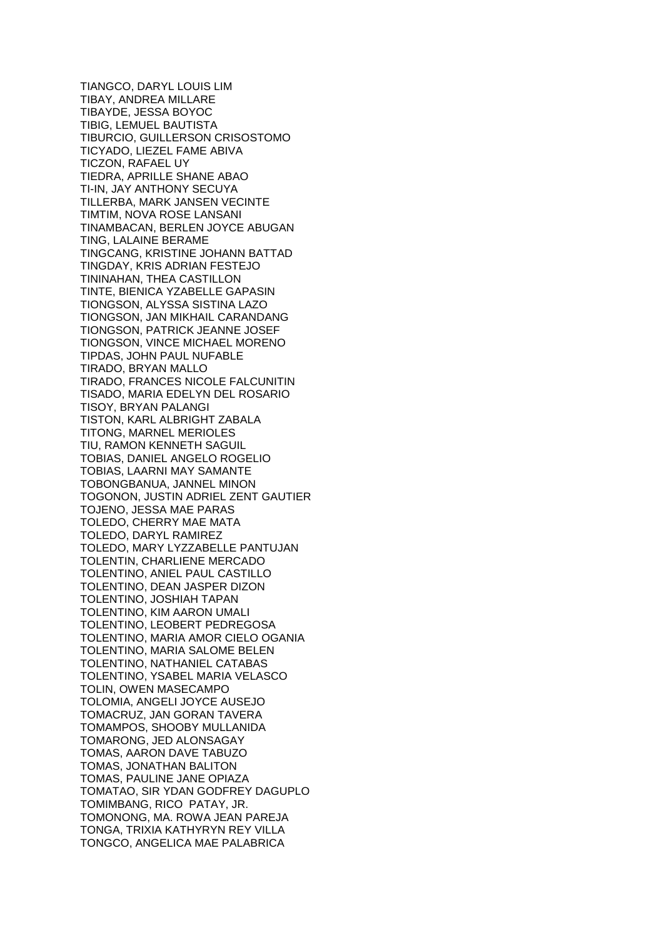TIANGCO, DARYL LOUIS LIM TIBAY, ANDREA MILLARE TIBAYDE, JESSA BOYOC TIBIG, LEMUEL BAUTISTA TIBURCIO, GUILLERSON CRISOSTOMO TICYADO, LIEZEL FAME ABIVA TICZON, RAFAEL UY TIEDRA, APRILLE SHANE ABAO TI-IN, JAY ANTHONY SECUYA TILLERBA, MARK JANSEN VECINTE TIMTIM, NOVA ROSE LANSANI TINAMBACAN, BERLEN JOYCE ABUGAN TING, LALAINE BERAME TINGCANG, KRISTINE JOHANN BATTAD TINGDAY, KRIS ADRIAN FESTEJO TININAHAN, THEA CASTILLON TINTE, BIENICA YZABELLE GAPASIN TIONGSON, ALYSSA SISTINA LAZO TIONGSON, JAN MIKHAIL CARANDANG TIONGSON, PATRICK JEANNE JOSEF TIONGSON, VINCE MICHAEL MORENO TIPDAS, JOHN PAUL NUFABLE TIRADO, BRYAN MALLO TIRADO, FRANCES NICOLE FALCUNITIN TISADO, MARIA EDELYN DEL ROSARIO TISOY, BRYAN PALANGI TISTON, KARL ALBRIGHT ZABALA TITONG, MARNEL MERIOLES TIU, RAMON KENNETH SAGUIL TOBIAS, DANIEL ANGELO ROGELIO TOBIAS, LAARNI MAY SAMANTE TOBONGBANUA, JANNEL MINON TOGONON, JUSTIN ADRIEL ZENT GAUTIER TOJENO, JESSA MAE PARAS TOLEDO, CHERRY MAE MATA TOLEDO, DARYL RAMIREZ TOLEDO, MARY LYZZABELLE PANTUJAN TOLENTIN, CHARLIENE MERCADO TOLENTINO, ANIEL PAUL CASTILLO TOLENTINO, DEAN JASPER DIZON TOLENTINO, JOSHIAH TAPAN TOLENTINO, KIM AARON UMALI TOLENTINO, LEOBERT PEDREGOSA TOLENTINO, MARIA AMOR CIELO OGANIA TOLENTINO, MARIA SALOME BELEN TOLENTINO, NATHANIEL CATABAS TOLENTINO, YSABEL MARIA VELASCO TOLIN, OWEN MASECAMPO TOLOMIA, ANGELI JOYCE AUSEJO TOMACRUZ, JAN GORAN TAVERA TOMAMPOS, SHOOBY MULLANIDA TOMARONG, JED ALONSAGAY TOMAS, AARON DAVE TABUZO TOMAS, JONATHAN BALITON TOMAS, PAULINE JANE OPIAZA TOMATAO, SIR YDAN GODFREY DAGUPLO TOMIMBANG, RICO PATAY, JR. TOMONONG, MA. ROWA JEAN PAREJA TONGA, TRIXIA KATHYRYN REY VILLA TONGCO, ANGELICA MAE PALABRICA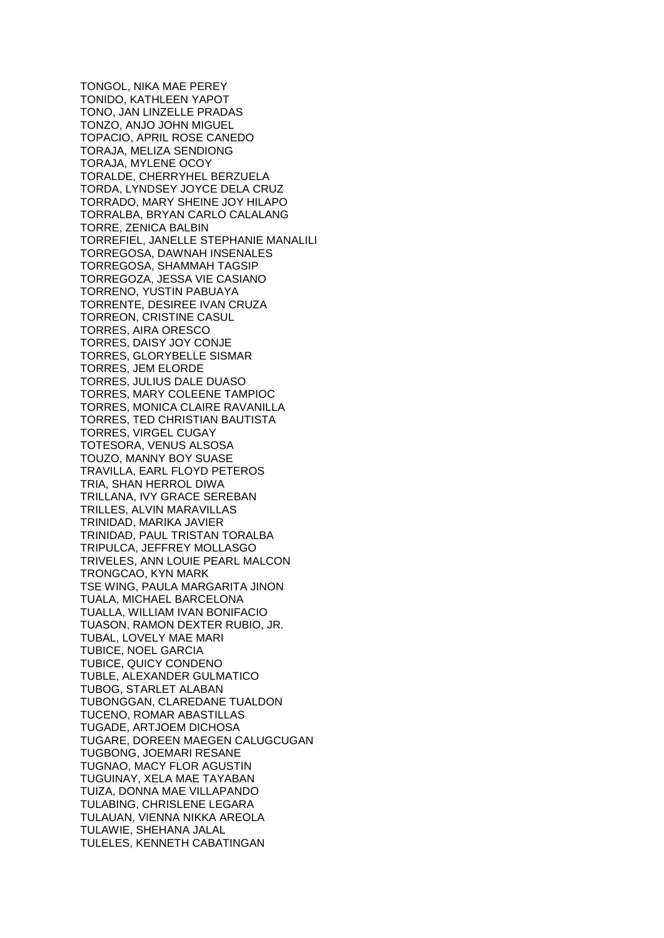TONGOL, NIKA MAE PEREY TONIDO, KATHLEEN YAPOT TONO, JAN LINZELLE PRADAS TONZO, ANJO JOHN MIGUEL TOPACIO, APRIL ROSE CANEDO TORAJA, MELIZA SENDIONG TORAJA, MYLENE OCOY TORALDE, CHERRYHEL BERZUELA TORDA, LYNDSEY JOYCE DELA CRUZ TORRADO, MARY SHEINE JOY HILAPO TORRALBA, BRYAN CARLO CALALANG TORRE, ZENICA BALBIN TORREFIEL, JANELLE STEPHANIE MANALILI TORREGOSA, DAWNAH INSENALES TORREGOSA, SHAMMAH TAGSIP TORREGOZA, JESSA VIE CASIANO TORRENO, YUSTIN PABUAYA TORRENTE, DESIREE IVAN CRUZA TORREON, CRISTINE CASUL TORRES, AIRA ORESCO TORRES, DAISY JOY CONJE TORRES, GLORYBELLE SISMAR TORRES, JEM ELORDE TORRES, JULIUS DALE DUASO TORRES, MARY COLEENE TAMPIOC TORRES, MONICA CLAIRE RAVANILLA TORRES, TED CHRISTIAN BAUTISTA TORRES, VIRGEL CUGAY TOTESORA, VENUS ALSOSA TOUZO, MANNY BOY SUASE TRAVILLA, EARL FLOYD PETEROS TRIA, SHAN HERROL DIWA TRILLANA, IVY GRACE SEREBAN TRILLES, ALVIN MARAVILLAS TRINIDAD, MARIKA JAVIER TRINIDAD, PAUL TRISTAN TORALBA TRIPULCA, JEFFREY MOLLASGO TRIVELES, ANN LOUIE PEARL MALCON TRONGCAO, KYN MARK TSE WING, PAULA MARGARITA JINON TUALA, MICHAEL BARCELONA TUALLA, WILLIAM IVAN BONIFACIO TUASON, RAMON DEXTER RUBIO, JR. TUBAL, LOVELY MAE MARI TUBICE, NOEL GARCIA TUBICE, QUICY CONDENO TUBLE, ALEXANDER GULMATICO TUBOG, STARLET ALABAN TUBONGGAN, CLAREDANE TUALDON TUCENO, ROMAR ABASTILLAS TUGADE, ARTJOEM DICHOSA TUGARE, DOREEN MAEGEN CALUGCUGAN TUGBONG, JOEMARI RESANE TUGNAO, MACY FLOR AGUSTIN TUGUINAY, XELA MAE TAYABAN TUIZA, DONNA MAE VILLAPANDO TULABING, CHRISLENE LEGARA TULAUAN, VIENNA NIKKA AREOLA TULAWIE, SHEHANA JALAL TULELES, KENNETH CABATINGAN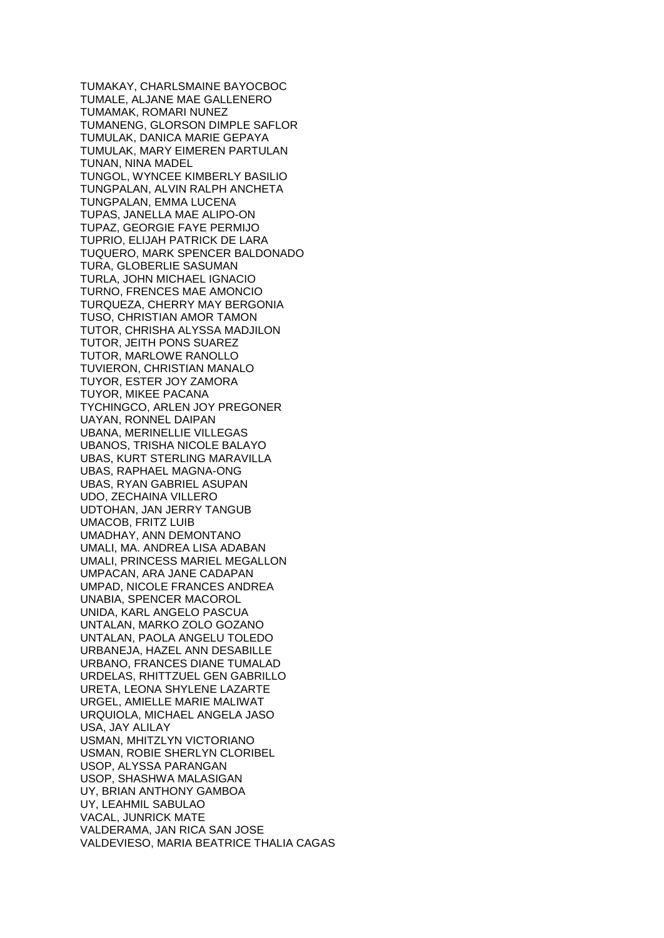TUMAKAY, CHARLSMAINE BAYOCBOC TUMALE, ALJANE MAE GALLENERO TUMAMAK, ROMARI NUNEZ TUMANENG, GLORSON DIMPLE SAFLOR TUMULAK, DANICA MARIE GEPAYA TUMULAK, MARY EIMEREN PARTULAN TUNAN, NINA MADEL TUNGOL, WYNCEE KIMBERLY BASILIO TUNGPALAN, ALVIN RALPH ANCHETA TUNGPALAN, EMMA LUCENA TUPAS, JANELLA MAE ALIPO-ON TUPAZ, GEORGIE FAYE PERMIJO TUPRIO, ELIJAH PATRICK DE LARA TUQUERO, MARK SPENCER BALDONADO TURA, GLOBERLIE SASUMAN TURLA, JOHN MICHAEL IGNACIO TURNO, FRENCES MAE AMONCIO TURQUEZA, CHERRY MAY BERGONIA TUSO, CHRISTIAN AMOR TAMON TUTOR, CHRISHA ALYSSA MADJILON TUTOR, JEITH PONS SUAREZ TUTOR, MARLOWE RANOLLO TUVIERON, CHRISTIAN MANALO TUYOR, ESTER JOY ZAMORA TUYOR, MIKEE PACANA TYCHINGCO, ARLEN JOY PREGONER UAYAN, RONNEL DAIPAN UBANA, MERINELLIE VILLEGAS UBANOS, TRISHA NICOLE BALAYO UBAS, KURT STERLING MARAVILLA UBAS, RAPHAEL MAGNA-ONG UBAS, RYAN GABRIEL ASUPAN UDO, ZECHAINA VILLERO UDTOHAN, JAN JERRY TANGUB UMACOB, FRITZ LUIB UMADHAY, ANN DEMONTANO UMALI, MA. ANDREA LISA ADABAN UMALI, PRINCESS MARIEL MEGALLON UMPACAN, ARA JANE CADAPAN UMPAD, NICOLE FRANCES ANDREA UNABIA, SPENCER MACOROL UNIDA, KARL ANGELO PASCUA UNTALAN, MARKO ZOLO GOZANO UNTALAN, PAOLA ANGELU TOLEDO URBANEJA, HAZEL ANN DESABILLE URBANO, FRANCES DIANE TUMALAD URDELAS, RHITTZUEL GEN GABRILLO URETA, LEONA SHYLENE LAZARTE URGEL, AMIELLE MARIE MALIWAT URQUIOLA, MICHAEL ANGELA JASO USA, JAY ALILAY USMAN, MHITZLYN VICTORIANO USMAN, ROBIE SHERLYN CLORIBEL USOP, ALYSSA PARANGAN USOP, SHASHWA MALASIGAN UY, BRIAN ANTHONY GAMBOA UY, LEAHMIL SABULAO VACAL, JUNRICK MATE VALDERAMA, JAN RICA SAN JOSE VALDEVIESO, MARIA BEATRICE THALIA CAGAS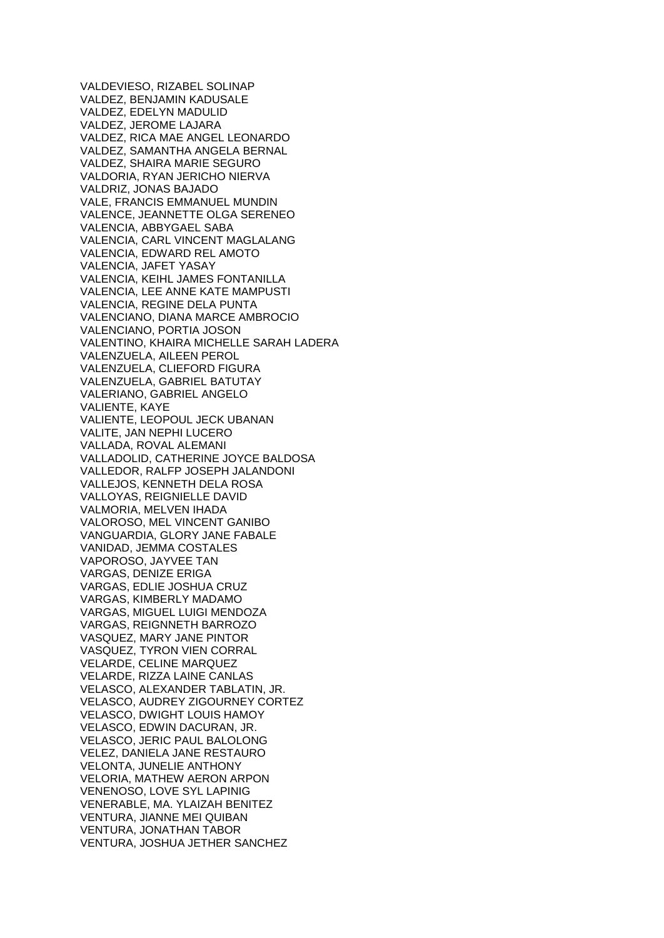VALDEVIESO, RIZABEL SOLINAP VALDEZ, BENJAMIN KADUSALE VALDEZ, EDELYN MADULID VALDEZ, JEROME LAJARA VALDEZ, RICA MAE ANGEL LEONARDO VALDEZ, SAMANTHA ANGELA BERNAL VALDEZ, SHAIRA MARIE SEGURO VALDORIA, RYAN JERICHO NIERVA VALDRIZ, JONAS BAJADO VALE, FRANCIS EMMANUEL MUNDIN VALENCE, JEANNETTE OLGA SERENEO VALENCIA, ABBYGAEL SABA VALENCIA, CARL VINCENT MAGLALANG VALENCIA, EDWARD REL AMOTO VALENCIA, JAFET YASAY VALENCIA, KEIHL JAMES FONTANILLA VALENCIA, LEE ANNE KATE MAMPUSTI VALENCIA, REGINE DELA PUNTA VALENCIANO, DIANA MARCE AMBROCIO VALENCIANO, PORTIA JOSON VALENTINO, KHAIRA MICHELLE SARAH LADERA VALENZUELA, AILEEN PEROL VALENZUELA, CLIEFORD FIGURA VALENZUELA, GABRIEL BATUTAY VALERIANO, GABRIEL ANGELO VALIENTE, KAYE VALIENTE, LEOPOUL JECK UBANAN VALITE, JAN NEPHI LUCERO VALLADA, ROVAL ALEMANI VALLADOLID, CATHERINE JOYCE BALDOSA VALLEDOR, RALFP JOSEPH JALANDONI VALLEJOS, KENNETH DELA ROSA VALLOYAS, REIGNIELLE DAVID VALMORIA, MELVEN IHADA VALOROSO, MEL VINCENT GANIBO VANGUARDIA, GLORY JANE FABALE VANIDAD, JEMMA COSTALES VAPOROSO, JAYVEE TAN VARGAS, DENIZE ERIGA VARGAS, EDLIE JOSHUA CRUZ VARGAS, KIMBERLY MADAMO VARGAS, MIGUEL LUIGI MENDOZA VARGAS, REIGNNETH BARROZO VASQUEZ, MARY JANE PINTOR VASQUEZ, TYRON VIEN CORRAL VELARDE, CELINE MARQUEZ VELARDE, RIZZA LAINE CANLAS VELASCO, ALEXANDER TABLATIN, JR. VELASCO, AUDREY ZIGOURNEY CORTEZ VELASCO, DWIGHT LOUIS HAMOY VELASCO, EDWIN DACURAN, JR. VELASCO, JERIC PAUL BALOLONG VELEZ, DANIELA JANE RESTAURO VELONTA, JUNELIE ANTHONY VELORIA, MATHEW AERON ARPON VENENOSO, LOVE SYL LAPINIG VENERABLE, MA. YLAIZAH BENITEZ VENTURA, JIANNE MEI QUIBAN VENTURA, JONATHAN TABOR VENTURA, JOSHUA JETHER SANCHEZ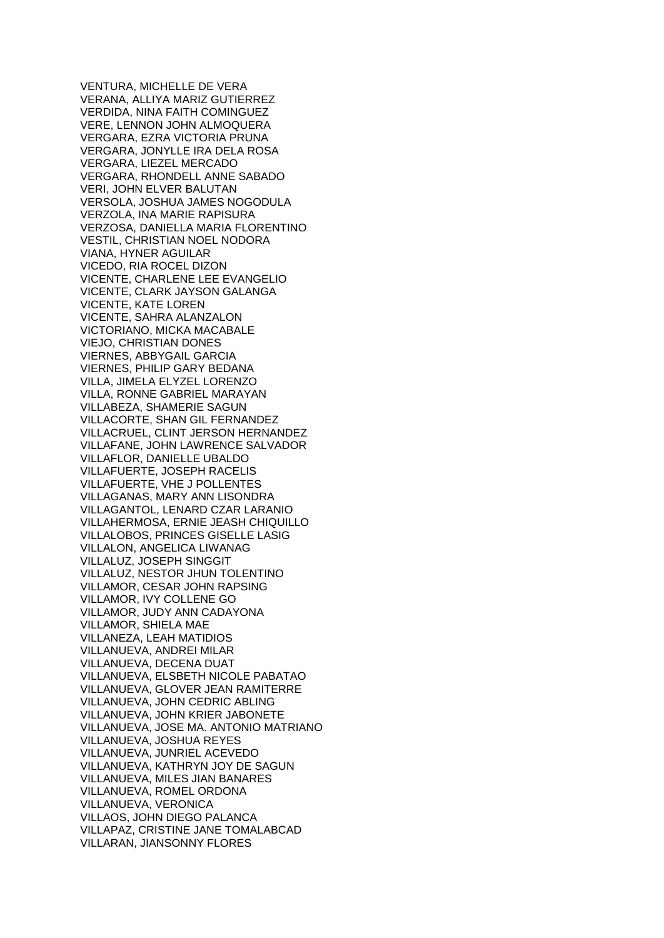VENTURA, MICHELLE DE VERA VERANA, ALLIYA MARIZ GUTIERREZ VERDIDA, NINA FAITH COMINGUEZ VERE, LENNON JOHN ALMOQUERA VERGARA, EZRA VICTORIA PRUNA VERGARA, JONYLLE IRA DELA ROSA VERGARA, LIEZEL MERCADO VERGARA, RHONDELL ANNE SABADO VERI, JOHN ELVER BALUTAN VERSOLA, JOSHUA JAMES NOGODULA VERZOLA, INA MARIE RAPISURA VERZOSA, DANIELLA MARIA FLORENTINO VESTIL, CHRISTIAN NOEL NODORA VIANA, HYNER AGUILAR VICEDO, RIA ROCEL DIZON VICENTE, CHARLENE LEE EVANGELIO VICENTE, CLARK JAYSON GALANGA VICENTE, KATE LOREN VICENTE, SAHRA ALANZALON VICTORIANO, MICKA MACABALE VIEJO, CHRISTIAN DONES VIERNES, ABBYGAIL GARCIA VIERNES, PHILIP GARY BEDANA VILLA, JIMELA ELYZEL LORENZO VILLA, RONNE GABRIEL MARAYAN VILLABEZA, SHAMERIE SAGUN VILLACORTE, SHAN GIL FERNANDEZ VILLACRUEL, CLINT JERSON HERNANDEZ VILLAFANE, JOHN LAWRENCE SALVADOR VILLAFLOR, DANIELLE UBALDO VILLAFUERTE, JOSEPH RACELIS VILLAFUERTE, VHE J POLLENTES VILLAGANAS, MARY ANN LISONDRA VILLAGANTOL, LENARD CZAR LARANIO VILLAHERMOSA, ERNIE JEASH CHIQUILLO VILLALOBOS, PRINCES GISELLE LASIG VILLALON, ANGELICA LIWANAG VILLALUZ, JOSEPH SINGGIT VILLALUZ, NESTOR JHUN TOLENTINO VILLAMOR, CESAR JOHN RAPSING VILLAMOR, IVY COLLENE GO VILLAMOR, JUDY ANN CADAYONA VILLAMOR, SHIELA MAE VILLANEZA, LEAH MATIDIOS VILLANUEVA, ANDREI MILAR VILLANUEVA, DECENA DUAT VILLANUEVA, ELSBETH NICOLE PABATAO VILLANUEVA, GLOVER JEAN RAMITERRE VILLANUEVA, JOHN CEDRIC ABLING VILLANUEVA, JOHN KRIER JABONETE VILLANUEVA, JOSE MA. ANTONIO MATRIANO VILLANUEVA, JOSHUA REYES VILLANUEVA, JUNRIEL ACEVEDO VILLANUEVA, KATHRYN JOY DE SAGUN VILLANUEVA, MILES JIAN BANARES VILLANUEVA, ROMEL ORDONA VILLANUEVA, VERONICA VILLAOS, JOHN DIEGO PALANCA VILLAPAZ, CRISTINE JANE TOMALABCAD VILLARAN, JIANSONNY FLORES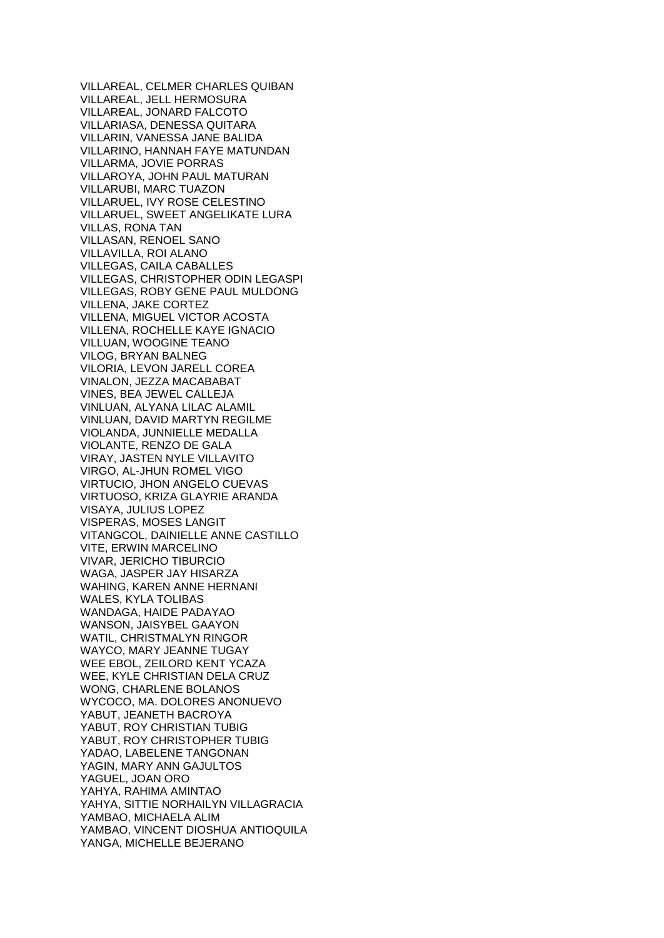VILLAREAL, CELMER CHARLES QUIBAN VILLAREAL, JELL HERMOSURA VILLAREAL, JONARD FALCOTO VILLARIASA, DENESSA QUITARA VILLARIN, VANESSA JANE BALIDA VILLARINO, HANNAH FAYE MATUNDAN VILLARMA, JOVIE PORRAS VILLAROYA, JOHN PAUL MATURAN VILLARUBI, MARC TUAZON VILLARUEL, IVY ROSE CELESTINO VILLARUEL, SWEET ANGELIKATE LURA VILLAS, RONA TAN VILLASAN, RENOEL SANO VILLAVILLA, ROI ALANO VILLEGAS, CAILA CABALLES VILLEGAS, CHRISTOPHER ODIN LEGASPI VILLEGAS, ROBY GENE PAUL MULDONG VILLENA, JAKE CORTEZ VILLENA, MIGUEL VICTOR ACOSTA VILLENA, ROCHELLE KAYE IGNACIO VILLUAN, WOOGINE TEANO VILOG, BRYAN BALNEG VILORIA, LEVON JARELL COREA VINALON, JEZZA MACABABAT VINES, BEA JEWEL CALLEJA VINLUAN, ALYANA LILAC ALAMIL VINLUAN, DAVID MARTYN REGILME VIOLANDA, JUNNIELLE MEDALLA VIOLANTE, RENZO DE GALA VIRAY, JASTEN NYLE VILLAVITO VIRGO, AL-JHUN ROMEL VIGO VIRTUCIO, JHON ANGELO CUEVAS VIRTUOSO, KRIZA GLAYRIE ARANDA VISAYA, JULIUS LOPEZ VISPERAS, MOSES LANGIT VITANGCOL, DAINIELLE ANNE CASTILLO VITE, ERWIN MARCELINO VIVAR, JERICHO TIBURCIO WAGA, JASPER JAY HISARZA WAHING, KAREN ANNE HERNANI WALES, KYLA TOLIBAS WANDAGA, HAIDE PADAYAO WANSON, JAISYBEL GAAYON WATIL, CHRISTMALYN RINGOR WAYCO, MARY JEANNE TUGAY WEE EBOL, ZEILORD KENT YCAZA WEE, KYLE CHRISTIAN DELA CRUZ WONG, CHARLENE BOLANOS WYCOCO, MA. DOLORES ANONUEVO YABUT, JEANETH BACROYA YABUT, ROY CHRISTIAN TUBIG YABUT, ROY CHRISTOPHER TUBIG YADAO, LABELENE TANGONAN YAGIN, MARY ANN GAJULTOS YAGUEL, JOAN ORO YAHYA, RAHIMA AMINTAO YAHYA, SITTIE NORHAILYN VILLAGRACIA YAMBAO, MICHAELA ALIM YAMBAO, VINCENT DIOSHUA ANTIOQUILA YANGA, MICHELLE BEJERANO